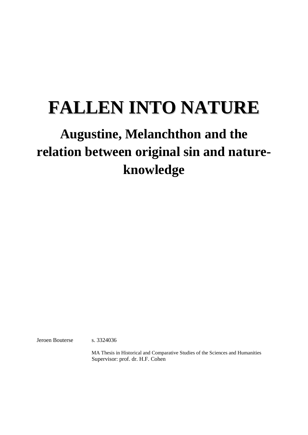# **FALLEN INTO NATURE**

## **Augustine, Melanchthon and the relation between original sin and natureknowledge**

Jeroen Bouterse s. 3324036

MA Thesis in Historical and Comparative Studies of the Sciences and Humanities Supervisor: prof. dr. H.F. Cohen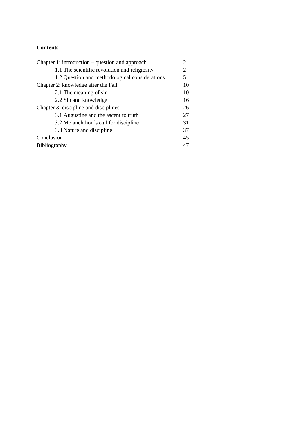#### **Contents**

| Chapter 1: introduction $-$ question and approach |    |
|---------------------------------------------------|----|
| 1.1 The scientific revolution and religiosity     |    |
| 1.2 Question and methodological considerations    | 5  |
| Chapter 2: knowledge after the Fall               | 10 |
| 2.1 The meaning of sin                            | 10 |
| 2.2 Sin and knowledge                             | 16 |
| Chapter 3: discipline and disciplines             |    |
| 3.1 Augustine and the ascent to truth             | 27 |
| 3.2 Melanchthon's call for discipline             | 31 |
| 3.3 Nature and discipline                         | 37 |
| Conclusion                                        | 45 |
| Bibliography                                      | 47 |
|                                                   |    |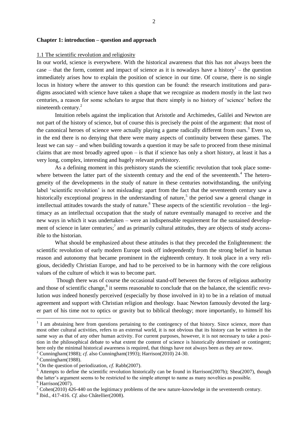#### **Chapter 1: introduction – question and approach**

#### 1.1 The scientific revolution and religiosity

In our world, science is everywhere. With the historical awareness that this has not always been the case – that the form, content and impact of science as it is nowadays have a history $<sup>1</sup>$  – the question</sup> immediately arises how to explain the position of science in our time. Of course, there is no single locus in history where the answer to this question can be found: the research institutions and paradigms associated with science have taken a shape that we recognize as modern mostly in the last two centuries, a reason for some scholars to argue that there simply is no history of ‗science' before the nineteenth century.<sup>2</sup>

Intuition rebels against the implication that Aristotle and Archimedes, Galilei and Newton are not part of the history of science, but of course this is precisely the point of the argument: that most of the canonical heroes of science were actually playing a game radically different from ours.<sup>3</sup> Even so, in the end there is no denying that there were many aspects of continuity between these games. The least we can say – and when building towards a question it may be safe to proceed from these minimal claims that are most broadly agreed upon – is that if science has only a short history, at least it has a very long, complex, interesting and hugely relevant *pre*history.

As a defining moment in this prehistory stands the scientific revolution that took place somewhere between the latter part of the sixteenth century and the end of the seventeenth. $4$  The heterogeneity of the developments in the study of nature in these centuries notwithstanding, the unifying label 'scientific revolution' is not misleading: apart from the fact that the seventeenth century saw a historically exceptional progress in the understanding of nature,<sup>5</sup> the period saw a general change in intellectual attitudes towards the study of nature.<sup>6</sup> These aspects of the scientific revolution – the legitimacy as an intellectual occupation that the study of nature eventually managed to receive and the new ways in which it was undertaken – were an indispensable requirement for the sustained development of science in later centuries;<sup>7</sup> and as primarily cultural attitudes, they are objects of study accessible to the historian.

What should be emphasized about these attitudes is that they preceded the Enlightenment: the scientific revolution of early modern Europe took off independently from the strong belief in human reason and autonomy that became prominent in the eighteenth century. It took place in a very religious, decidedly Christian Europe, and had to be perceived to be in harmony with the core religious values of the culture of which it was to become part.

Though there was of course the occasional stand-off between the forces of religious authority and those of scientific change,<sup>8</sup> it seems reasonable to conclude that on the balance, the scientific revolution *was* indeed honestly perceived (especially by those involved in it) to be in a relation of mutual agreement and support with Christian religion and theology. Isaac Newton famously devoted the larger part of his time not to optics or gravity but to biblical theology; more importantly, to himself his

<sup>&</sup>lt;sup>1</sup> I am abstaining here from questions pertaining to the contingency of that history. Since science, more than most other cultural activities, refers to an external world, it is not obvious that its history can be written in the same way as that of any other human activity. For current purposes, however, it is not necessary to take a position in the philosophical debate to what extent the content of science is historically determined or contingent; here only the minimal historical awareness is required, that things have not always been as they are now.

<sup>2</sup> Cunningham(1988); *cf.* also Cunningham(1993); Harrison(2010) 24-30.

 $3$  Cunningham(1988).

<sup>4</sup> On the question of periodization, *cf*. Rabb(2007).

 $<sup>5</sup>$  Attempts to define the scientific revolution historically can be found in Harrison(2007b); Shea(2007), though</sup> the latter's argument seems to be restricted to the simple attempt to name as many novelties as possible.

 $6$  Harrison(2007).

 $7$  Cohen(2010) 426-440 on the legitimacy problems of the new nature-knowledge in the seventeenth century.

<sup>8</sup> Ibid., 417-416. *Cf.* also Châtellier(2008).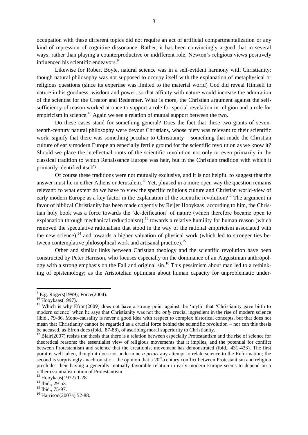occupation with these different topics did not require an act of artificial compartmentalization or any kind of repression of cognitive dissonance. Rather, it has been convincingly argued that in several ways, rather than playing a counterproductive or indifferent role, Newton's religious views positively influenced his scientific endeavors.<sup>9</sup>

Likewise for Robert Boyle, natural science was in a self-evident harmony with Christianity: though natural philosophy was not supposed to occupy itself with the explanation of metaphysical or religious questions (since its expertise was limited to the material world) God did reveal Himself in nature in his goodness, wisdom and power, so that affinity with nature would increase the admiration of the scientist for the Creator and Redeemer. What is more, the Christian argument against the selfsufficiency of reason worked at once to support a role for special revelation in religion and a role for empiricism in science.<sup>10</sup> Again we see a relation of mutual support between the two.

Do these cases stand for something general? Does the fact that these two giants of seventeenth-century natural philosophy were devout Christians, whose piety was relevant to their scientific work, signify that there was something peculiar to Christianity – something that made the Christian culture of early modern Europe an especially fertile ground for the scientific revolution as we know it? Should we place the intellectual roots of the scientific revolution not only or even primarily in the classical tradition to which Renaissance Europe was heir, but in the Christian tradition with which it primarily identified itself?

Of course these traditions were not mutually exclusive, and it is not helpful to suggest that the answer must lie in either Athens or Jerusalem.<sup>11</sup> Yet, phrased in a more open way the question remains relevant: to what extent do we have to view the specific religious culture and Christian world-view of early modern Europe as a key factor in the explanation of the scientific revolution?<sup>12</sup> The argument in favor of biblical Christianity has been made cogently by Reijer Hooykaas: according to him, the Christian holy book was a force towards the ‗de-deification' of nature (which therefore became open to explanation through mechanical reductionism), $13$  towards a relative humility for human reason (which removed the speculative rationalism that stood in the way of the rational empiricism associated with the new science), $^{14}$  and towards a higher valuation of physical work (which led to stronger ties between contemplative philosophical work and artisanal practice).<sup>15</sup>

Other and similar links between Christian theology and the scientific revolution have been constructed by Peter Harrison, who focuses especially on the dominance of an Augustinian anthropology with a strong emphasis on the Fall and original sin.<sup>16</sup> This pessimism about man led to a rethinking of epistemology; as the Aristotelian optimism about human capacity for unproblematic under-

 $^{9}$  E.g. Rogers(1999); Force(2004).

 $10$  Hooykaas(1997).

<sup>&</sup>lt;sup>11</sup> Which is why Efron(2009) does not have a strong point against the 'myth' that 'Christianity gave birth to modern science' when he says that Christianity was not the *only* crucial ingredient in the rise of modern science (ibid., 79-86. Mono-causality is never a good idea with respect to complex historical concepts, but that does not mean that Christianity cannot be regarded as a crucial force behind the scientific revolution – nor can this thesis be accused, as Efron does (ibid., 87-88), of ascribing moral superiority to Christianity.

 $12$  Blair(2007) resists the thesis that there is a relation between especially Protestantism and the rise of science for theoretical reasons: the essentialist view of religious movements that it implies, and the potential for conflict between Protestantism and science that the creationist movement has demonstrated (ibid., 431-433). The first point is well taken, though it does not undermine *a priori* any attempt to relate science to the Reformation; the second is surprisingly anachronistic  $-$  the opinion that a  $20<sup>th</sup>$ -century conflict between Protestantism and religion precludes their having a generally mutually favorable relation in early modern Europe seems to depend on a rather essentialist notion of Protestantism.

<sup>13</sup> Hooykaas(1972) 1-28.

 $14$  Ibid., 29-53.

<sup>&</sup>lt;sup>15</sup> Ibid., 75-97.

<sup>16</sup> Harrison(2007a) 52-88.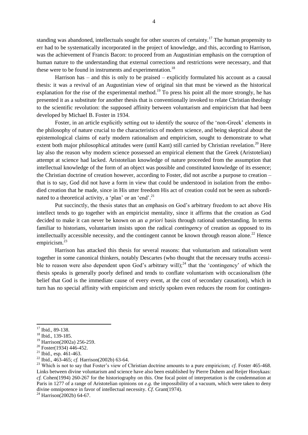standing was abandoned, intellectuals sought for other sources of certainty.<sup>17</sup> The human propensity to err had to be systematically incorporated in the project of knowledge, and this, according to Harrison, was the achievement of Francis Bacon: to proceed from an Augustinian emphasis on the corruption of human nature to the understanding that external corrections and restrictions were necessary, and that these were to be found in instruments and experimentation.<sup>18</sup>

Harrison has – and this is only to be praised – explicitly formulated his account as a causal thesis: it was a revival of an Augustinian view of original sin that must be viewed as the historical explanation for the rise of the experimental method.<sup>19</sup> To press his point all the more strongly, he has presented it as a substitute for another thesis that is conventionally invoked to relate Christian theology to the scientific revolution: the supposed affinity between voluntarism and empiricism that had been developed by Michael B. Foster in 1934.

Foster, in an article explicitly setting out to identify the source of the 'non-Greek' elements in the philosophy of nature crucial to the characteristics of modern science, and being skeptical about the epistemological claims of early modern rationalism and empiricism, sought to demonstrate to what extent both major philosophical attitudes were (until Kant) still carried by Christian revelation.<sup>20</sup> Here lay also the reason why modern science possessed an empirical element that the Greek (Aristotelian) attempt at science had lacked. Aristotelian knowledge of nature proceeded from the assumption that intellectual knowledge of the form of an object was possible and constituted knowledge of its essence; the Christian doctrine of creation however, according to Foster, did not ascribe a purpose to creation – that is to say, God did not have a form in view that could be understood in isolation from the embodied creation that he made, since in His utter freedom His act of creation could not be seen as subordinated to a theoretical activity, a 'plan' or an 'end'.<sup>21</sup>

Put succinctly, the thesis states that an emphasis on God's arbitrary freedom to act above His intellect tends to go together with an empiricist mentality, since it affirms that the creation as God decided to make it can never be known on an *a priori* basis through rational understanding. In terms familiar to historians, voluntarism insists upon the radical *contingency* of creation as opposed to its intellectually accessible necessity, and the contingent cannot be known through reason alone.<sup>22</sup> Hence empiricism.<sup>23</sup>

Harrison has attacked this thesis for several reasons: that voluntarism and rationalism went together in some canonical thinkers, notably Descartes (who thought that the necessary truths accessible to reason were also dependent upon God's arbitrary will);<sup>24</sup> that the 'contingency' of which the thesis speaks is generally poorly defined and tends to conflate voluntarism with occasionalism (the belief that God is the immediate cause of every event, at the cost of secondary causation), which in turn has no special affinity with empiricism and strictly spoken even reduces the room for contingen-

<sup>&</sup>lt;sup>17</sup> Ibid., 89-138.

<sup>18</sup> Ibid., 139-185.

<sup>19</sup> Harrison(2002a) 256-259.

<sup>20</sup> Foster(1934) 446-452.

 $21$  Ibid., esp. 461-463.

<sup>22</sup> Ibid., 463-465; *cf.* Harrison(2002b) 63-64.

<sup>&</sup>lt;sup>23</sup> Which is not to say that Foster's view of Christian doctrine amounts to a pure empiricism; *cf.* Foster 465-468. Links between divine voluntarism and science have also been established by Pierre Duhem and Reijer Hooykaas: *cf.* Cohen(1994) 260-267 for the historiography on this. One focal point of interpretation is the condemnation at Paris in 1277 of a range of Aristotelian opinions on *e.g.* the impossibility of a vacuum, which were taken to deny divine omnipotence in favor of intellectual necessity. *Cf*. Grant(1974).

 $24$  Harrison(2002b) 64-67.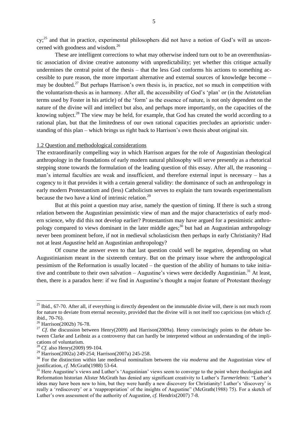cy;<sup>25</sup> and that in practice, experimental philosophers did not have a notion of God's will as unconcerned with goodness and wisdom.<sup>26</sup>

These are intelligent corrections to what may otherwise indeed turn out to be an overenthusiastic association of divine creative autonomy with unpredictability; yet whether this critique actually undermines the central point of the thesis – that the less God conforms his actions to something accessible to pure reason, the more important alternative and external sources of knowledge become – may be doubted.<sup>27</sup> But perhaps Harrison's own thesis is, in practice, not so much in competition with the voluntarism-thesis as in harmony. After all, the accessibility of God's 'plan' or (in the Aristotelian terms used by Foster in his article) of the 'form' as the essence of nature, is not only dependent on the nature of the divine will and intellect but also, and perhaps more importantly, on the capacities of the knowing subject.<sup>28</sup> The view may be held, for example, that God has created the world according to a rational plan, but that the limitedness of our own rational capacities precludes an aprioristic understanding of this plan – which brings us right back to Harrison's own thesis about original sin.

#### 1.2 Question and methodological considerations

The extraordinarily compelling way in which Harrison argues for the role of Augustinian theological anthropology in the foundations of early modern natural philosophy will serve presently as a rhetorical stepping stone towards the formulation of the leading question of this essay. After all, the reasoning – man's internal faculties are weak and insufficient, and therefore external input is necessary – has a cogency to it that provides it with a certain general validity: the dominance of such an anthropology in early modern Protestantism and (less) Catholicism serves to explain the turn towards experimentalism because the two have a kind of intrinsic relation.<sup>29</sup>

But at this point a question may arise, namely the question of timing. If there is such a strong relation between the Augustinian pessimistic view of man and the major characteristics of early modern science, why did this not develop earlier? Protestantism may have argued for a pessimistic anthropology compared to views dominant in the later middle ages;<sup>30</sup> but had an Augustinian anthropology never been prominent before, if not in medieval scholasticism then perhaps in early Christianity? Had not at least *Augustine* held an Augustinian anthropology?

Of course the answer even to that last question could well be negative, depending on what Augustinianism meant in the sixteenth century. But on the primary issue where the anthropological pessimism of the Reformation is usually located – the question of the ability of humans to take initiative and contribute to their own salvation – Augustine's views were decidedly Augustinian.<sup>31</sup> At least, then, there is a paradox here: if we find in Augustine's thought a major feature of Protestant theology

l

<sup>&</sup>lt;sup>25</sup> Ibid., 67-70. After all, if everything is directly dependent on the immutable divine will, there is not much room for nature to deviate from eternal necessity, provided that the divine will is not itself too capricious (on which *cf*. ibid., 70-76).

<sup>26</sup> Harrison(2002b) 76-78.

<sup>&</sup>lt;sup>27</sup> *Cf.* the discussion between Henry(2009) and Harrison(2009a). Henry convincingly points to the debate between Clarke and Leibniz as a controversy that can hardly be interpreted without an understanding of the implications of voluntarism.

<sup>28</sup> *Cf.* also Henry(2009) 99-104.

 $^{29}$  Harrison(2002a) 249-254; Harrison(2007a) 245-258.

<sup>&</sup>lt;sup>30</sup> For the distinction within late medieval nominalism between the *via moderna* and the Augustinian view of justification, *cf.* McGrath(1988) 53-64.

 $31$  Here Augustine's views and Luther's 'Augustinian' views seem to converge to the point where theologian and Reformation historian Alister McGrath has denied any significant creativity to Luther's *Turmerlebnis*: "Luther's ideas may have been new to him, but they were hardly a new discovery for Christianity! Luther's 'discovery' is really a '*re*discovery' or a 'reappropriation' of the insights of Augustine" (McGrath(1988) 75). For a sketch of Luther's own assessment of the authority of Augustine, *cf.* Hendrix(2007) 7-8.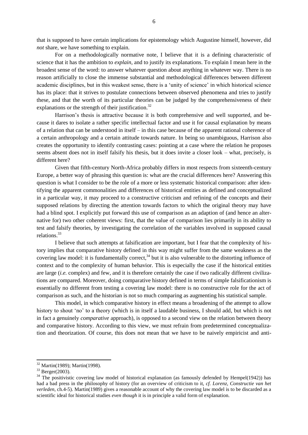that is supposed to have certain implications for epistemology which Augustine himself, however, did *not* share, we have something to explain.

For on a methodologically normative note, I believe that it is a defining characteristic of science that it has the ambition to *explain*, and to justify its explanations. To explain I mean here in the broadest sense of the word: to answer whatever question about anything in whatever way. There is no reason artificially to close the immense substantial and methodological differences between different academic disciplines, but in this weakest sense, there is a 'unity of science' in which historical science has its place: that it strives to postulate connections between observed phenomena and tries to justify these, and that the worth of its particular theories can be judged by the comprehensiveness of their explanations or the strength of their justification.<sup>32</sup>

Harrison's thesis is attractive because it is both comprehensive and well supported, and because it dares to isolate a rather specific intellectual factor and use it for causal explanation by means of a relation that can be understood in itself – in this case because of the apparent rational coherence of a certain anthropology and a certain attitude towards nature. In being so unambiguous, Harrison also creates the opportunity to identify contrasting cases: pointing at a case where the relation he proposes seems absent does not in itself falsify his thesis, but it does invite a closer look – what, precisely, is different here?

Given that fifth-century North-Africa probably differs in most respects from sixteenth-century Europe, a better way of phrasing this question is: what are the crucial differences here? Answering this question is what I consider to be the role of a more or less systematic historical comparison: after identifying the apparent commonalities and differences of historical entities as defined and conceptualized in a particular way, it may proceed to a constructive criticism and refining of the concepts and their supposed relations by directing the attention towards factors to which the original theory may have had a blind spot. I explicitly put forward this use of comparison as an adaption of (and hence an alternative for) two other coherent views: first, that the value of comparison lies primarily in its ability to test and falsify theories, by investigating the correlation of the variables involved in supposed causal relations.<sup>33</sup>

I believe that such attempts at falsification are important, but I fear that the complexity of history implies that comparative history defined in this way might suffer from the same weakness as the covering law model: it is fundamentally correct,<sup>34</sup> but it is also vulnerable to the distorting influence of context and to the complexity of human behavior. This is especially the case if the historical entities are large (*i.e.* complex) and few, and it is therefore certainly the case if two radically different civilizations are compared. Moreover, doing comparative history defined in terms of simple falsificationism is essentially no different from testing a covering law model: there is no constructive role for the act of comparison as such, and the historian is not so much comparing as augmenting his statistical sample.

This model, in which comparative history in effect means a broadening of the attempt to allow history to shout 'no' to a theory (which is in itself a laudable business, I should add, but which is not in fact a genuinely *comparative* approach), is opposed to a second view on the relation between theory and comparative history. According to this view, we must refrain from predetermined conceptualization and theorization. Of course, this does not mean that we have to be naively empiricist and anti-

<sup>32</sup> Martin(1989); Martin(1998).

<sup>33</sup> Berger(2003).

 $34$  The positivistic covering law model of historical explanation (as famously defended by Hempel(1942)) has had a bad press in the philosophy of history (for an overview of criticism to it, *cf. Lorenz, Constructie van het verleden*, ch.4-5). Martin(1989) gives a reasonable account of why the covering law model is to be discarded as a scientific ideal for historical studies *even though* it is in principle a valid form of explanation.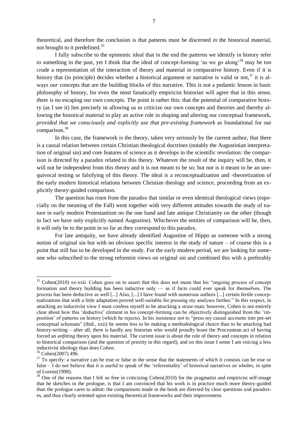theoretical, and therefore the conclusion is that patterns must be discerned *in* the historical material, not brought to it predefined.<sup>35</sup>

I fully subscribe to the epistemic ideal that in the end the patterns we identify in history refer to something in the past, yet I think that the ideal of concept-forming 'as we go along'<sup>36</sup> may be too crude a representation of the interaction of theory and material in comparative history. Even if it is history that (in principle) decides whether a historical argument or narrative is valid or not,  $37$  it is always *our* concepts that are the building blocks of this narrative. This is not a pedantic lesson in basic philosophy of history, for even the most fanatically empiricist historian will agree that in this sense, there is no escaping our own concepts. The point is rather this: that the potential of comparative history (as I see it) lies precisely in allowing us to criticize our own concepts and theories and thereby allowing the historical material to play an active role in shaping and altering our conceptual framework, *provided that we consciously and explicitly use that pre-existing framework* as foundational for our comparison.<sup>38</sup>

In this case, the framework is the theory, taken very seriously by the current author, that there is a causal relation between certain Christian theological doctrines (notably the Augustinian interpretation of original sin) and core features of science as it develops in the scientific revolution: the comparison is directed by a paradox related to this theory. Whatever the result of the inquiry will be, then, it will not be independent from this theory and it is not meant to be so; but nor is it meant to be an unequivocal testing or falsifying of this theory. The ideal is a reconceptualization and -theoretization of the early modern historical relations between Christian theology and science, proceeding from an explicitly theory-guided comparison.

The question has risen from the paradox that similar or even identical theological views (especially on the meaning of the Fall) went together with very different attitudes towards the study of nature in early modern Protestantism on the one hand and late antique Christianity on the other (though in fact we have only explicitly named Augustine). Whichever the entities of comparison will be, then, it will only be to the point in so far as they correspond to this paradox.

For late antiquity, we have already identified Augustine of Hippo as someone with a strong notion of original sin but with no obvious specific interest in the study of nature – of course this is a point that still has to be developed in the study. For the early modern period, we are looking for someone who subscribed to the strong reformist views on original sin and combined this with a preferably

<sup>&</sup>lt;sup>35</sup> Cohen(2010) xx-xxii. Cohen goes on to assert that this does not mean that his "ongoing process of concept formation and theory building has been inductive only — as if facts could ever speak for themselves. The process has been deductive as well [...] Also, [...] I have found with numerous authors [...] certain fertile conceptualizations that with a little adaptation proved well-suitable for pressing my analyses further." In this respect, in attacking an inductivist view I must confess myself to be attacking a straw-man; however, Cohen is not entirely clear about how this 'deductive' element in his concept-forming can be objectively distinguished from the 'imposition' of patterns on history (which he rejects). In his insistence not to "press my causal accounts into pre-set conceptual schemata‖ (ibid., xxii) he seems less to be making a methodological choice than to be attacking bad history-writing – after all, there is hardly any historian who would proudly boast the Procrustean act of having forced an *unfitting* theory upon his material. The current issue is about the role of theory and concepts in relation to historical comparison (and the question of priority in this regard), and on this issue I sense I am voicing a less inductivist ideology than does Cohen.

<sup>36</sup> Cohen(2007) 496.

 $37$  To specify: a narrative can be true or false in the sense that the statements of which it consists can be true or false – I do not believe that it is useful to speak of the 'referentiality' of historical narratives *as* wholes, in spite of Lorenz(1998).

<sup>&</sup>lt;sup>38</sup> One of the reasons that I felt so free in criticizing Cohen(2010) for the pragmatist and empiricist self-image that he sketches in the prologue, is that I am convinced that his work is in practice much more theory-guided than the prologue cares to admit: the comparisons made in the book are directed by clear questions and paradoxes, and thus clearly oriented upon existing theoretical frameworks and their improvement.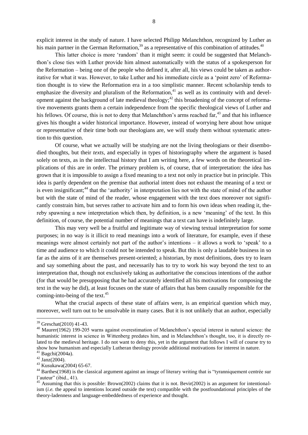explicit interest in the study of nature. I have selected Philipp Melanchthon, recognized by Luther as his main partner in the German Reformation, $39$  as a representative of this combination of attitudes.  $40$ 

This latter choice is more 'random' than it might seem: it could be suggested that Melanchthon's close ties with Luther provide him almost automatically with the status of a spokesperson for the Reformation – being one of the people who defined it, after all, his views could be taken as authoritative for what it was. However, to take Luther and his immediate circle as a 'point zero' of Reformation thought is to view the Reformation era in a too simplistic manner. Recent scholarship tends to emphasize the diversity and pluralism of the Reformation,<sup>41</sup> as well as its continuity with and development against the background of late medieval theology;<sup>42</sup> this broadening of the concept of reformative movements grants them a certain independence from the specific theological views of Luther and his fellows. Of course, this is not to deny that Melanchthon's arms reached far,<sup>43</sup> and that his influence gives his thought a wider historical importance. However, instead of worrying here about how unique or representative of their time both our theologians are, we will study them without systematic attention to this question.

Of course, what we actually will be studying are not the living theologians or their disembodied thoughts, but their *texts*, and especially in types of historiography where the argument is based solely on texts, as in the intellectual history that I am writing here, a few words on the theoretical implications of this are in order. The primary problem is, of course, that of interpretation: the idea has grown that it is impossible to assign a fixed meaning to a text not only in practice but in principle. This idea is partly dependent on the premise that authorial intent does not exhaust the meaning of a text or is even insignificant;<sup>44</sup> that the 'authority' in interpretation lies not with the state of mind of the author but with the state of mind of the reader, whose engagement with the text does moreover not significantly constrain him, but serves rather to activate him and to form his own ideas when reading it, thereby spawning a new interpretation which then, by definition, is a new 'meaning' of the text. In this definition, of course, the potential number of meanings that a text can have is indefinitely large.

This may very well be a fruitful and legitimate way of viewing textual interpretation for some purposes; in no way is it illicit to read meanings into a work of literature, for example, even if these meanings were almost certainly not part of the author's intentions  $-$  it allows a work to 'speak' to a time and audience to which it could not be intended to speak. But this is only a laudable business in so far as the aims of it are themselves present-oriented; a historian, by most definitions, does try to learn and say something about the past, and necessarily has to try to work his way beyond the text to an interpretation that, though not exclusively taking as authoritative the conscious intentions of the author (for that would be presupposing that he had accurately identified all his motivations for composing the text in the way he did), at least focuses on the state of affairs that has been causally responsible for the coming-into-being of the text.<sup>45</sup>

What the crucial aspects of these state of affairs were, is an empirical question which may, moreover, well turn out to be unsolvable in many cases. But it is not unlikely that an author, especially

- 
- $43$  Kusukawa(2004) 65-67.

<sup>39</sup> Greschat(2010) 41-43.

<sup>&</sup>lt;sup>40</sup> Maurer(1962) 199-205 warns against overestimation of Melanchthon's special interest in natural science: the humanistic interest in science in Wittenberg predates him, and in Melanchthon's thought, too, it is directly related to the medieval heritage. I do not want to deny this, yet in the argument that follows I will of course try to show how humanism and especially Lutheran theology provide additional motivations for interest in nature.  $41$  Bagchi(2004a).

 $42 \overline{Janz}$ (2004).

<sup>&</sup>lt;sup>44</sup> Barthes(1968) is the classical argument against an image of literary writing that is "tyranniquement centrée sur l'auteur" (ibid., 41).

<sup>&</sup>lt;sup>45</sup> Assuming that this is possible: Brown(2002) claims that it is not. Bevir(2002) is an argument for intentionalism (*i.e.* the appeal to intentions located outside the text) compatible with the postfoundational principles of the theory-ladenness and language-embeddedness of experience and thought.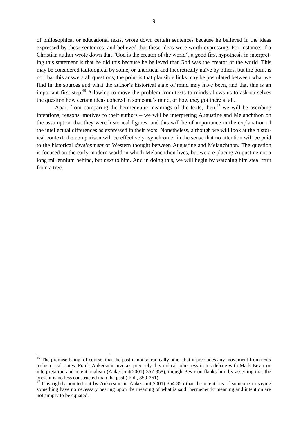of philosophical or educational texts, wrote down certain sentences because he believed in the ideas expressed by these sentences, and believed that these ideas were worth expressing. For instance: if a Christian author wrote down that "God is the creator of the world", a good first hypothesis in interpreting this statement is that he did this because he believed that God was the creator of the world. This may be considered tautological by some, or uncritical and theoretically naïve by others, but the point is not that this answers all questions; the point is that plausible links may be postulated between what we find in the sources and what the author's historical state of mind may have been, and that this is an important first step.<sup>46</sup> Allowing to move the problem from texts to minds allows us to ask ourselves the question how certain ideas cohered in someone's mind, or how they got there at all.

Apart from comparing the hermeneutic meanings of the texts, then,<sup>47</sup> we will be ascribing intentions, reasons, motives to their authors – we will be interpreting Augustine and Melanchthon on the assumption that they were historical figures, and this will be of importance in the explanation of the intellectual differences as expressed in their texts. Nonetheless, although we will look at the historical context, the comparison will be effectively 'synchronic' in the sense that no attention will be paid to the historical *development* of Western thought between Augustine and Melanchthon. The question is focused on the early modern world in which Melanchthon lives, but we are placing Augustine not a long millennium behind, but *next* to him. And in doing this, we will begin by watching him steal fruit from a tree.

l

 $46$  The premise being, of course, that the past is not so radically other that it precludes any movement from texts to historical states. Frank Ankersmit invokes precisely this radical otherness in his debate with Mark Bevir on interpretation and intentionalism (Ankersmit(2001) 357-358), though Bevir outflanks him by asserting that the present is no less constructed than the past (ibid., 359-361).

 $47$  It is rightly pointed out by Ankersmit in Ankersmit(2001) 354-355 that the intentions of someone in saying something have no necessary bearing upon the meaning of what is said: hermeneutic meaning and intention are not simply to be equated.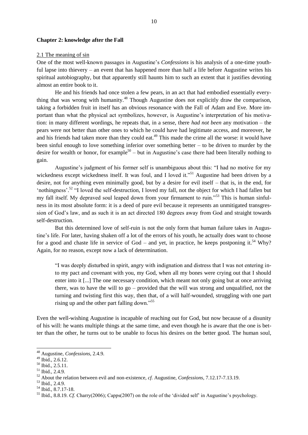#### **Chapter 2: knowledge after the Fall**

#### 2.1 The meaning of sin

One of the most well-known passages in Augustine's *Confessions* is his analysis of a one-time youthful lapse into thievery – an event that has happened more than half a life before Augustine writes his spiritual autobiography, but that apparently still haunts him to such an extent that it justifies devoting almost an entire book to it.

He and his friends had once stolen a few pears, in an act that had embodied essentially everything that was wrong with humanity.<sup>48</sup> Though Augustine does not explicitly draw the comparison, taking a forbidden fruit in itself has an obvious resonance with the Fall of Adam and Eve. More important than what the physical act symbolizes, however, is Augustine's interpretation of his motivation: in many different wordings, he repeats that, in a sense, there *had not been* any motivation – the pears were not better than other ones to which he could have had legitimate access, and moreover, he and his friends had taken more than they could eat.<sup>49</sup> This made the crime all the worse: it would have been sinful enough to love something inferior over something better – to be driven to murder by the desire for wealth or honor, for example<sup>50</sup> – but in Augustine's case there had been literally nothing to gain.

Augustine's judgment of his former self is unambiguous about this: "I had no motive for my wickedness except wickedness itself. It was foul, and I loved it."<sup>51</sup> Augustine had been driven by a desire, not for anything even minimally good, but by a desire for evil itself – that is, in the end, for 'nothingness'.<sup>52</sup> "I loved the self-destruction, I loved my fall, not the object for which I had fallen but my fall itself. My depraved soul leaped down from your firmament to ruin."<sup>53</sup> This is human sinfulness in its most absolute form: it is a deed of pure evil because it represents an unmitigated transgression of God's law, and as such it is an act directed 180 degrees away from God and straight towards self-destruction.

But this determined love of self-ruin is not the only form that human failure takes in Augustine's life. For later, having shaken off a lot of the errors of his youth, he actually does want to choose for a good and chaste life in service of God – and yet, in practice, he keeps postponing it.<sup>54</sup> Why? Again, for no reason, except now a lack of determination.

―I was deeply disturbed in spirit, angry with indignation and distress that I was not entering into my pact and covenant with you, my God, when all my bones were crying out that I should enter into it [...] The one necessary condition, which meant not only going but at once arriving there, was to have the will to go – provided that the will was strong and unqualified, not the turning and twisting first this way, then that, of a will half-wounded, struggling with one part rising up and the other part falling down."<sup>55</sup>

Even the well-wishing Augustine is incapable of reaching out for God, but now because of a disunity of his will: he wants multiple things at the same time, and even though he is aware that the one is better than the other, he turns out to be unable to focus his desires on the better good. The human soul,

<sup>48</sup> Augustine, *Confessions*, 2.4.9.

 $^{49}$  Ibid., 2.6.12.

 $^{50}$  Ibid.,  $2.5.11$ .

 $51$  Ibid., 2.4.9.

<sup>52</sup> About the relation between evil and non-existence, *cf.* Augustine, *Confessions*, 7.12.17-7.13.19.

<sup>53</sup> Ibid., 2.4.9.

<sup>54</sup> Ibid., 8.7.17-18.

<sup>&</sup>lt;sup>55</sup> Ibid., 8.8.19. *Cf.* Charry(2006); Capps(2007) on the role of the 'divided self' in Augustine's psychology.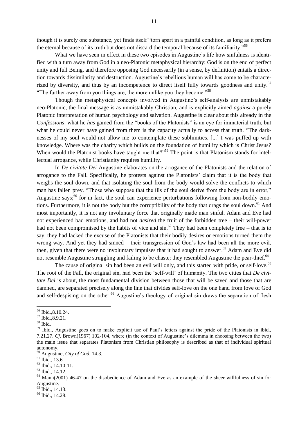though it is surely one substance, yet finds itself "torn apart in a painful condition, as long as it prefers the eternal because of its truth but does not discard the temporal because of its familiarity.<sup>556</sup>

What we have seen in effect in these two episodes in Augustine's life how sinfulness is identified with a turn away from God in a neo-Platonic metaphysical hierarchy: God is on the end of perfect unity and full Being, and therefore opposing God necessarily (in a sense, by definition) entails a direction towards dissimilarity and destruction. Augustine's rebellious human will has come to be characterized by diversity, and thus by an incompetence to direct itself fully towards goodness and unity.<sup>57</sup> "The further away from you things are, the more unlike you they become."<sup>58</sup>

Though the metaphysical concepts involved in Augustine's self-analysis are unmistakably neo-Platonic, the final message is as unmistakably Christian, and is explicitly aimed *against* a purely Platonic interpretation of human psychology and salvation. Augustine is clear about this already in the *Confessions*: what he *has* gained from the "books of the Platonists" is an eye for immaterial truth, but what he could never have gained from them is the capacity actually to access that truth. "The darknesses of my soul would not allow me to contemplate these sublimities. [...] I was puffed up with knowledge. Where was the charity which builds on the foundation of humility which is Christ Jesus? When would the Platonist books have taught me that?<sup>59</sup> The point is that Platonism stands for intellectual arrogance, while Christianity requires humility.

In *De civitate Dei* Augustine elaborates on the arrogance of the Platonists and the relation of arrogance to the Fall. Specifically, he protests against the Platonists' claim that it is the body that weighs the soul down, and that isolating the soul from the body would solve the conflicts to which man has fallen prey. "Those who suppose that the ills of the soul derive from the body are in error," Augustine says;<sup>60</sup> for in fact, the soul can experience perturbations following from non-bodily emotions. Furthermore, it is not the body but the corruptibility of the body that drags the soul down.<sup>61</sup> And most importantly, it is not any involuntary force that originally made man sinful. Adam and Eve had not experienced bad emotions, and had not *desired* the fruit of the forbidden tree – their will-power had not been compromised by the habits of vice and  $\sin^{0.62}$  They had been completely free – that is to say, they had lacked the excuse of the Platonists that their bodily desires or emotions turned them the wrong way. And yet they had sinned – their transgression of God's law had been all the more evil, then, given that there were no involuntary impulses that it had sought to answer. <sup>63</sup> Adam and Eve did not resemble Augustine struggling and failing to be chaste; they resembled Augustine the pear-thief.<sup>64</sup>

The cause of original sin had been an evil will only, and this started with pride, or self-love.<sup>65</sup> The root of the Fall, the original sin, had been the 'self-will' of humanity. The two cities that *De civitate Dei* is about, the most fundamental division between those that will be saved and those that are damned, are separated precisely along the line that divides self-love on the one hand from love of God and self-despising on the other. <sup>66</sup> Augustine's theology of original sin draws the separation of flesh

<sup>56</sup> Ibid.,8.10.24.

<sup>57</sup> Ibid.,8.9.21.

<sup>58</sup> Ibid.

<sup>&</sup>lt;sup>59</sup> Ibid., Augustine goes on to make explicit use of Paul's letters against the pride of the Platonists in ibid., 7.21.27. *Cf.* Brown(1967) 102-104, where (in the context of Augustine's dilemma in choosing between the two) the main issue that separates Platonism from Christian philosophy is described as that of individual spiritual autonomy.

<sup>60</sup> Augustine, *City of God*, 14.3.

<sup>61</sup> Ibid., 13.6

 $62$  Ibid., 14.10-11.

<sup>63</sup> Ibid., 14.12.

 $64$  Mann(2001) 46-47 on the disobedience of Adam and Eve as an example of the sheer willfulness of sin for Augustine.

<sup>&</sup>lt;sup>65</sup> Ibid., 14.13.

<sup>&</sup>lt;sup>66</sup> Ibid., 14.28.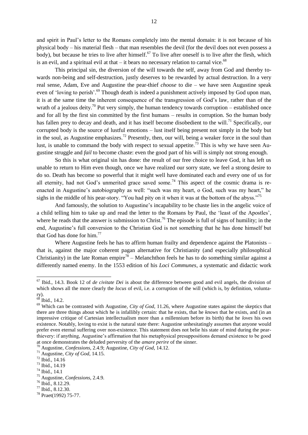and spirit in Paul's letter to the Romans completely into the mental domain: it is not because of his physical body – his material flesh – that man resembles the devil (for the devil does not even possess a body), but because he tries to live after himself.<sup>67</sup> To live after oneself is to live after the flesh, which is an evil, and a spiritual evil at that – it bears no necessary relation to carnal vice.<sup>68</sup>

This principal sin, the diversion of the will towards the self, away from God and thereby towards non-being and self-destruction, justly deserves to be rewarded by actual destruction. In a very real sense, Adam, Eve and Augustine the pear-thief *choose* to die – we have seen Augustine speak even of 'loving to perish'.<sup>69</sup> Though death is indeed a punishment actively imposed by God upon man, it is at the same time the inherent consequence of the transgression of God's law, rather than of the wrath of a jealous deity.<sup>70</sup> Put very simply, the human tendency towards corruption – established once and for all by the first sin committed by the first humans – results in corruption. So the human body has fallen prey to decay and death, and it has itself become disobedient to the will.<sup>71</sup> Specifically, our corrupted body is the source of lustful emotions – lust itself being present not simply in the body but in the soul, as Augustine emphasizes.<sup>72</sup> Presently, then, our will, being a weaker force in the soul than lust, is unable to command the body with respect to sexual appetite.<sup>73</sup> This is why we have seen Augustine struggle and *fail* to become chaste: even the good part of his will is simply not strong enough.

So this is what original sin has done: the result of our free choice to leave God, it has left us unable to return to Him even though, once we have realized our sorry state, we feel a strong desire to do so. Death has become so powerful that it might well have dominated each and every one of us for all eternity, had not God's unmerited grace saved some.<sup>74</sup> This aspect of the cosmic drama is reenacted in Augustine's autobiography as well: "such was my heart, o God, such was my heart," he sighs in the middle of his pear-story. "You had pity on it when it was at the bottom of the abyss."<sup>75</sup>

And famously, the solution to Augustine's incapability to be chaste lies in the angelic voice of a child telling him to take up and read the letter to the Romans by Paul, the ‗least of the Apostles', where he reads that the answer is submission to Christ.<sup>76</sup> The episode is full of signs of humility; in the end, Augustine's full conversion to the Christian God is not something that he has done himself but that God has done for him. $^{77}$ 

Where Augustine feels he has to affirm human frailty and dependence against the Platonists – that is, against the major coherent pagan alternative for Christianity (and especially philosophical Christianity) in the late Roman empire<sup>78</sup> – Melanchthon feels he has to do something similar against a differently named enemy. In the 1553 edition of his *Loci Communes*, a systematic and didactic work

<sup>67</sup> Ibid., 14.3. Book 12 of *de civitate Dei* is about the difference between good and evil angels, the division of which shows all the more clearly the *locus* of evil, i.e. a corruption of the will (which is, by definition, voluntary).

 $68$  Ibid., 14.2.

<sup>69</sup> Which can be contrasted with Augustine, *City of God*, 11.26, where Augustine states against the skeptics that there are three things about which he is infallibly certain: that he exists, that he *knows* that he exists, and (in an impressive critique of Cartesian intellectualism more than a millennium before its birth) that he *loves* his own existence. Notably, loving to exist is the natural state there: Augustine unhesitatingly assumes that anyone would prefer even eternal suffering over non-existence. This statement does not belie his state of mind during the pearthievery: if anything, Augustine's affirmation that his metaphysical presuppositions demand existence to be good at once demonstrates the deluded perversity of the *amare perire* of the sinner.

<sup>70</sup> Augustine, *Confessions*, 2.4.9; Augustine, *City of God*, 14.12.

<sup>71</sup> Augustine, *City of God*, 14.15.

<sup>72</sup> Ibid., 14.16

<sup>73</sup> Ibid., 14.19

<sup>74</sup> Ibid., 14.1

<sup>75</sup> Augustine, *Confessions*, 2.4.9.

<sup>76</sup> Ibid., 8.12.29.

<sup>77</sup> Ibid., 8.12.30.

<sup>78</sup> Praet(1992) 75-77.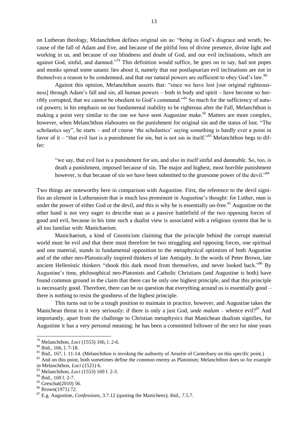on Lutheran theology, Melanchthon defines original sin as: "being in God's disgrace and wrath, because of the fall of Adam and Eve, and because of the pitiful loss of divine presence, divine light and working in us, and because of our blindness and doubt of God, and our evil inclinations, which are against God, sinful, and damned.<sup>79</sup> This definition would suffice, he goes on to say, had not popes and monks spread some satanic lies about it, namely that our postlapsarian evil inclinations are not in themselves a reason to be condemned, and that our natural powers are sufficient to obey God's law.<sup>80</sup>

Against this opinion, Melanchthon asserts that: "since we have lost [our original righteousness] through Adam's fall and sin, all human powers – both in body and spirit – have become so horribly corrupted, that we cannot be obedient to God's command.<sup>81</sup> So much for the sufficiency of natural powers; in his emphasis on our fundamental inability to be righteous after the Fall, Melanchthon is making a point very similar to the one we have seen Augustine make.<sup>82</sup> Matters are more complex, however, when Melanchthon elaborates on the punishment for original sin and the status of lust. "The scholastics say", he starts – and of course 'the scholastics' saying something is hardly ever a point in favor of it – "that evil lust is a punishment for sin, but is not sin in itself."<sup>83</sup> Melanchthon begs to differ:

―we say, that evil lust is a punishment for sin, and also in itself sinful and damnable. So, too, is death a punishment, imposed because of sin. The major and highest, most horrible punishment however, is that because of sin we have been submitted to the gruesome power of the devil.<sup>84</sup>

Two things are noteworthy here in comparison with Augustine. First, the reference to the devil signifies an element in Lutheranism that is much less prominent in Augustine's thought: for Luther, man is under the power of either God or the devil, and this is why he is essentially un-free.<sup>85</sup> Augustine on the other hand is not very eager to describe man as a passive battlefield of the two opposing forces of good and evil, because in his time such a dualist view is associated with a religious system that he is all too familiar with: Manichaeism.

Manichaeism, a kind of Gnosticism claiming that the principle behind the corrupt material world must be evil and that there must therefore be two struggling and opposing forces, one spiritual and one material, stands in fundamental opposition to the metaphysical optimism of both Augustine and of the other neo-Platonically inspired thinkers of late Antiquity. In the words of Peter Brown, late ancient Hellenistic thinkers "shook this dark mood from themselves, and never looked back."<sup>86</sup> By Augustine's time, philosophical neo-Platonists and Catholic Christians (and Augustine is both) have found common ground in the claim that there can be only *one* highest principle, and that this principle is necessarily good. Therefore, there can be no question that everything around us is essentially good – there is nothing to resist the goodness of the highest principle.

This turns out to be a tough position to maintain in practice, however, and Augustine takes the Manichean threat to it very seriously: if there is only a just God, *unde malum* – whence evil?<sup>87</sup> And importantly, apart from the challenge to Christian metaphysics that Manichean dualism signifies, for Augustine it has a very personal meaning: he has been a committed follower of the sect for nine years

<sup>79</sup> Melanchthon, *Loci* (1553) 166, l. 2-6.

<sup>80</sup> Ibid., 166, l. 7-18.

 $81$  Ibid., 167, l. 11-14. (Melanchthon is invoking the authority of Anselm of Canterbury on this specific point.)

<sup>&</sup>lt;sup>82</sup> And on this point, both sometimes define the common enemy as Platonism; Melanchthon does so for example in Melanchthon, *Loci* (1521) 6.

<sup>83</sup> Melanchthon, *Loci* (1553) 169 l. 2-3.

 $84$  Ibid., 169 l. 2-7.

<sup>85</sup> Greschat(2010) 56.

<sup>86</sup> Brown(1971) 72.

<sup>87</sup> E.g. Augustine, *Confessions*, 3.7.12 (quoting the Manichees); ibid., 7.5.7.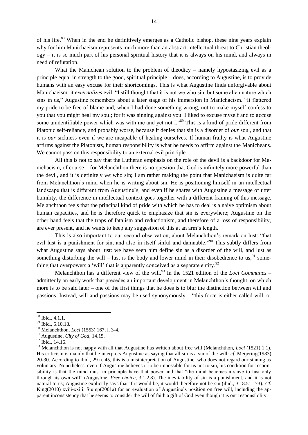of his life.<sup>88</sup> When in the end he definitively emerges as a Catholic bishop, these nine years explain why for him Manichaeism represents much more than an abstract intellectual threat to Christian theology – it is so much part of his personal spiritual history that it is always on his mind, and always in need of refutation.

What the Manichean solution to the problem of theodicy – namely hypostasizing evil as a principle equal in strength to the good, spiritual principle – does, according to Augustine, is to provide humans with an easy excuse for their shortcomings. This is what Augustine finds unforgivable about Manichaeism: it *externalizes* evil. "I still thought that it is not we who sin, but some alien nature which sins in us," Augustine remembers about a later stage of his immersion in Manichaeism. "It flattered my pride to be free of blame and, when I had done something wrong, not to make myself confess to you that you might heal my soul; for it was sinning against you. I liked to excuse myself and to accuse some unidentifiable power which was with me and yet not  $I^{989}$ . This is a kind of pride different from Platonic self-reliance, and probably worse, because it denies that sin is a disorder of *our* soul, and that it is *our* sickness even if we are incapable of healing ourselves. If human frailty is what Augustine affirms against the Platonists, human responsibility is what he needs to affirm against the Manicheans. We cannot pass on this responsibility to an external evil principle.

All this is not to say that the Lutheran emphasis on the role of the devil is a backdoor for Manichaeism, of course – for Melanchthon there is no question that God is infinitely more powerful than the devil, and it is definitely *we* who sin; I am rather making the point that Manichaeism is quite far from Melanchthon's mind when he is writing about sin. He is positioning himself in an intellectual landscape that is different from Augustine's, and even if he shares with Augustine a message of utter humility, the difference in intellectual context goes together with a different framing of this message. Melanchthon feels that the principal kind of pride with which he has to deal is a naive optimism about human capacities, and he is therefore quick to emphasize that sin is everywhere; Augustine on the other hand feels that the traps of fatalism and reductionism, and therefore of a loss of responsibility, are ever present, and he wants to keep any suggestion of this at an arm's length.

This is also important to our second observation, about Melanchthon's remark on lust: "that evil lust is a punishment for sin, and also in itself sinful and damnable.<sup>990</sup> This subtly differs from what Augustine says about lust: we have seen him define sin as a disorder of the will, and lust as something disturbing the will – lust is the body and lower mind in their disobedience to us,  $91$  something that overpowers a 'will' that is apparently conceived as a separate entity.<sup>92</sup>

Melanchthon has a different view of the will.<sup>93</sup> In the 1521 edition of the *Loci Communes* – admittedly an early work that precedes an important development in Melanchthon's thought, on which more is to be said later – one of the first things that he does is to blur the distinction between will and passions. Instead, will and passions may be used synonymously – "this force is either called will, or

<sup>88</sup> Ibid., 4.1.1.

<sup>89</sup> Ibid., 5.10.18.

<sup>90</sup> Melanchthon, *Loci* (1553) 167, l. 3-4.

<sup>91</sup> Augustine, *City of God*, 14.15.

<sup>&</sup>lt;sup>92</sup> Ibid., 14.16.

<sup>93</sup> Melanchthon is not happy with all that Augustine has written about free will (Melanchthon, *Loci* (1521) 1.1). His criticism is mainly that he interprets Augustine as saying that all sin is a sin of the will: *cf.* Meijering(1983) 20-30. According to ibid., 29 n. 45, this is a misinterpretation of Augustine, who does not regard our sinning as voluntary. Nonetheless, even if Augustine believes it to be impossible for us not to sin, his condition for responsibility is that the mind must in principle have that power and that "the mind becomes a slave to lust only through its own will‖ (Augustine, *Free choice*, 3.1.2.8). The inevitability of sin is a punishment, and it is not natural to us; Augustine explicitly says that if it would be, it would therefore not be sin (ibid., 3.18.51.173). *Cf.* King(2010) xviii-xxiii; Stump(2001a) for an evaluation of Augustine's position on free will, including the apparent inconsistency that he seems to consider the will of faith a gift of God even though it is our responsibility.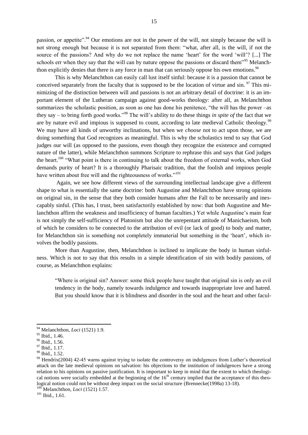passion, or appetite".<sup>94</sup> Our emotions are not in the power of the will, not simply because the will is not strong enough but because it is not separated from them: "what, after all, is the will, if not the source of the passions? And why do we not replace the name 'heart' for the word 'will'? [...] The schools err when they say that the will can by nature oppose the passions or discard them<sup>995</sup> Melanchthon explicitly denies that there is any force in man that can seriously oppose his own emotions.  $96$ 

This is why Melanchthon can easily call lust itself sinful: because it is a passion that cannot be conceived separately from the faculty that is supposed to be the location of virtue and sin.  $\frac{97}{10}$  This minimizing of the distinction between will and passions is not an arbitrary detail of doctrine: it is an important element of the Lutheran campaign against good-works theology: after all, as Melanchthon summarizes the scholastic position, as soon as one has done his penitence, "the will has the power –as they say – to bring forth good works.<sup>998</sup> The will's ability to do these things *in spite of* the fact that we are by nature evil and impious is supposed to count, according to late medieval Catholic theology.<sup>99</sup> We may have all kinds of unworthy inclinations, but when we *choose* not to act upon those, we are doing something that God recognizes as meaningful. This is why the scholastics tend to say that God judges our will (as opposed to the passions, even though they recognize the existence and corrupted nature of the latter), while Melanchthon summons Scripture to rephrase this and says that God judges the heart.<sup>100</sup> "What point is there in continuing to talk about the freedom of external works, when God demands purity of heart? It is a thoroughly Pharisaic tradition, that the foolish and impious people have written about free will and the righteousness of works."<sup>101</sup>

Again, we see how different views of the surrounding intellectual landscape give a different shape to what is essentially the same doctrine: both Augustine and Melanchthon have strong opinions on original sin, in the sense that they both consider humans after the Fall to be necessarily and inescapably sinful. (This has, I trust, been satisfactorily established by now: that both Augustine and Melanchthon affirm the weakness and insufficiency of human faculties.) Yet while Augustine's main fear is not simply the self-sufficiency of Platonism but also the unrepentant attitude of Manichaeism, both of which he considers to be connected to the attribution of evil (or lack of good) to body and matter, for Melanchthon sin is something not completely immaterial but something in the 'heart', which involves the bodily passions.

More than Augustine, then, Melanchthon is inclined to implicate the body in human sinfulness. Which is not to say that this results in a simple identification of sin with bodily passions, of course, as Melanchthon explains:

―Where is original sin? Answer: some thick people have taught that original sin is only an evil tendency in the body, namely towards indulgence and towards inappropriate love and hatred. But you should know that it is blindness and disorder in the soul and the heart and other facul-

 $\overline{a}$ 

<sup>101</sup> Ibid., 1.61.

<sup>94</sup> Melanchthon, *Loci* (1521) 1.9.

<sup>95</sup> Ibid., 1.46.

<sup>96</sup> Ibid., 1.56.

<sup>&</sup>lt;sup>97</sup> Ibid., 1.17.

<sup>98</sup> Ibid., 1.52.

<sup>&</sup>lt;sup>99</sup> Hendrix(2004) 42-45 warns against trying to isolate the controversy on indulgences from Luther's theoretical attack on the late medieval opinions on salvation: his objections to the institution of indulgences have a strong relation to his opinions on passive justification. It is important to keep in mind that the extent to which theological notions were socially embedded at the beginning of the  $16<sup>th</sup>$  century implied that the acceptance of this theological notion could not be without deep impact on the social structure (Brennecke(1998a) 13-18).

Melanchthon, *Loci* (1521) 1.57.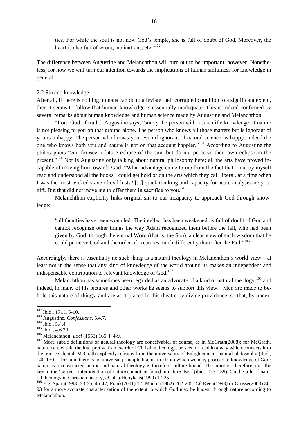ties. For while the soul is not now God's temple, she is full of doubt of God. Moreover, the heart is also full of wrong inclinations, etc." $102$ 

The difference between Augustine and Melanchthon will turn out to be important, however. Nonetheless, for now we will turn our attention towards the implications of human sinfulness for knowledge in general.

#### 2.2 Sin and knowledge

After all, if there is nothing humans can do to alleviate their corrupted condition to a significant extent, then it seems to follow that human knowledge is essentially inadequate. This is indeed confirmed by several remarks about human knowledge and human science made by Augustine and Melanchthon.

"Lord God of truth," Augustine says, "surely the person with a scientific knowledge of nature is not pleasing to you on that ground alone. The person who knows all those matters but is ignorant of you is unhappy. The person who knows you, even if ignorant of natural science, is happy. Indeed the one who knows both you and nature is not on that account happier."<sup>103</sup> According to Augustine the philosophers "can foresee a future eclipse of the sun, but do not perceive their own eclipse in the present."<sup>104</sup> Nor is Augustine only talking about natural philosophy here; all the arts have proved incapable of moving him towards God. "What advantage came to me from the fact that I had by myself read and understood all the books I could get hold of on the arts which they call liberal, at a time when I was the most wicked slave of evil lusts? [...] quick thinking and capacity for acute analysis are your gift. But that did not move me to offer them in sacrifice to you."<sup>105</sup>

Melanchthon explicitly links original sin to our incapacity to approach God through knowledge:

"all faculties have been wounded. The intellect has been weakened, is full of doubt of God and cannot recognize other things the way Adam recognized them before the fall, who had been given by God, through the eternal Word (that is, the Son), a clear view of such wisdom that he could perceive God and the order of creatures much differently than after the Fall."<sup>106</sup>

Accordingly, there is essentially no such thing as a natural theology in Melanchthon's world-view – at least not in the sense that any kind of knowledge of the world around us makes an independent and indispensable contribution to relevant knowledge of God.<sup>107</sup>

Melanchthon has sometimes been regarded as an advocate of a kind of natural theology,  $^{108}$  and indeed, in many of his lectures and other works he seems to support this view. "Men are made to behold this nature of things, and are as if placed in this theatre by divine providence, so that, by under-

 $102$  Ibid., 171 l. 5-10.

<sup>103</sup> Augustine, *Confessions*, 5.4.7.

<sup>&</sup>lt;sup>104</sup> Ibid., 5.4.4.

<sup>105</sup> Ibid., 4.6.30

<sup>106</sup> Melanchthon, *Loci* (1553) 165, l. 4-9.

<sup>&</sup>lt;sup>107</sup> More subtle definitions of natural theology are conceivable, of course, as in McGrath(2008): for McGrath, nature can, within the interpretive framework of Christian theology, be seen or read in a way which connects it to the transcendental. McGrath explicitly refrains from the universality of Enlightenment natural philosophy (ibid., 140-170) – for him, there is no universal principle like nature from which we may proceed to knowledge of God: nature is a constructed notion and natural theology is therefore culture-bound. The point is, therefore, that the key to the ‗correct' interpretation of nature cannot be found in nature itself (ibid., 133-139). On the role of natural theology in Christian history, *cf.* also Hooykaas(1999) 17-25.

<sup>108</sup> E.g. Sparn(1998) 33-35, 45-47; Frank(2001) 17; Maurer(1962) 202-205. *Cf.* Keen(1998) or Grosse(2003) 80- 93 for a more accurate characterization of the extent to which God may be known through nature according to Melanchthon.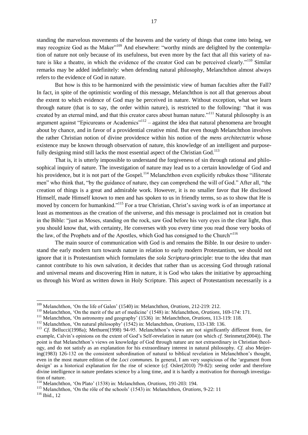standing the marvelous movements of the heavens and the variety of things that come into being, we may recognize God as the Maker<sup>"109</sup> And elsewhere: "worthy minds are delighted by the contemplation of nature not only because of its usefulness, but even more by the fact that all this variety of nature is like a theatre, in which the evidence of the creator God can be perceived clearly."<sup>110</sup> Similar remarks may be added indefinitely: when defending natural philosophy, Melanchthon almost always refers to the evidence of God in nature.

But how is this to be harmonized with the pessimistic view of human faculties after the Fall? In fact, in spite of the optimistic wording of this message, Melanchthon is not all that generous about the extent to which evidence of God may be perceived in nature. Without exception, what we learn through nature (that is to say, the order within nature), is restricted to the following: "that it was created by an eternal mind, and that this creator cares about human nature."<sup>111</sup> Natural philosophy is an argument against "Epicureans or Academics"<sup>112</sup> – against the idea that natural phenomena are brought about by chance, and in favor of a providential creative mind. But even though Melanchthon involves the rather Christian notion of divine providence within his notion of the *mens architectatrix* whose existence may be known through observation of nature, this knowledge of an intelligent and purposefully designing mind still lacks the most essential aspect of the Christian God.<sup>113</sup>

That is, it is utterly impossible to understand the forgiveness of sin through rational and philosophical inquiry of nature. The investigation of nature may lead us to a certain knowledge of God and his providence, but it is not part of the Gospel.<sup>114</sup> Melanchthon even explicitly rebukes those "illiterate" men" who think that, "by the guidance of nature, they can comprehend the will of God." After all, "the creation of things is a great and admirable work. However, it is no smaller favor that He disclosed Himself, made Himself known to men and has spoken to us in friendly terms, so as to show that He is moved by concern for humankind.<sup>115</sup> For a true Christian, Christ's saving work is of an importance at least as momentous as the creation of the universe, and this message is proclaimed not in creation but in the Bible: "just as Moses, standing on the rock, saw God before his very eyes in the clear light, thus you should know that, with certainty, He converses with you every time you read those very books of the law, of the Prophets and of the Apostles, which God has consigned to the Church"<sup>116</sup>

The main source of communication with God is and remains the Bible. In our desire to understand the early modern turn towards nature in relation to early modern Protestantism, we should not ignore that it is Protestantism which formulates the *sola Scriptura*-principle: true to the idea that man cannot contribute to his own salvation, it decides that rather than us accessing God through rational and universal means and discovering Him in nature, it is God who takes the initiative by approaching us through his Word as written down in Holy Scripture. This aspect of Protestantism necessarily is a

l

<sup>109</sup> Melanchthon, ‗On the life of Galen' (1540) in: Melanchthon, *Orations*, 212-219: 212.

<sup>&</sup>lt;sup>110</sup> Melanchthon, 'On the merit of the art of medicine' (1548) in: Melanchthon, *Orations*, 169-174: 171.

<sup>&</sup>lt;sup>111</sup> Melanchthon, 'On astronomy and geography' (1536) in: Melanchthon, *Orations*, 113-119: 118.

<sup>&</sup>lt;sup>112</sup> Melanchthon, 'On natural philosophy' (1542) in: Melanchthon, *Orations*, 133-138: 136.

<sup>&</sup>lt;sup>113</sup> *Cf.* Bellucci(1998a); Methuen(1998) 94-95. Melanchthon's views are not significantly different from, for example, Calvin's opinions on the extent of God's Self-revelation in nature (on which *cf.* Steinmetz(2004)). The point is that Melanchthon's views on knowledge of God through nature are not extraordinary in Christian theology, and do not satisfy as an explanation for his extraordinary interest in natural philosophy. *Cf.* also Meijering(1983) 126-132 on the consistent subordination of natural to biblical revelation in Melanchthon's thought, even in the most mature edition of the *Loci communes*. In general, I am very suspicious of the 'argument from design' as a historical explanation for the rise of science (*cf.* Osler(2010) 79-82): seeing order and therefore divine intelligence in nature predates science by a long time, and it is hardly a motivation for thorough investigation of nature.

<sup>114</sup> Melanchthon, ‗On Plato' (1538) in: Melanchthon, *Orations*, 191-203: 194.

<sup>&</sup>lt;sup>115</sup> Melanchthon, 'On the rôle of the schools' (1543) in: Melanchthon, *Orations*, 9-22: 11

 $116$  Ibid., 12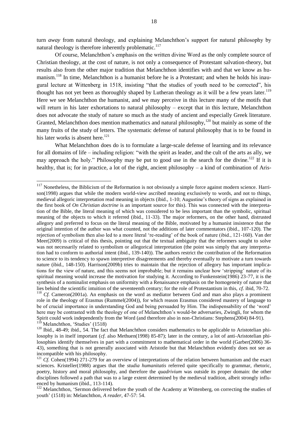turn *away* from natural theology, and explaining Melanchthon's support for natural philosophy by natural theology is therefore inherently problematic.<sup>117</sup>

Of course, Melanchthon's emphasis on the written divine Word as the only complete source of Christian theology, at the cost of nature, is not only a consequence of Protestant salvation-theory, but results also from the other major tradition that Melanchthon identifies with and that we know as humanism.<sup>118</sup> In time, Melanchthon is a humanist before he is a Protestant; and when he holds his inaugural lecture at Wittenberg in 1518, insisting "that the studies of youth need to be corrected", his thought has not yet been as thoroughly shaped by Lutheran theology as it will be a few years later.<sup>119</sup> Here we see Melanchthon the humanist, and we may perceive in this lecture many of the motifs that will return in his later exhortations to natural philosophy – except that in this lecture, Melanchthon does not advocate the study of nature so much as the study of ancient and especially Greek literature. Granted, Melanchthon does mention mathematics and natural philosophy,  $120$  but mainly as some of the many fruits of the study of letters. The systematic defense of natural philosophy that is to be found in his later works is absent here.<sup>121</sup>

What Melanchthon does do is to formulate a large-scale defense of learning and its relevance for all domains of life – including religion: "with the spirit as leader, and the cult of the arts as ally, we may approach the holy." Philosophy may be put to good use in the search for the divine.<sup>122</sup> If it is healthy, that is; for in practice, a lot of the right, ancient philosophy – a kind of combination of Aris-

 $117$  Nonetheless, the Biblicism of the Reformation is not obviously a simple force against modern science. Harrison(1998) argues that while the modern world-view ascribed meaning exclusively to words, and not to things, medieval allegoric interpretation read meaning in objects (ibid., 1-10; Augustine's theory of signs as explained in the first book of *On Christian doctrine* is an important source for this). This was connected with the interpretation of the Bible, the literal meaning of which was considered to be less important than the symbolic, spiritual meaning of the objects to which it referred (ibid., 11-33). The major reformers, on the other hand, distrusted allegory and preferred to focus on the literal meaning of the Bible, motivated by a humanist insistence that the original intention of the author was what counted, not the additions of later commentators (ibid., 107-120). The rejection of symbolism then also led to a more literal ‗re-reading' of the book of nature (ibid., 121-160). Van der Meer(2009) is critical of this thesis, pointing out that the textual ambiguity that the reformers sought to solve was not necessarily related to symbolism or allegorical interpretation (the point was simply that any interpretation had to conform to authorial intent (ibid., 139-140)). The authors restrict the contribution of the Reformation to science to its tendency to spawn interpretive disagreements and thereby eventually to motivate a turn towards nature (ibid., 148-150). Harrison(2009b) tries to maintain that the rejection of allegory has important implications for the view of nature, and this seems not improbable; but it remains unclear how ‗stripping' nature of its spiritual meaning would increase the motivation for studying it. According to Funkenstein(1986) 23-77, it is the synthesis of a nominalist emphasis on uniformity with a Renaissance emphasis on the homogeneity of nature that lies behind the scientific intuition of the seventeenth century; for the role of Protestantism in this, *cf.* ibid, 70-72.

<sup>&</sup>lt;sup>118</sup> *Cf.* Cameron(2001a). An emphasis on the word as mediator between God and man also plays a prominent role in the theology of Erasmus (Rummel(2004)), for which reason Erasmus considered mastery of language to be of crucial importance in understanding God and being persuaded by Him. The indispensability of the 'word' here may be contrasted with the theology of one of Melanchthon's would-be adversaries, Zwingli, for whom the Spirit could work independently from the Word (and therefore also in non-Christians: Stephens(2004) 84-91). Melanchthon, 'Studies' (1518)

<sup>&</sup>lt;sup>120</sup> Ibid., 48-49; ibid., 54. The fact that Melanchthon considers mathematics to be applicable to Aristotelian philosophy is in itself important (*cf*. also Methuen(1998) 85-87); later in the century, a lot of anti-Aristotelian philosophies identify themselves in part with a commitment to mathematical order in the world (Garber(2006) 36-43), something that is not generally associated with Aristotle but that Melanchthon evidently does not see as incompatible with his philosophy.

<sup>&</sup>lt;sup>121</sup> *Cf.* Cohen(1994) 271-279 for an overview of interpretations of the relation between humanism and the exact sciences. Kristeller(1988) argues that the *studia humanitatis* referred quite specifically to grammar, rhetoric, poetry, history and moral philosophy, and therefore the *quadrivium* was outside its proper domain: the other disciplines followed a path that was to a large extent determined by the medieval tradition, albeit strongly influenced by humanism (ibid., 113-114).

<sup>&</sup>lt;sup>122</sup> Melanchthon, 'Sermon delivered before the youth of the Academy at Wittenberg, on correcting the studies of youth' (1518) in: Melanchthon, *A reader*, 47-57: 54.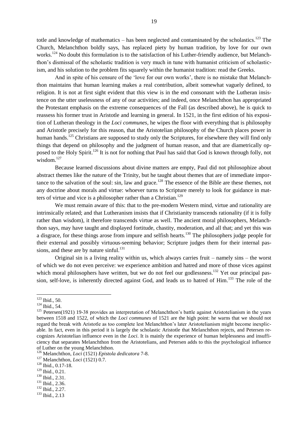totle and knowledge of mathematics – has been neglected and contaminated by the scholastics. $^{123}$  The Church, Melanchthon boldly says, has replaced piety by human tradition, by love for our own works.<sup>124</sup> No doubt this formulation is to the satisfaction of his Luther-friendly audience, but Melanchthon's dismissal of the scholastic tradition is very much in tune with humanist criticism of scholasticism, and his solution to the problem fits squarely within the humanist tradition: read the Greeks.

And in spite of his censure of the 'love for our own works', there is no mistake that Melanchthon maintains that human learning makes a real contribution, albeit somewhat vaguely defined, to religion. It is not at first sight evident that this view is in the end consonant with the Lutheran insistence on the utter uselessness of any of our activities; and indeed, once Melanchthon has appropriated the Protestant emphasis on the extreme consequences of the Fall (as described above), he is quick to reassess his former trust in Aristotle and learning in general. In 1521, in the first edition of his exposition of Lutheran theology in the *Loci communes*, he wipes the floor with everything that is philosophy and Aristotle precisely for this reason, that the Aristotelian philosophy of the Church places power in human hands.<sup>125</sup> Christians are supposed to study only the Scriptures, for elsewhere they will find only things that depend on philosophy and the judgment of human reason, and that are diametrically opposed to the Holy Spirit.<sup>126</sup> It is not for nothing that Paul has said that God is known through folly, not wisdom<sup>127</sup>

Because learned discussions about divine matters are empty, Paul did not philosophize about abstract themes like the nature of the Trinity, but he taught about themes that are of immediate importance to the salvation of the soul: sin, law and grace.<sup>128</sup> The essence of the Bible are these themes, not any doctrine about morals and virtue: whoever turns to Scripture merely to look for guidance in matters of virtue and vice is a philosopher rather than a Christian.<sup>129</sup>

We must remain aware of this: that to the pre-modern Western mind, virtue and rationality are intrinsically related; and that Lutheranism insists that if Christianity transcends rationality (if it is folly rather than wisdom), it therefore transcends virtue as well. The ancient moral philosophers, Melanchthon says, may have taught and displayed fortitude, chastity, moderation, and all that; and yet this was a disgrace, for these things arose from impure and selfish hearts.<sup>130</sup> The philosophers judge people for their external and possibly virtuous-seeming behavior; Scripture judges them for their internal passions, and these are by nature sinful. $^{131}$ 

Original sin is a living reality within us, which always carries fruit – namely sins – the worst of which we do not even perceive: we experience ambition and hatred and more of those vices against which moral philosophers have written, but we do not feel our godlessness.<sup>132</sup> Yet our principal passion, self-love, is inherently directed against God, and leads us to hatred of Him.<sup>133</sup> The role of the

<sup>133</sup> Ibid., 2.13

 $\overline{\phantom{a}}$  $123$  Ibid., 50.

<sup>124</sup> Ibid., 54.

<sup>&</sup>lt;sup>125</sup> Petersen(1921) 19-38 provides an interpretation of Melanchthon's battle against Aristotelianism in the years between 1518 and 1522, of which the *Loci communes* of 1521 are the high point: he warns that we should not regard the break with Aristotle as too complete lest Melanchthon's later Aristotelianism might become inexplicable. In fact, even in this period it is largely the scholastic Aristotle that Melanchthon rejects, and Petersen recognizes Aristotelian influence even in the *Loci*. It is mainly the experience of human helplessness and insufficiency that separates Melanchthon from the Aristotelians, and Petersen adds to this the psychological influence of Luther on the young Melanchthon.

<sup>126</sup> Melanchthon, *Loci* (1521) *Epistola dedicatora* 7-8.

<sup>127</sup> Melanchthon, *Loci* (1521) 0.7.

<sup>128</sup> Ibid., 0.17-18.

<sup>129</sup> Ibid., 0.21.

<sup>&</sup>lt;sup>130</sup> Ibid., 2.31.

<sup>131</sup> Ibid., 2.36.

<sup>&</sup>lt;sup>132</sup> Ibid., 2.27.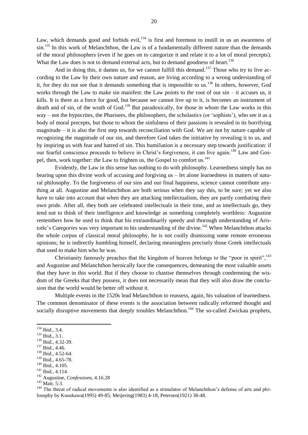Law, which demands good and forbids evil,  $134$  is first and foremost to instill in us an awareness of sin.<sup>135</sup> In this work of Melanchthon, the Law is of a fundamentally different nature than the demands of the moral philosophers (even if he goes on to categorize it and relate it to a lot of moral precepts). What the Law does is not to demand external acts, but to demand goodness of heart.<sup>136</sup>

And in doing this, it damns us, for we cannot fulfill this demand.<sup>137</sup> Those who try to live according to the Law by their own nature and reason, are living according to a wrong understanding of it, for they do not see that it demands something that is impossible to us.<sup>138</sup> In others, however, God works through the Law to make sin manifest: the Law points to the root of our sin – it accuses us, it kills. It is there as a force for good, but because we cannot live up to it, is becomes an instrument of death and of sin, of the wrath of God.<sup>139</sup> But paradoxically, for those in whom the Law works in this way – not the hypocrites, the Pharisees, the philosophers, the scholastics (or 'sophists'), who see it as a body of moral precepts, but those to whom the sinfulness of their passions is revealed in its horrifying magnitude – it is also the first step towards reconciliation with God. We are not by nature capable of recognizing the magnitude of our sin, and therefore God takes the initiative by revealing it to us, and by inspiring us with fear and hatred of sin. This humiliation is a necessary step towards justification: if our fearful conscience proceeds to believe in Christ's forgiveness, it can live again.<sup>140</sup> Law and Gospel, then, work together: the Law to frighten us, the Gospel to comfort us.<sup>141</sup>

Evidently, the Law in this sense has nothing to do with philosophy. Learnedness simply has no bearing upon this divine work of accusing and forgiving us – let alone learnedness in matters of natural philosophy. To the forgiveness of our sins and our final happiness, science cannot contribute anything at all. Augustine and Melanchthon are both serious when they say this, to be sure; yet we also have to take into account that when they are attacking intellectualism, they are partly combating their own pride. After all, they both are celebrated intellectuals in their time, and as intellectuals go, they tend not to think of their intelligence and knowledge as something completely worthless: Augustine remembers how he used to think that his extraordinarily speedy and thorough understanding of Aristotle's *Categories* was very important to his understanding of the divine.<sup>142</sup> When Melanchthon attacks the whole corpus of classical moral philosophy, he is not coolly dismissing some remote erroneous opinions; he is indirectly humbling himself, declaring meaningless precisely those Greek intellectuals that used to make him who he was.

Christianity famously preaches that the kingdom of heaven belongs to the "poor in spirit",  $^{143}$ and Augustine and Melanchthon heroically face the consequences, demeaning the most valuable assets that they have in this world. But if they choose to chastise themselves through condemning the wisdom of the Greeks that they possess, it does not necessarily mean that they will also draw the conclusion that the world would be better off without it.

Multiple events in the 1520s lead Melanchthon to reassess, again, his valuation of learnedness. The common denominator of these events is the association between radically reformed thought and socially disruptive movements that deeply troubles Melanchthon.<sup>144</sup> The so-called Zwickau prophets,

 $\overline{a}$ 

<sup>143</sup> Matt. 5:3.

<sup>134</sup> Ibid., 3.4.

<sup>135</sup> Ibid., 3.1.

<sup>136</sup> Ibid., 4.32-39.

<sup>137</sup> Ibid., 4.46.

<sup>138</sup> Ibid., 4.52-64.

<sup>139</sup> Ibid., 4.65-78.

<sup>140</sup> Ibid., 4.105.

<sup>&</sup>lt;sup>141</sup> Ibid., 4.114.

<sup>142</sup> Augustine, *Confessions*, 4.16.28

<sup>&</sup>lt;sup>144</sup> The threat of radical movements is also identified as a stimulator of Melanchthon's defense of arts and philosophy by Kusukawa(1995) 49-85; Meijering(1983) 4-18; Petersen(1921) 38-48.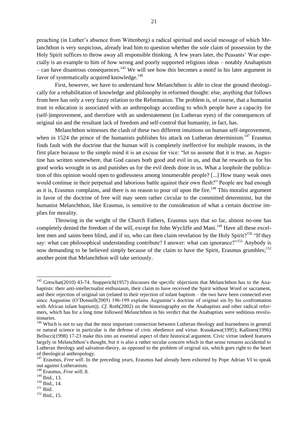preaching (in Luther's absence from Wittenberg) a radical spiritual and social message of which Melanchthon is very suspicious, already lead him to question whether the sole claim of possession by the Holy Spirit suffices to throw away all responsible thinking. A few years later, the Peasants' War especially is an example to him of how wrong and poorly supported religious ideas – notably Anabaptism – can have disastrous consequences.<sup>145</sup> We will see how this becomes a motif in his later argument in favor of systematically acquired knowledge.<sup>146</sup>

First, however, we have to understand how Melanchthon is able to clear the ground theologically for a rehabilitation of knowledge and philosophy in reformed thought: else, anything that follows from here has only a very fuzzy relation to the Reformation. The problem is, of course, that a humanist trust in education is associated with an anthropology according to which people have a capacity for (self-)improvement, and therefore with an understatement (in Lutheran eyes) of the consequences of original sin and the resultant lack of freedom and self-control that humanity, in fact, has.

Melanchthon witnesses the clash of these two different intuitions on human self-improvement, when in 1524 the prince of the humanists publishes his attack on Lutheran determinism.<sup>147</sup> Erasmus finds fault with the doctrine that the human will is completely ineffective for multiple reasons, in the first place because to the simple mind it is an excuse for vice: "let us assume that it is true, as Augustine has written somewhere, that God causes both good and evil in us, and that he rewards us for his good works wrought in us and punishes us for the evil deeds done in us. What a loophole the publication of this opinion would open to godlessness among innumerable people? [...] How many weak ones would continue in their perpetual and laborious battle against their own flesh?" People are bad enough as it is, Erasmus complains, and there is no reason to pour oil upon the fire.<sup>148</sup> This moralist argument in favor of the doctrine of free will may seem rather circular to the committed determinist, but the humanist Melanchthon, like Erasmus, is sensitive to the consideration of what a certain doctrine implies for morality.

Throwing in the weight of the Church Fathers, Erasmus says that so far, almost no-one has completely denied the freedom of the will, except for John Wycliffe and Mani.<sup>149</sup> Have all these excellent men and saints been blind, and if so, who can then claim revelation by the Holy Spirit?<sup>150</sup> "If they say: what can philosophical understanding contribute? I answer: what can ignorance?"<sup>151</sup> Anybody is now demanding to be believed simply because of the claim to have the Spirit, Erasmus grumbles;<sup>152</sup> another point that Melanchthon will take seriously.

<sup>&</sup>lt;sup>145</sup> Greschat(2010) 43-74. Stupperich(1957) discusses the specific objections that Melanchthon has to the Anabaptists: their anti-intellectualist enthusiasm, their claim to have received the Spirit without Word or sacrament, and their rejection of original sin (related to their rejection of infant baptism – the two have been connected ever since Augustine (O'Donnell(2005) 196-199 explains Augustine's doctrine of original sin by his confrontation with African infant baptism)). *Cf.* Roth(2002) on the historiography on the Anabaptists and other radical reformers, which has for a long time followed Melanchthon in his verdict that the Anabaptists were seditious revolutionaries.

<sup>&</sup>lt;sup>146</sup> Which is not to say that the most important connection between Lutheran theology and learnedness in general or natural science in particular is the defense of civic obedience and virtue. Kusukawa(1995); Kallinen(1996) Bellucci(1998) 17-23 make this into an essential aspect of their historical argument. Civic virtue indeed features largely in Melanchthon's thought, but it is also a rather secular concern which in that sense remains accidental to Lutheran theology and salvation-theory, as opposed to the problem of original sin, which goes right to the heart of theological anthropology.

<sup>&</sup>lt;sup>147</sup> Erasmus, *Free will*. In the preceding years, Erasmus had already been exhorted by Pope Adrian VI to speak out against Lutheranism.

<sup>148</sup> Erasmus, *Free will*, 8.

 $149$  Ibid., 13.

<sup>150</sup> Ibid., 14.

<sup>&</sup>lt;sup>151</sup> Ibid.

<sup>152</sup> Ibid., 15.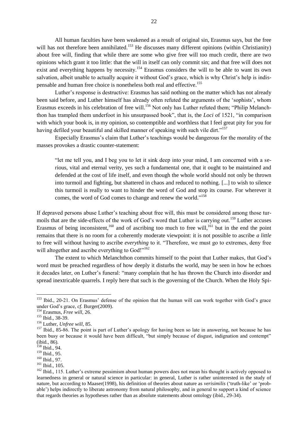All human faculties have been weakened as a result of original sin, Erasmus says, but the free will has not therefore been annihilated.<sup>153</sup> He discusses many different opinions (within Christianity) about free will, finding that while there are some who give free will too much credit, there are two opinions which grant it too little: that the will in itself can only commit sin; and that free will does not exist and everything happens by necessity.<sup>154</sup> Erasmus considers the will to be able to want its own salvation, albeit unable to actually acquire it without God's grace, which is why Christ's help is indispensable and human free choice is nonetheless both real and effective.<sup>155</sup>

Luther's response is destructive: Erasmus has said nothing on the matter which has not already been said before, and Luther himself has already often refuted the arguments of the 'sophists', whom Erasmus exceeds in his celebration of free will.<sup>156</sup> Not only has Luther refuted them; "Philip Melanchthon has trampled them underfoot in his unsurpassed book", that is, the *Loci* of 1521, "in comparison with which your book is, in my opinion, so contemptible and worthless that I feel great pity for you for having defiled your beautiful and skilled manner of speaking with such vile dirt."<sup>157</sup>

Especially Erasmus's claim that Luther's teachings would be dangerous for the morality of the masses provokes a drastic counter-statement:

"Let me tell you, and I beg you to let it sink deep into your mind, I am concerned with a serious, vital and eternal verity, yes such a fundamental one, that it ought to be maintained and defended at the cost of life itself, and even though the whole world should not only be thrown into turmoil and fighting, but shattered in chaos and reduced to nothing. [...] to wish to silence this turmoil is really to want to hinder the word of God and stop its course. For wherever it comes, the word of God comes to change and renew the world."<sup>158</sup>

If depraved persons abuse Luther's teaching about free will, this must be considered among those turmoils that are the side-effects of the work of God's word that Luther is carrying out.<sup>159</sup> Luther accuses Erasmus of being inconsistent,<sup>160</sup> and of ascribing too much to free will,<sup>161</sup> but in the end the point remains that there is no room for a coherently moderate viewpoint: it is not possible to ascribe *a little*  to free will without having to ascribe *everything* to it. "Therefore, we must go to extremes, deny free will altogether and ascribe everything to  $God!"^{162}$ 

The extent to which Melanchthon commits himself to the point that Luther makes, that God's word must be preached regardless of how deeply it disturbs the world, may be seen in how he echoes it decades later, on Luther's funeral: "many complain that he has thrown the Church into disorder and spread inextricable quarrels. I reply here that such is the governing of the Church. When the Holy Spi-

<sup>&</sup>lt;sup>153</sup> Ibid., 20-21. On Erasmus' defense of the opinion that the human will can work together with God's grace under God's grace, *cf.* Burger(2009).

<sup>154</sup> Erasmus, *Free will*, 26.

<sup>&</sup>lt;sup>155</sup> Ibid., 38-39.

<sup>156</sup> Luther, *Unfree will*, 85.

 $157$  Ibid., 85-86. The point is part of Luther's apology for having been so late in answering, not because he has been busy or because it would have been difficult, "but simply because of disgust, indignation and contempt" (ibid., 86).

 $158$  Ibid., 94.

 $159$  Ibid., 95.

<sup>160</sup> Ibid., 97.

<sup>&</sup>lt;sup>161</sup> Ibid., 105.

<sup>&</sup>lt;sup>162</sup> Ibid., 115. Luther's extreme pessimism about human powers does not mean his thought is actively opposed to learnedness in general or natural science in particular: in general, Luther is rather uninterested in the study of nature, but according to Maaser(1998), his definition of theories about nature as *verisimilis* (‗truth-like' or ‗probable') helps indirectly to liberate astronomy from natural philosophy, and in general to support a kind of science that regards theories as hypotheses rather than as absolute statements about ontology (ibid., 29-34).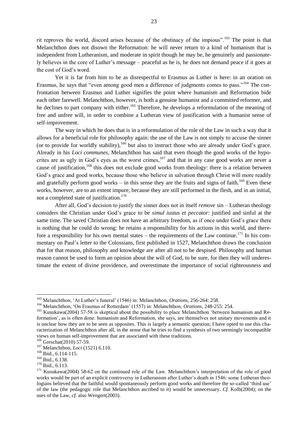rit reproves the world, discord arises because of the obstinacy of the impious".<sup>163</sup> The point is that Melanchthon does not disown the Reformation: he will never return to a kind of humanism that is independent from Lutheranism, and moderate in spirit though he may be, he genuinely and passionately believes in the core of Luther's message – peaceful as he is, he does not demand peace if it goes at the cost of God's word.

Yet it is far from him to be as disrespectful to Erasmus as Luther is here: in an oration on Erasmus, he says that "even among good men a difference of judgments comes to pass."<sup>164</sup> The confrontation between Erasmus and Luther signifies the point where humanism and Reformation bide each other farewell. Melanchthon, however, is both a genuine humanist and a committed reformer, and he declines to part company with either.<sup>165</sup> Therefore, he develops a reformulation of the meaning of free and unfree will, in order to combine a Lutheran view of justification with a humanist sense of self-improvement.

The way in which he does that is in a reformulation of the role of the Law in such a way that it allows for a beneficial role for philosophy again: the use of the Law is not simply to accuse the sinner (or to provide for worldly stability),<sup>166</sup> but also to instruct those who are already under God's grace. Already in his *Loci communes*, Melanchthon has said that even though the good works of the hypocrites are as ugly in God's eyes as the worst crimes,  $167$  and that in any case good works are never a cause of justification,<sup>168</sup> this does not exclude good works from theology: there is a relation between God's grace and good works, because those who believe in salvation through Christ will more readily and gratefully perform good works – in this sense they are the fruits and signs of faith.<sup>169</sup> Even these works, however, are to an extent impure, because they are still performed in the flesh, and in an initial, not a completed state of justification.<sup>170</sup>

After all, God's decision to justify the sinner does not in itself *remove* sin – Lutheran theology considers the Christian under God's grace to be *simul iustus et peccator*: justified and sinful at the same time. The saved Christian does not have an arbitrary freedom, as if once under God's grace there is nothing that he could do wrong: he retains a responsibility for his actions in this world, and therefore a responsibility for his own mental states – the requirements of the Law continue.<sup>171</sup> In his commentary on Paul's letter to the Colossians, first published in 1527, Melanchthon draws the conclusion that for that reason, philosophy and knowledge are after all not to be despised. Philosophy and human reason cannot be used to form an opinion about the will of God, to be sure, for then they will underestimate the extent of divine providence, and overestimate the importance of social righteousness and

<sup>163</sup> Melanchthon, ‗At Luther's funeral' (1546) in: Melanchthon, *Orations*, 256-264: 258.

<sup>&</sup>lt;sup>164</sup> Melanchthon, 'On Erasmus of Rotterdam' (1557) in: Melanchthon, *Orations*, 248-255: 254.

<sup>&</sup>lt;sup>165</sup> Kusukawa(2004) 57-58 is skeptical about the possibility to place Melanchthon 'between humanism and Reformation', as is often done: humanism and Reformation, she says, are themselves not unitary movements and it is unclear how they are to be seen as opposites. This is largely a semantic question; I have opted to use this characterization of Melanchthon after all, in the sense that he tries to find a synthesis of two seemingly incompatible views on human self-improvement that are associated with these traditions.

<sup>&</sup>lt;sup>166</sup> Greschat(2010) 57-59.

<sup>167</sup> Melanchthon, *Loci* (1521) 6.110.

<sup>168</sup> Ibid., 6.114-115.

<sup>169</sup> Ibid., 6.138.

 $170$  Ibid., 6.113.

<sup>&</sup>lt;sup>171</sup> Kusukawa(2004) 58-62 on the continued role of the Law. Melanchthon's interpretation of the role of good works would be part of an explicit controversy in Lutheranism after Luther's death in 1546: some Lutheran theologians believed that the faithful would spontaneously perform good works and therefore the so-called 'third use' of the law (the pedagogic role that Melanchthon ascribed to it) would be unnecessary. *Cf.* Kolb(2004); on the uses of the Law, *cf.* also Wengert(2003).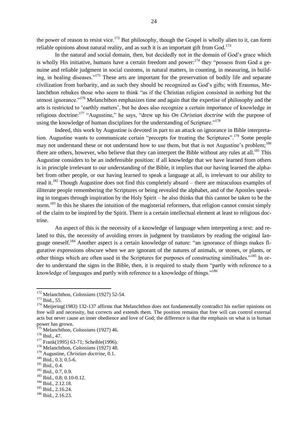the power of reason to resist vice.<sup>172</sup> But philosophy, though the Gospel is wholly alien to it, can form reliable opinions about natural reality, and as such it is an important gift from God.<sup>173</sup>

In the natural and social domain, then, but decidedly not in the domain of God's grace which is wholly His initiative, humans have a certain freedom and power: $174$  they "possess from God a genuine and reliable judgment in social customs, in natural matters, in counting, in measuring, in building, in healing diseases."<sup>175</sup> These arts are important for the preservation of bodily life and separate civilization from barbarity, and as such they should be recognized as God's gifts; with Erasmus, Melanchthon rebukes those who seem to think "as if the Christian religion consisted in nothing but the utmost ignorance."<sup>176</sup> Melanchthon emphasizes time and again that the expertise of philosophy and the arts is restricted to 'earthly matters', but he does also recognize a certain importance of knowledge in religious doctrine:<sup>177</sup> "Augustine," he says, "drew up his *On Christian doctrine* with the purpose of using the knowledge of human disciplines for the understanding of Scripture.<sup> $178$ </sup>

Indeed, this work by Augustine is devoted in part to an attack on ignorance in Bible interpretation. Augustine wants to communicate certain "precepts for treating the Scriptures".<sup>179</sup> Some people may not understand these or not understand how to use them, but that is not Augustine's problem;<sup>180</sup> there are others, however, who believe that they can interpret the Bible without any rules at all.<sup>181</sup> This Augustine considers to be an indefensible position: if all knowledge that we have learned from others is in principle irrelevant to our understanding of the Bible, it implies that our having learned the alphabet from other people, or our having learned to speak a language at all, is irrelevant to our ability to read it.<sup>182</sup> Though Augustine does not find this completely absurd – there are miraculous examples of illiterate people remembering the Scriptures or being revealed the alphabet, and of the Apostles speaking in tongues through inspiration by the Holy Spirit – he also thinks that this cannot be taken to be the norm.<sup>183</sup> In this he shares the intuition of the magisterial reformers, that religion cannot consist simply of the claim to be inspired by the Spirit. There is a certain intellectual element at least to religious doctrine.

An aspect of this is the necessity of a knowledge of language when interpreting a text: and related to this, the necessity of avoiding errors in judgment by translators by reading the original language oneself.<sup>184</sup> Another aspect is a certain knowledge of nature: "an ignorance of things makes figurative expressions obscure when we are ignorant of the natures of animals, or stones, or plants, or other things which are often used in the Scriptures for purposes of constructing similitudes.<sup>"185</sup> In order to understand the signs in the Bible, then, it is required to study them "partly with reference to a knowledge of languages and partly with reference to a knowledge of things."<sup>186</sup>

<sup>172</sup> Melanchthon, *Colossians* (1927) 52-54.

<sup>173</sup> Ibid., 55.

<sup>&</sup>lt;sup>174</sup> Meijering(1983) 132-137 affirms that Melanchthon does not fundamentally contradict his earlier opinions on free will and necessity, but corrects and extends them. The position remains that free will can control external acts but never cause an inner obedience and love of God; the difference is that the emphasis on what is in human power has grown.

<sup>175</sup> Melanchthon, *Colossians* (1927) 46.

<sup>176</sup> Ibid., 47.

<sup>&</sup>lt;sup>177</sup> Frank(1995) 63-71; Scheible(1996).

<sup>178</sup> Melanchthon, *Colossians* (1927) 48.

<sup>179</sup> Augustine, *Christian doctrine*, 0.1.

<sup>180</sup> Ibid., 0.3; 0.5-6.

<sup>181</sup> Ibid., 0.4.

<sup>182</sup> Ibid., 0.7, 0.9.

<sup>183</sup> Ibid., 0.8; 0.10-0.12.

<sup>184</sup> Ibid., 2.12.18.

<sup>185</sup> Ibid., 2.16.24.

<sup>186</sup> Ibid., 2.16.23.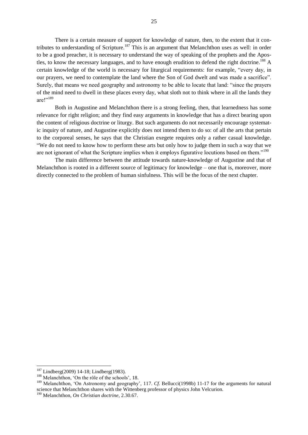There is a certain measure of support for knowledge of nature, then, to the extent that it contributes to understanding of Scripture.<sup>187</sup> This is an argument that Melanchthon uses as well: in order to be a good preacher, it is necessary to understand the way of speaking of the prophets and the Apostles, to know the necessary languages, and to have enough erudition to defend the right doctrine.<sup>188</sup> A certain knowledge of the world is necessary for liturgical requirements: for example, "every day, in our prayers, we need to contemplate the land where the Son of God dwelt and was made a sacrifice". Surely, that means we need geography and astronomy to be able to locate that land: "since the prayers" of the mind need to dwell in these places every day, what sloth not to think where in all the lands they are $1^{189}$ 

Both in Augustine and Melanchthon there is a strong feeling, then, that learnedness has some relevance for right religion; and they find easy arguments in knowledge that has a direct bearing upon the content of religious doctrine or liturgy. But such arguments do not necessarily encourage systematic inquiry of nature, and Augustine explicitly does not intend them to do so: of all the arts that pertain to the corporeal senses, he says that the Christian exegete requires only a rather casual knowledge. ―We do not need to know how to perform these arts but only how to judge them in such a way that we are not ignorant of what the Scripture implies when it employs figurative locutions based on them.<sup>190</sup>

The main difference between the attitude towards nature-knowledge of Augustine and that of Melanchthon is rooted in a different source of legitimacy for knowledge – one that is, moreover, more directly connected to the problem of human sinfulness. This will be the focus of the next chapter.

 $187$  Lindberg(2009) 14-18; Lindberg(1983).

 $188$  Melanchthon, 'On the rôle of the schools', 18.

<sup>&</sup>lt;sup>189</sup> Melanchthon, 'On Astronomy and geography', 117. *Cf.* Bellucci(1998b) 11-17 for the arguments for natural science that Melanchthon shares with the Wittenberg professor of physics John Velcurion.

<sup>190</sup> Melanchthon, *On Christian doctrine*, 2.30.67.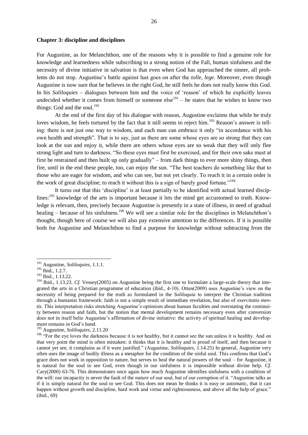#### **Chapter 3: discipline and disciplines**

For Augustine, as for Melanchthon, one of the reasons why it is possible to find a genuine role for knowledge and learnedness while subscribing to a strong notion of the Fall, human sinfulness and the necessity of divine initiative in salvation is that even when God has approached the sinner, all problems do not stop. Augustine's battle against lust goes on after the *tolle, lege*. Moreover, even though Augustine is now sure that he believes in the right God, he still feels he does not really know this God. In his *Soliloquies* – dialogues between him and the voice of 'reason' of which he explicitly leaves undecided whether it comes from himself or someone  $else^{191} - he$  states that he wishes to know two things: God and the soul.<sup>192</sup>

At the end of the first day of his dialogue with reason, Augustine exclaims that while he truly loves wisdom, he feels tortured by the fact that it still seems to reject him.<sup>193</sup> Reason's answer is telling: there is not just one way to wisdom, and each man can embrace it only "in accordance with his own health and strength". That is to say, just as there are some whose eyes are so strong that they can look at the sun and enjoy it, while there are others whose eyes are so weak that they will only flee strong light and turn to darkness. "So these eyes must first be exercised, and for their own sake must at first be restrained and then built up only gradually" – from dark things to ever more shiny things, then fire, until in the end these people, too, can enjoy the sun. "The best teachers do something like that to those who are eager for wisdom, and who can see, but not yet clearly. To reach it in a certain order is the work of great discipline; to reach it without this is a sign of barely good fortune.<sup> $194$ </sup>

It turns out that this 'discipline' is at least partially to be identified with actual learned disciplines:<sup>195</sup> knowledge of the arts is important because it lets the mind get accustomed to truth. Knowledge is relevant, then, precisely because Augustine is presently in a state of illness, in need of gradual healing – because of his sinfulness.<sup>196</sup> We will see a similar role for the disciplines in Melanchthon's thought, though here of course we will also pay extensive attention to the differences. If it is possible both for Augustine and Melanchthon to find a purpose for knowledge without subtracting from the

<sup>191</sup> Augustine, *Soliloquies*, 1.1.1.

<sup>&</sup>lt;sup>192</sup> Ibid., 1.2.7.

<sup>193</sup> Ibid., 1.13.22.

<sup>&</sup>lt;sup>194</sup> Ibid., 1.13.23. *Cf.* Vessey(2005) on Augustine being the first one to formulate a large-scale theory that integrated the arts in a Christian programme of education (ibid., 4-10). Otten(2009) uses Augustine's view on the necessity of being prepared for the truth as formulated in the *Soliloquia* to interpret the Christian tradition through a humanist framework: faith is not a simple result of immediate revelation, but also of *exercitatio mentis*. This interpretation risks stretching Augustine's optimism about human faculties and overstating the continuity between reason and faith, but the notion that mental development remains necessary even after conversion does not in itself belie Augustine's affirmation of divine initiative: the activity of spiritual healing and development remains in God's hand.

<sup>195</sup> Augustine, *Soliloquies*, 2.11.20

<sup>&</sup>lt;sup>196</sup> "For the eye loves the darkness because it is not healthy, but it cannot see the sun unless it is healthy. And on that very point the mind is often mistaken: it thinks that it is healthy and is proud of itself, and then because it cannot yet see, it complains as if it were justified.‖ (Augustine, *Soliloquies*, 1.14.25) In general, Augustine very often uses the image of bodily illness as a metaphor for the condition of the sinful soul. This confirms that God's grace does not work in opposition to nature, but serves to heal the natural powers of the soul – for Augustine, it is natural for the soul to see God, even though in our sinfulness it is impossible without divine help. *Cf.*  Cary(2000) 63-76. This demonstrates once again how much Augustine identifies sinfulness with a condition of the will: our incapacity is never the fault of the *nature* of our soul, but of our corruption of it. "Augustine talks as if it is simply natural for the soul to see God. This does not mean he thinks it is easy or automatic, that it can happen without growth and discipline, hard work and virtue and righteousness, and above all the help of grace." (ibid., 69)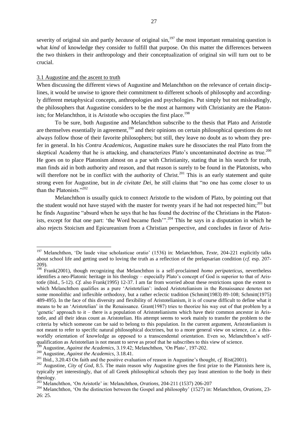severity of original sin and partly *because* of original sin,<sup>197</sup> the most important remaining question is what *kind* of knowledge they consider to fulfill that purpose. On this matter the differences between the two thinkers in their anthropology and their conceptualization of original sin will turn out to be crucial.

#### 3.1 Augustine and the ascent to truth

When discussing the different views of Augustine and Melanchthon on the relevance of certain disciplines, it would be unwise to ignore their commitment to different schools of philosophy and accordingly different metaphysical concepts, anthropologies and psychologies. Put simply but not misleadingly, the philosophers that Augustine considers to be the most at harmony with Christianity are the Platonists; for Melanchthon, it is Aristotle who occupies the first place.<sup>198</sup>

To be sure, both Augustine and Melanchthon subscribe to the thesis that Plato and Aristotle are themselves essentially in agreement,<sup>199</sup> and their opinions on certain philosophical questions do not always follow those of their favorite philosophers; but still, they leave no doubt as to whom they prefer in general. In his *Contra Academicos*, Augustine makes sure he dissociates the real Plato from the skeptical Academy that he is attacking, and characterizes Plato's uncontaminated doctrine as true.<sup>200</sup> He goes on to place Platonism almost on a par with Christianity, stating that in his search for truth, man finds aid in both authority and reason, and that reason is surely to be found in the Platonists, who will therefore not be in conflict with the authority of Christ.<sup>201</sup> This is an early statement and quite strong even for Augustine, but in *de civitate Dei*, he still claims that "no one has come closer to us than the Platonists." $^{202}$ 

Melanchthon is usually quick to connect Aristotle to the wisdom of Plato, by pointing out that the student would not have stayed with the master for twenty years if he had not respected him;<sup>203</sup> but he finds Augustine "absurd when he says that he has found the doctrine of the Christians in the Platonists, except for that one part: 'the Word became flesh'".<sup>204</sup> This he says in a disputation in which he also rejects Stoicism and Epicureanism from a Christian perspective, and concludes in favor of Aris-

Augustine, *Against the Academics*, 3.19.42; Melanchthon, 'On Plato', 197-202.

<sup>&</sup>lt;sup>197</sup> Melanchthon, 'De laude vitae scholasticae oratio' (1536) in: Melanchthon, *Texte*, 204-221 explicitly talks about school life and getting used to loving the truth as a reflection of the prelapsarian condition (*cf.* esp. 207- 209).

<sup>198</sup> Frank(2001), though recognizing that Melanchthon is a self-proclaimed *homo peripateticus*, nevertheless identifies a neo-Platonic heritage in his theology – especially Plato's concept of God is superior to that of Aristotle (ibid., 5-12). *Cf.* also Frank(1995) 12-37. I am far from worried about these restrictions upon the extent to which Melanchthon qualifies as a pure 'Aristotelian': indeed Aristotelianism in the Renaissance denotes not some monolithic and inflexible orthodoxy, but a rather eclectic tradition (Schmitt(1983) 89-108; Schmitt(1975) 489-495). In the face of this diversity and flexibility of Aristotelianism, it is of course difficult to define what it means to be an ‗Aristotelian' in the Renaissance. Grant(1987) tries to theorize his way out of that problem by a ‗genetic' approach to it – there is a population of Aristotelianisms which have their common ancestor in Aristotle, and all their ideas count as Aristotelian. His attempt seems to work mainly to transfer the problem to the criteria by which someone can be said to belong to this population. In the current argument, Aristotelianism is not meant to refer to specific natural philosophical doctrines, but to a more general view on science, *i.e.* a thisworldly orientation of knowledge as opposed to a transcendental orientation. Even so, Melanchthon's selfqualification as Aristotelian is not meant to serve as proof that he subscribes to this view of science.

<sup>200</sup> Augustine, *Against the Academics*, 3.18.41.

<sup>201</sup> Ibid., 3.20.43 On faith and the positive evaluation of reason in Augustine's thought, *cf.* Rist(2001).

<sup>&</sup>lt;sup>202</sup> Augustine, *City of God*, 8.5. The main reason why Augustine gives the first prize to the Platonists here is, typically yet interestingly, that of all Greek philosophical schools they pay least attention to the body in their theology.

<sup>203</sup> Melanchthon, ‗On Aristotle' in: Melanchthon, *Orations*, 204-211 (1537) 206-207

<sup>&</sup>lt;sup>204</sup> Melanchthon, 'On the distinction between the Gospel and philosophy' (1527) in: Melanchthon, *Orations*, 23-26: 25.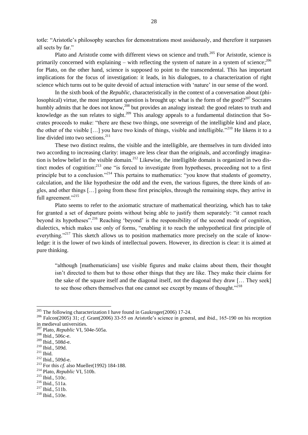totle: "Aristotle's philosophy searches for demonstrations most assiduously, and therefore it surpasses all sects by far."

Plato and Aristotle come with different views on science and truth.<sup>205</sup> For Aristotle, science is primarily concerned with explaining – with reflecting the system of nature in a system of science;  $^{206}$ for Plato, on the other hand, science is supposed to point to the transcendental. This has important implications for the focus of investigation: it leads, in his dialogues, to a characterization of right science which turns out to be quite devoid of actual interaction with 'nature' in our sense of the word.

In the sixth book of the *Republic*, characteristically in the context of a conversation about (philosophical) virtue, the most important question is brought up: what is the form of the good?<sup>207</sup> Socrates humbly admits that he does not know,<sup>208</sup> but provides an analogy instead: the good relates to truth and knowledge as the sun relates to sight.<sup>209</sup> This analogy appeals to a fundamental distinction that Socrates proceeds to make: "there are these two things, one sovereign of the intelligible kind and place, the other of the visible  $[...]$  you have two kinds of things, visible and intelligible."<sup>210</sup> He likens it to a line divided into two sections.<sup>211</sup>

These two distinct realms, the visible and the intelligible, are themselves in turn divided into two according to increasing clarity: images are less clear than the originals, and accordingly imagination is below belief in the visible domain.<sup>212</sup> Likewise, the intelligible domain is organized in two distinct modes of cognition:<sup>213</sup> one "is forced to investigate from hypotheses, proceeding not to a first principle but to a conclusion.<sup> $214$ </sup> This pertains to mathematics: "you know that students of geometry, calculation, and the like hypothesize the odd and the even, the various figures, the three kinds of angles, and other things […] going from these first principles, through the remaining steps, they arrive in full agreement."<sup>215</sup>

Plato seems to refer to the axiomatic structure of mathematical theorizing, which has to take for granted a set of departure points without being able to justify them separately: "it cannot reach beyond its hypotheses".<sup>216</sup> Reaching 'beyond' is the responsibility of the second mode of cognition, dialectics, which makes use only of forms, "enabling it to reach the unhypothetical first principle of everything.<sup>217</sup> This sketch allows us to position mathematics more precisely on the scale of knowledge: it is the lower of two kinds of intellectual powers. However, its direction is clear: it is aimed at pure thinking.

―although [mathematicians] use visible figures and make claims about them, their thought isn't directed to them but to those other things that they are like. They make their claims for the sake of the square itself and the diagonal itself, not the diagonal they draw [… They seek] to see those others themselves that one cannot see except by means of thought.<sup>2218</sup>

 $205$  The following characterization I have found in Gaukroger(2006) 17-24.

<sup>&</sup>lt;sup>206</sup> Falcon(2005) 31; *cf.* Grant(2006) 33-55 on Aristotle's science in general, and ibid., 165-190 on his reception in medieval universities.

<sup>207</sup> Plato, *Republic* VI, 504e-505a.

<sup>208</sup> Ibid., 506c-e.

<sup>209</sup> Ibid., 508d-e.

<sup>210</sup> Ibid., 509d.

 $^{211}$  Ibid.

<sup>212</sup> Ibid., 509d-e.

<sup>213</sup> For this *cf.* also Mueller(1992) 184-188.

<sup>214</sup> Plato, *Republic* VI, 510b.

<sup>215</sup> Ibid., 510c.

<sup>216</sup> Ibid., 511a.

<sup>217</sup> Ibid., 511b.

<sup>218</sup> Ibid., 510e.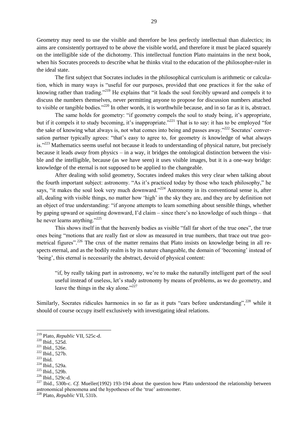Geometry may need to use the visible and therefore be less perfectly intellectual than dialectics; its aims are consistently portrayed to be *above* the visible world, and therefore it must be placed squarely on the intelligible side of the dichotomy. This intellectual function Plato maintains in the next book, when his Socrates proceeds to describe what he thinks vital to the education of the philosopher-ruler in the ideal state.

The first subject that Socrates includes in the philosophical curriculum is arithmetic or calculation, which in many ways is "useful for our purposes, provided that one practices it for the sake of knowing rather than trading."<sup>219</sup> He explains that "it leads the soul forcibly upward and compels it to discuss the numbers themselves, never permitting anyone to propose for discussion numbers attached to visible or tangible bodies."<sup>220</sup> In other words, it is worthwhile because, and in so far as it is, abstract.

The same holds for geometry: "if geometry compels the soul to study being, it's appropriate, but if it compels it to study becoming, it's inappropriate.<sup>221</sup> That is to say: it has to be employed "for the sake of knowing what always is, not what comes into being and passes away." $^{222}$  Socrates' conversation partner typically agrees: "that's easy to agree to, for geometry *is* knowledge of what always is."<sup>223</sup> Mathematics seems useful not because it leads to understanding of physical nature, but precisely because it leads *away* from physics – in a way, it bridges the ontological distinction between the visible and the intelligible, because (as we have seen) it uses visible images, but it is a one-way bridge: knowledge of the eternal is not supposed to be applied to the changeable.

After dealing with solid geometry, Socrates indeed makes this very clear when talking about the fourth important subject: astronomy. "As it's practiced today by those who teach philosophy," he says, "it makes the soul look very much downward."<sup>224</sup> Astronomy in its conventional sense is, after all, dealing with visible things, no matter how 'high' in the sky they are, and they are by definition not an object of true understanding: "if anyone attempts to learn something about sensible things, whether by gaping upward or squinting downward, I'd claim – since there's no knowledge of such things – that he never learns anything." $^{225}$ 

This shows itself in that the heavenly bodies as visible "fall far short of the true ones", the true ones being "motions that are really fast or slow as measured in true numbers, that trace out true geometrical figures".<sup>226</sup> The crux of the matter remains that Plato insists on knowledge being in all respects eternal, and as the bodily realm is by its nature changeable, the domain of 'becoming' instead of ‗being', this eternal is necessarily the abstract, devoid of physical content:

―if, by really taking part in astronomy, we're to make the naturally intelligent part of the soul useful instead of useless, let's study astronomy by means of problems, as we do geometry, and leave the things in the sky alone." $227$ 

Similarly, Socrates ridicules harmonics in so far as it puts "ears before understanding",<sup>228</sup> while it should of course occupy itself exclusively with investigating ideal relations.

<sup>219</sup> Plato, *Republic* VII, 525c-d.

<sup>220</sup> Ibid., 525d.

<sup>221</sup> Ibid., 526e.

<sup>222</sup> Ibid., 527b.

 $223$  Ibid.

<sup>224</sup> Ibid., 529a.

<sup>225</sup> Ibid., 529b.

<sup>226</sup> Ibid., 529c-d.

<sup>&</sup>lt;sup>227</sup> Ibid., 530b-c. *Cf.* Mueller(1992) 193-194 about the question how Plato understood the relationship between astronomical phenomena and the hypotheses of the 'true' astronomer.

<sup>228</sup> Plato, *Republic* VII, 531b.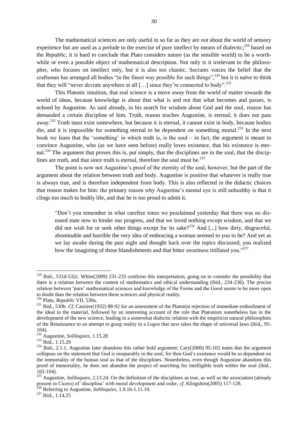The mathematical sciences are only useful in so far as they are *not* about the world of sensory experience but are used as a prelude to the exercise of pure intellect by means of dialectic; $^{229}$  based on the *Republic,* it is hard to conclude that Plato considers nature (as the sensible world) to be a worthwhile or even a possible object of mathematical description. Not only is it irrelevant to the philosopher, who focuses on intellect only, but it is also too chaotic. Socrates voices the belief that the craftsman has arranged all bodies "in the finest way possible for such things",<sup>230</sup> but it is naïve to think that they will "never deviate anywhere at all  $[...]$  since they're connected to body".<sup>231</sup>

This Platonic intuition, that real science is a move *away* from the world of matter towards the world of ideas, because knowledge is about that what is and not that what becomes and passes, is echoed by Augustine. As said already, in his search for wisdom about God and the soul, reason has demanded a certain discipline of him. Truth, reason teaches Augustine, is eternal; it does not pass away.<sup>232</sup> Truth must exist somewhere, but because it is eternal, it cannot exist in body, because bodies die, and it is impossible for something eternal to be dependent on something mortal.<sup>233</sup> In the next book we learn that the 'something' in which truth is, is the soul – in fact, the argument is meant to convince Augustine, who (as we have seen before) really loves existence, that his existence is eternal.<sup>234</sup> The argument that proves this is, put simply, that the disciplines are in the soul, that the disciplines are truth, and that since truth is eternal, therefore the soul must be.<sup>235</sup>

The point is now not Augustine's proof of the eternity of the soul, however, but the part of the argument about the relation between truth and body. Augustine is positive that whatever is really true is always true, and is therefore independent from body. This is also reflected in the didactic choices that reason makes for him: the primary reason why Augustine's mental eye is still unhealthy is that it clings too much to bodily life, and that he is too proud to admit it.

―Don't you remember in what carefree tones we proclaimed yesterday that there was no diseased state now to hinder our progress, and that we loved nothing except wisdom, and that we did not wish for or seek other things except for its sake?<sup>236</sup> And [...] how dirty, disgraceful, abominable and horrible the very idea of embracing a woman seemed to you to be? And yet as we lay awake during the past night and thought back over the topics discussed, you realized how the imagining of those blandishments and that bitter sweetness titillated you.<sup> $237$ </sup>

 $229$  Ibid., 531d-532c. White(2009) 231-233 confirms this interpretation, going on to consider the possibility that there is a relation between the content of mathematics and ethical understanding (ibid., 234-236). The precise relation between 'pure' mathematical sciences and knowledge of the Forms and the Good seems to be more open to doubt than the relation between these sciences and physical reality.

<sup>230</sup> Plato, *Republic* VII, 530a.

<sup>&</sup>lt;sup>231</sup> Ibid., 530b. *Cf.* Cassirer(1932) 88-92 for an assessment of the Platonist rejection of immediate embodiment of the ideal in the material, followed by an interesting account of the role that Platonism nonetheless has in the development of the new science, leading in a somewhat dialectic relation with the empiricist natural philosophies of the Renaissance to an attempt to grasp reality in a *Logos* that now takes the shape of universal laws (ibid., 95- 104).

<sup>232</sup> Augustine, *Soliloquies*, 1.15.28

<sup>&</sup>lt;sup>233</sup> Ibid., 1.15.29

<sup>&</sup>lt;sup>234</sup> Ibid., 2.1.1. Augustine later abandons this rather bold argument; Cary(2000) 95-102 notes that the argument collapses on the statement that God is inseparably in the soul, for then God's existence would be as dependent on the immortality of the human soul as that of the disciplines. Nonetheless, even though Augustine abandons this proof of immortality, he does not abandon the project of searching for intelligible truth within the soul (ibid., 102-104).

<sup>235</sup> Augustine, *Soliloquies*, 2.13.24. On the definition of the disciplines as true, as well as the association (already present in Cicero) of 'disciplina' with moral development and order, *cf*. Klingshirn(2005) 117-128.

<sup>236</sup> Referring to Augustine, *Soliloquies*, 1.9.16-1.11.19.

<sup>&</sup>lt;sup>237</sup> Ibid., 1.14.25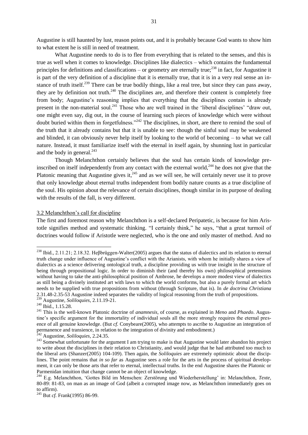Augustine is still haunted by lust, reason points out, and it is probably because God wants to show him to what extent he is still in need of treatment.

What Augustine needs to do is to flee from everything that is related to the senses, and this is true as well when it comes to knowledge. Disciplines like dialectics – which contains the fundamental principles for definitions and classifications – or geometry are eternally true;<sup>238</sup> in fact, for Augustine it is part of the very definition of a discipline that it is eternally true, that it is in a very real sense an instance of truth itself.<sup>239</sup> There can be true bodily things, like a real tree, but since they can pass away, they are by definition not truth.<sup>240</sup> The disciplines are, and therefore their content is completely free from body; Augustine's reasoning implies that everything that the disciplines contain is already present in the non-material soul.<sup>241</sup> Those who are well trained in the 'liberal disciplines' "draw out, one might even say, dig out, in the course of learning such pieces of knowledge which were without doubt buried within them in forgetfulness."<sup>242</sup> The disciplines, in short, are there to remind the soul of the truth that it already contains but that it is unable to see: though the sinful soul may be weakened and blinded, it can obviously never help itself by looking to the world of becoming – to what we call nature. Instead, it must familiarize itself with the eternal in itself again, by shunning lust in particular and the body in general. $^{243}$ 

Though Melanchthon certainly believes that the soul has certain kinds of knowledge preinscribed on itself independently from any contact with the external world,<sup>244</sup> he does not give that the Platonic meaning that Augustine gives it, $^{245}$  and as we will see, he will certainly never use it to prove that only knowledge about eternal truths independent from bodily nature counts as a true discipline of the soul. His opinion about the relevance of certain disciplines, though similar in its purpose of dealing with the results of the fall, is very different.

#### 3.2 Melanchthon's call for discipline

The first and foremost reason why Melanchthon is a self-declared Peripatetic, is because for him Aristotle signifies method and systematic thinking. "I certainly think," he says, "that a great turmoil of doctrines would follow if Aristotle were neglected, who is the one and only master of method. And no

<sup>&</sup>lt;sup>238</sup> Ibid., 2.11.21; 2.18.32. Heβbrüggen-Walter(2005) argues that the status of dialectics and its relation to eternal truth change under influence of Augustine's conflict with the Arianists, with whom he initially shares a view of dialectics as a science delivering ontological truth, a discipline providing us with true insight in the structure of being through propositional logic. In order to diminish their (and thereby his own) philosophical pretensions without having to take the anti-philosophical position of Ambrose, he develops a more modest view of dialectics as still being a divinely instituted art with laws to which the world conforms, but also a purely formal art which needs to be supplied with true propositions from without (through Scripture, that is). In *de doctrina Christiana*  2.31.48-2.35-53 Augustine indeed separates the validity of logical reasoning from the truth of propositions. <sup>239</sup> Augustine, *Soliloquies*, 2.11.19-21.

 $240$  Ibid., 1.15.28.

<sup>241</sup> This is the well-known Platonic doctrine of *anamnesis*, of course, as explained in *Meno* and *Phaedo*. Augustine's specific argument for the immortality of individual souls all the more strongly requires the eternal presence of all genuine knowledge. (But *cf.* Conybeare(2005), who attempts to ascribe to Augustine an integration of permanence and transience, in relation to the integration of divinity and embodiment.)

<sup>242</sup> Augustine, *Soliloquies*, 2.24.35.

<sup>&</sup>lt;sup>243</sup> Somewhat unfortunate for the argument I am trying to make is that Augustine would later abandon his project to write about the disciplines in their relation to Christianity, and would judge that he had attributed too much to the liberal arts (Shanzer(2005) 104-109). Then again, the *Soliloquies* are extremely optimistic about the disciplines. The point remains that *in so far* as Augustine sees a role for the arts in the process of spiritual development, it can only be those arts that refer to eternal, intellectual truths. In the end Augustine shares the Platonic or Parmenidan intuition that change cannot be an object of knowledge.

<sup>&</sup>lt;sup>244</sup> E.g. Melanchthon, 'Gottes Bild im Menschen: Zerstörung und Wiederherstellung' in: Melanchthon, *Texte*, 80-89: 81-83, on man as an image of God (albeit a corrupted image now, as Melanchthon immediately goes on to affirm).

<sup>245</sup> But *cf.* Frank(1995) 86-99.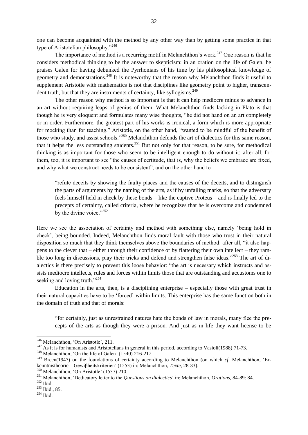one can become acquainted with the method by any other way than by getting some practice in that type of Aristotelian philosophy."<sup>246</sup>

The importance of method is a recurring motif in Melanchthon's work.<sup>247</sup> One reason is that he considers methodical thinking to be the answer to skepticism: in an oration on the life of Galen, he praises Galen for having debunked the Pyrrhonians of his time by his philosophical knowledge of geometry and demonstrations.<sup>248</sup> It is noteworthy that the reason why Melanchthon finds it useful to supplement Aristotle with mathematics is not that disciplines like geometry point to higher, transcendent truth, but that they are instruments of certainty, like syllogisms.<sup>249</sup>

The other reason why method is so important is that it can help mediocre minds to advance in an art without requiring leaps of genius of them. What Melanchthon finds lacking in Plato is that though he is very eloquent and formulates many wise thoughts, "he did not hand on an art completely or in order. Furthermore, the greatest part of his works is ironical, a form which is more appropriate for mocking than for teaching." Aristotle, on the other hand, "wanted to be mindful of the benefit of those who study, and assist schools.<sup>7250</sup> Melanchthon defends the art of dialectics for this same reason, that it helps the less outstanding students.<sup>251</sup> But not only for that reason, to be sure, for methodical thinking is as important for those who seem to be intelligent enough to do without it: after all, for them, too, it is important to see "the causes of certitude, that is, why the beliefs we embrace are fixed, and why what we construct needs to be consistent", and on the other hand to

―refute deceits by showing the faulty places and the causes of the deceits, and to distinguish the parts of arguments by the naming of the arts, as if by unfailing marks, so that the adversary feels himself held in check by these bonds – like the captive Proteus – and is finally led to the precepts of certainty, called criteria, where he recognizes that he is overcome and condemned by the divine voice." $252$ 

Here we see the association of certainty and method with something else, namely 'being hold in check', being bounded. Indeed, Melanchthon finds moral fault with those who trust in their natural disposition so much that they think themselves above the boundaries of method: after all, "it also happens to the clever that – either through their confidence or by flattering their own intellect – they ramble too long in discussions, play their tricks and defend and strengthen false ideas.<sup> $253$ </sup> The art of dialectics is there precisely to prevent this loose behavior: "the art is necessary which instructs and assists mediocre intellects, rules and forces within limits those that are outstanding and accustoms one to seeking and loving truth."<sup>254</sup>

Education in the arts, then, is a disciplining enterprise – especially those with great trust in their natural capacities have to be ‗forced' within limits. This enterprise has the same function both in the domain of truth and that of morals:

―for certainly, just as unrestrained natures hate the bonds of law in morals, many flee the precepts of the arts as though they were a prison. And just as in life they want license to be

 $248$  Melanchthon, 'On the life of Galen' (1540) 216-217.

<sup>&</sup>lt;sup>246</sup> Melanchthon, 'On Aristotle', 211.

<sup>&</sup>lt;sup>247</sup> As it is for humanists and Aristotelians in general in this period, according to Vasioli(1988) 71-73.

<sup>&</sup>lt;sup>249</sup> Breen(1947) on the foundations of certainty according to Melanchthon (on which *cf.* Melanchthon, 'Erkenntnistheorie – Gewiβheitskriterien' (1553) in: Melanchthon, *Texte*, 28-33).

 $^{250}$  Melanchthon, 'On Aristotle' (1537) 210.

<sup>&</sup>lt;sup>251</sup> Melanchthon, 'Dedicatory letter to the *Questions on dialectics*' in: Melanchthon, *Orations*, 84-89: 84.

 $\rm ^{252}$  Ibid.

<sup>253</sup> Ibid., 85.

 $^{254}$  Ibid.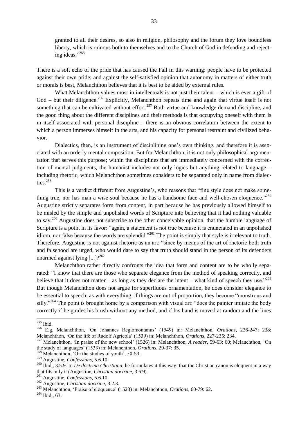granted to all their desires, so also in religion, philosophy and the forum they love boundless liberty, which is ruinous both to themselves and to the Church of God in defending and rejecting ideas."<sup>255</sup>

There is a soft echo of the pride that has caused the Fall in this warning: people have to be protected against their own pride; and against the self-satisfied opinion that autonomy in matters of either truth or morals is best, Melanchthon believes that it is best to be aided by external rules.

What Melanchthon values most in intellectuals is not just their talent – which is ever a gift of  $God - but their difference.<sup>256</sup> Explicitly, Melanchthon repeats time and again that virtue itself is not$ something that can be cultivated without effort.<sup>257</sup> Both virtue and knowledge demand discipline, and the good thing about the different disciplines and their methods is that occupying oneself with them is in itself associated with personal discipline – there is an obvious correlation between the extent to which a person immerses himself in the arts, and his capacity for personal restraint and civilized behavior.

Dialectics, then, is an instrument of disciplining one's own thinking, and therefore it is associated with an orderly mental composition. But for Melanchthon, it is not only philosophical argumentation that serves this purpose; within the disciplines that are immediately concerned with the correction of mental judgments, the humanist includes not only logics but anything related to language – including rhetoric, which Melanchthon sometimes considers to be separated only in name from dialectics. $258$ 

This is a verdict different from Augustine's, who reasons that "fine style does not make something true, nor has man a wise soul because he has a handsome face and well-chosen eloquence.<sup>7259</sup> Augustine strictly separates form from content, in part because he has previously allowed himself to be misled by the simple and unpolished words of Scripture into believing that it had nothing valuable to say.<sup>260</sup> Augustine does not subscribe to the other conceivable opinion, that the humble language of Scripture is a point in its favor: "again, a statement is not true because it is enunciated in an unpolished idiom, nor false because the words are splendid."<sup>261</sup> The point is simply that style is irrelevant to truth. Therefore, Augustine is not against rhetoric as an art: "since by means of the art of rhetoric both truth and falsehood are urged, who would dare to say that truth should stand in the person of its defenders unarmed against lying  $\left[...\right]$ ?<sup>262</sup>

Melanchthon rather directly confronts the idea that form and content are to be wholly separated: "I know that there are those who separate elegance from the method of speaking correctly, and believe that it does not matter – as long as they declare the intent – what kind of speech they use.<sup>263</sup> But though Melanchthon does not argue for superfluous ornamentation, he does consider elegance to be essential to speech: as with everything, if things are out of proportion, they become "monstrous and silly.<sup>264</sup> The point is brought home by a comparison with visual art: "does the painter imitate the body correctly if he guides his brush without any method, and if his hand is moved at random and the lines

 $255$  Ibid.

<sup>256</sup> E.g. Melanchthon, ‗On Johannes Regiomontanus' (1549) in: Melanchthon, *Orations*, 236-247: 238; Melanchthon, 'On the life of Rudolf Agricola' (1539) in: Melanchthon, *Orations*, 227-235: 234.

<sup>&</sup>lt;sup>257</sup> Melanchthon, 'In praise of the new school' (1526) in: Melanchthon, *A reader*, 59-63: 60; Melanchthon, 'On the study of languages' (1533) in: Melanchthon, *Orations*, 29-37: 35.

Melanchthon, 'On the studies of youth', 50-53.

<sup>259</sup> Augustine, *Confessions*, 5.6.10.

<sup>260</sup> Ibid., 3.5.9. In *De doctrina Christiana*, he formulates it this way: that the Christian canon is eloquent in a way that fits only it (Augustine, *Christian doctrine*, 3.6.9).

<sup>261</sup> Augustine, *Confessions*, 5.6.10.

<sup>262</sup> Augustine, *Christian doctrine*, 3.2.3.

<sup>&</sup>lt;sup>263</sup> Melanchthon, 'Praise of eloquence' (1523) in: Melanchthon, *Orations*, 60-79: 62.

<sup>264</sup> Ibid., 63.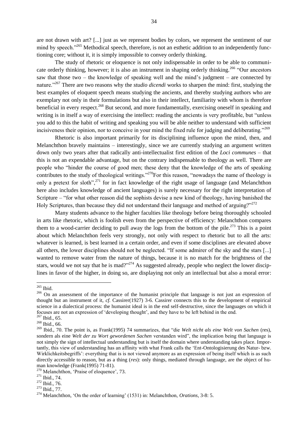are not drawn with art? [...] just as we represent bodies by colors, we represent the sentiment of our mind by speech.<sup>265</sup> Methodical speech, therefore, is not an esthetic addition to an independently functioning core; without it, it is simply impossible to convey orderly thinking.

The study of rhetoric or eloquence is not only indispensable in order to be able to communicate orderly thinking, however; it is also an instrument in shaping orderly thinking.<sup>266</sup> "Our ancestors" saw that those two – the knowledge of speaking well and the mind's judgment – are connected by nature.<sup>2267</sup> There are two reasons why the *studio dicendi* works to sharpen the mind: first, studying the best examples of eloquent speech means studying the ancients, and thereby studying authors who are exemplary not only in their formulations but also in their intellect, familiarity with whom is therefore beneficial in every respect.<sup>268</sup> But second, and more fundamentally, exercising oneself in speaking and writing is in itself a way of exercising the intellect: reading the ancients is very profitable, but "unless" you add to this the habit of writing and speaking you will be able neither to understand with sufficient incisiveness their opinion, nor to conceive in your mind the fixed rule for judging and deliberating.<sup> $269$ </sup>

Rhetoric is also important primarily for its disciplining influence upon the mind, then, and Melanchthon bravely maintains – interestingly, since we are currently studying an argument written down only two years after that radically anti-intellectualist first edition of the *Loci communes* – that this is not an expendable advantage, but on the contrary indispensable to theology as well. There are people who "hinder the course of good men; these deny that the knowledge of the arts of speaking contributes to the study of theological writings.<sup> $270$ </sup>For this reason, "nowadays the name of theology is only a pretext for sloth",  $271$  for in fact knowledge of the right usage of language (and Melanchthon here also includes knowledge of ancient languages) is surely necessary for the right interpretation of Scripture – "for what other reason did the sophists devise a new kind of theology, having banished the Holy Scriptures, than because they did not understand their language and method of arguing? $2^{272}$ 

Many students advance to the higher faculties like theology before being thoroughly schooled in arts like rhetoric, which is foolish even from the perspective of efficiency: Melanchthon compares them to a wood-carrier deciding to pull away the logs from the bottom of the pile.<sup>273</sup> This is a point about which Melanchthon feels very strongly, not only with respect to rhetoric but to all the arts: whatever is learned, is best learned in a certain order, and even if some disciplines are elevated above all others, the lower disciplines should not be neglected. "If some admirer of the sky and the stars [...] wanted to remove water from the nature of things, because it is no match for the brightness of the stars, would we not say that he is mad?<sup>274</sup> As suggested already, people who neglect the lower disciplines in favor of the higher, in doing so, are displaying not only an intellectual but also a moral error:

 $\overline{a}$ <sup>265</sup> Ibid.

<sup>&</sup>lt;sup>266</sup> On an assessment of the importance of the humanist principle that language is not just an expression of thought but an instrument of it, *cf.* Cassirer(1927) 3-6. Cassirer connects this to the development of empirical science in a dialectical process: the humanist ideal is in the end self-destructive, since the languages on which it focuses are not an expression of 'developing thought', and they have to be left behind in the end.

 $267$  Ibid., 65.

<sup>268</sup> Ibid., 66.

<sup>&</sup>lt;sup>269</sup> Ibid., 70. The point is, as Frank(1995) 74 summarizes, that "die Welt nicht als eine Welt von Sachen (res), sondern als eine Welt der zu Wort gewordenen Sachen verstanden wird", the implication being that language is not simply the sign of intellectual understanding but is itself the domain where understanding takes place. Importantly, this view of understanding has an affinity with what Frank calls the ‗Ent-Ontologisierung des Natur- bzw. Wirklichkeitsbegriffs': everything that is is not viewed anymore as an expression of being itself which is as such directly accessible to reason, but as a thing (*res*): only things, mediated through language, are the object of human knowledge (Frank(1995) 71-81).

<sup>&</sup>lt;sup>270</sup> Melanchthon, 'Praise of eloquence', 73.

<sup>271</sup> Ibid., 74.

<sup>272</sup> Ibid., 76.

<sup>273</sup> Ibid., 77.

<sup>&</sup>lt;sup>274</sup> Melanchthon, 'On the order of learning' (1531) in: Melanchthon, *Orations*, 3-8: 5.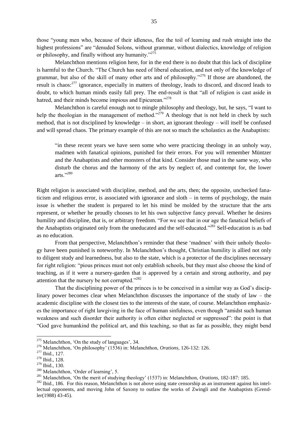those "young men who, because of their idleness, flee the toil of learning and rush straight into the highest professions" are "denuded Solons, without grammar, without dialectics, knowledge of religion or philosophy, and finally without any humanity. $1275$ 

Melanchthon mentions religion here, for in the end there is no doubt that this lack of discipline is harmful to the Church. "The Church has need of liberal education, and not only of the knowledge of grammar, but also of the skill of many other arts and of philosophy.<sup> $276$ </sup> If those are abandoned, the result is chaos:<sup>277</sup> ignorance, especially in matters of theology, leads to discord, and discord leads to doubt, to which human minds easily fall prey. The end-result is that "all of religion is cast aside in hatred, and their minds become impious and Epicurean."<sup>278</sup>

Melanchthon is careful enough not to mingle philosophy and theology, but, he says, "I want to help the theologian in the management of method.<sup> $279$ </sup> A theology that is not held in check by such method, that is not disciplined by knowledge – in short, an ignorant theology – will itself be confused and will spread chaos. The primary example of this are not so much the scholastics as the Anabaptists:

"in these recent years we have seen some who were practicing theology in an unholy way, madmen with fanatical opinions, punished for their errors. For you will remember Müntzer and the Anabaptists and other monsters of that kind. Consider those mad in the same way, who disturb the chorus and the harmony of the arts by neglect of, and contempt for, the lower arts."280

Right religion is associated with discipline, method, and the arts, then; the opposite, unchecked fanaticism and religious error, is associated with ignorance and sloth – in terms of psychology, the main issue is whether the student is prepared to let his mind be molded by the structure that the arts represent, or whether he proudly chooses to let his own subjective fancy prevail. Whether he desires humility and discipline, that is, or arbitrary freedom. "For we see that in our age the fanatical beliefs of the Anabaptists originated only from the uneducated and the self-educated.<sup>2281</sup> Self-education is as bad as no education.

From that perspective, Melanchthon's reminder that these 'madmen' with their unholy theology have been punished is noteworthy. In Melanchthon's thought, Christian humility is allied not only to diligent study and learnedness, but also to the state, which is a protector of the disciplines necessary for right religion: "pious princes must not only establish schools, but they must also choose the kind of teaching, as if it were a nursery-garden that is approved by a certain and strong authority, and pay attention that the nursery be not corrupted. $2282$ 

That the disciplining power of the princes is to be conceived in a similar way as God's disciplinary power becomes clear when Melanchthon discusses the importance of the study of law – the academic discipline with the closest ties to the interests of the state, of course. Melanchthon emphasizes the importance of right lawgiving in the face of human sinfulness, even though "amidst such human weakness and such disorder their authority is often either neglected or suppressed": the point is that ―God gave humankind the political art, and this teaching, so that as far as possible, they might bend

 $275$  Melanchthon, 'On the study of languages', 34.

<sup>&</sup>lt;sup>276</sup> Melanchthon, 'On philosophy' (1536) in: Melanchthon, *Orations*, 126-132: 126.

<sup>277</sup> Ibid., 127.

<sup>278</sup> Ibid., 128.

<sup>279</sup> Ibid., 130.

<sup>&</sup>lt;sup>280</sup> Melanchthon, 'Order of learning', 5.

<sup>&</sup>lt;sup>281</sup> Melanchthon, 'On the merit of studying theology' (1537) in: Melanchthon, *Orations*, 182-187: 185.

<sup>&</sup>lt;sup>282</sup> Ibid., 186. For this reason, Melanchthon is not above using state censorship as an instrument against his intellectual opponents, and moving John of Saxony to outlaw the works of Zwingli and the Anabaptists (Grendler(1988) 43-45).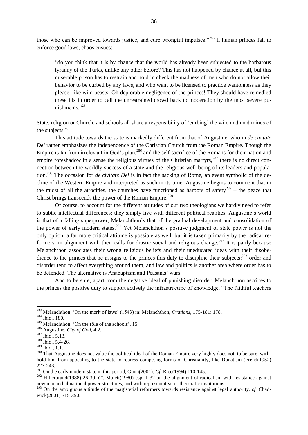those who can be improved towards justice, and curb wrongful impulses. $283$  If human princes fail to enforce good laws, chaos ensues:

"do you think that it is by chance that the world has already been subjected to the barbarous tyranny of the Turks, unlike any other before? This has not happened by chance at all, but this miserable prison has to restrain and hold in check the madness of men who do not allow their behavior to be curbed by any laws, and who want to be licensed to practice wantonness as they please, like wild beasts. Oh deplorable negligence of the princes! They should have remedied these ills in order to call the unrestrained crowd back to moderation by the most severe punishments<sup>"284</sup>

State, religion or Church, and schools all share a responsibility of 'curbing' the wild and mad minds of the subjects.<sup>285</sup>

This attitude towards the state is markedly different from that of Augustine, who in *de civitate Dei* rather emphasizes the independence of the Christian Church from the Roman Empire. Though the Empire is far from irrelevant in God's plan,<sup>286</sup> and the self-sacrifice of the Romans for their nation and empire foreshadow in a sense the religious virtues of the Christian martyrs,  $287$  there is no direct connection between the worldly success of a state and the religious well-being of its leaders and population.<sup>288</sup> The occasion for *de civitate Dei* is in fact the sacking of Rome, an event symbolic of the decline of the Western Empire and interpreted as such in its time. Augustine begins to comment that in the midst of all the atrocities, the churches have functioned as harbors of safety<sup>289</sup> – the peace that Christ brings transcends the power of the Roman Empire.<sup>290</sup>

Of course, to account for the different attitudes of our two theologians we hardly need to refer to subtle intellectual differences: they simply live with different political realities. Augustine's world is that of a falling superpower, Melanchthon's that of the gradual development and consolidation of the power of early modern states.<sup>291</sup> Yet Melanchthon's positive judgment of state power is not the only option: a far more critical attitude is possible as well, but it is taken primarily by the radical reformers, in alignment with their calls for drastic social and religious change.<sup>292</sup> It is partly because Melanchthon associates their wrong religious beliefs and their uneducated ideas with their disobedience to the princes that he assigns to the princes this duty to discipline their subjects:<sup>293</sup> order and disorder tend to affect everything around them, and law and politics is another area where order has to be defended. The alternative is Anabaptism and Peasants' wars.

And to be sure, apart from the negative ideal of punishing disorder, Melanchthon ascribes to the princes the positive duty to support actively the infrastructure of knowledge. "The faithful teachers

<sup>283</sup> Melanchthon, ‗On the merit of laws' (1543) in: Melanchthon, *Orations*, 175-181: 178.

<sup>284</sup> Ibid., 180.

 $285$  Melanchthon, 'On the rôle of the schools', 15.

<sup>286</sup> Augustine, *City of God*, 4.2.

<sup>287</sup> Ibid., 5.13.

<sup>288</sup> Ibid., 5.4-26.

<sup>289</sup> Ibid., 1.1.

<sup>&</sup>lt;sup>290</sup> That Augustine does not value the political ideal of the Roman Empire very highly does not, to be sure, withhold him from appealing to the state to repress competing forms of Christianity, like Donatism (Frend(1952) 227-243).

<sup>291</sup> On the early modern state in this period, Gunn(2001). *Cf.* Rice(1994) 110-145.

<sup>&</sup>lt;sup>292</sup> Hillerbrand(1988) 26-30. *Cf.* Mulett(1980) esp. 1-32 on the alignment of radicalism with resistance against new monarchal national power structures, and with representative or theocratic institutions.

<sup>293</sup> On the ambiguous attitude of the magisterial reformers towards resistance against legal authority, *cf.* Chadwick(2001) 315-350.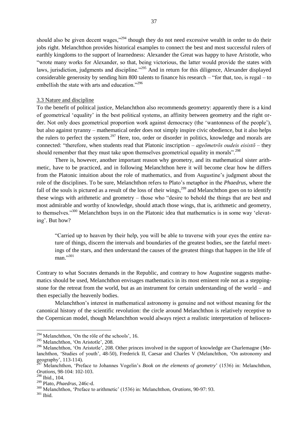should also be given decent wages,  $^{294}$  though they do not need excessive wealth in order to do their jobs right. Melanchthon provides historical examples to connect the best and most successful rulers of earthly kingdoms to the support of learnedness: Alexander the Great was happy to have Aristotle, who "wrote many works for Alexander, so that, being victorious, the latter would provide the states with laws, jurisdiction, judgments and discipline."<sup>295</sup> And in return for this diligence, Alexander displayed considerable generosity by sending him 800 talents to finance his research – "for that, too, is regal – to embellish the state with arts and education. $^{296}$ 

#### 3.3 Nature and discipline

To the benefit of political justice, Melanchthon also recommends geometry: apparently there is a kind of geometrical ‗equality' in the best political systems, an affinity between geometry and the right order. Not only does geometrical proportion work against democracy (the 'wantonness of the people'). but also against tyranny – mathematical order does not simply inspire civic obedience, but it also helps the rulers to perfect the system.<sup>297</sup> Here, too, order or disorder in politics, knowledge and morals are connected: "therefore, when students read that Platonic inscription – *age*ometros *oudeis eisistō* – they should remember that they must take upon themselves geometrical equality in morals".<sup>298</sup>

There is, however, another important reason why geometry, and its mathematical sister arithmetic, have to be practiced, and in following Melanchthon here it will become clear how he differs from the Platonic intuition about the role of mathematics, and from Augustine's judgment about the role of the disciplines. To be sure, Melanchthon refers to Plato's metaphor in the *Phaedrus*, where the fall of the souls is pictured as a result of the loss of their wings,<sup>299</sup> and Melanchthon goes on to identify these wings with arithmetic and geometry – those who "desire to behold the things that are best and most admirable and worthy of knowledge, should attach those wings, that is, arithmetic and geometry, to themselves.<sup>3300</sup> Melanchthon buys in on the Platonic idea that mathematics is in some way 'elevating'. But how?

―Carried up to heaven by their help, you will be able to traverse with your eyes the entire nature of things, discern the intervals and boundaries of the greatest bodies, see the fateful meetings of the stars, and then understand the causes of the greatest things that happen in the life of  $man.$ <sup>301</sup>

Contrary to what Socrates demands in the Republic, and contrary to how Augustine suggests mathematics should be used, Melanchthon envisages mathematics in its most eminent role not as a steppingstone for the retreat from the world, but as an instrument for certain understanding of the world – and then especially the heavenly bodies.

Melanchthon's interest in mathematical astronomy is genuine and not without meaning for the canonical history of the scientific revolution: the circle around Melanchthon is relatively receptive to the Copernican model, though Melanchthon would always reject a realistic interpretation of heliocen-

<sup>&</sup>lt;sup>294</sup> Melanchthon, 'On the rôle of the schools', 16.

<sup>&</sup>lt;sup>295</sup> Melanchthon, 'On Aristotle', 208.

<sup>&</sup>lt;sup>296</sup> Melanchthon, 'On Aristotle', 208. Other princes involved in the support of knowledge are Charlemagne (Melanchthon, 'Studies of youth', 48-50), Frederick II, Caesar and Charles V (Melanchthon, 'On astronomy and geography', 113-114).

<sup>297</sup> Melanchthon, ‗Preface to Johannes Vogelin's *Book on the elements of geometry*' (1536) in: Melanchthon, *Orations*, 98-104: 102-103.

<sup>298</sup> Ibid., 104.

<sup>299</sup> Plato, *Phaedrus*, 246c-d.

<sup>300</sup> Melanchthon, ‗Preface to arithmetic' (1536) in: Melanchthon, *Orations*, 90-97: 93.

<sup>301</sup> Ibid.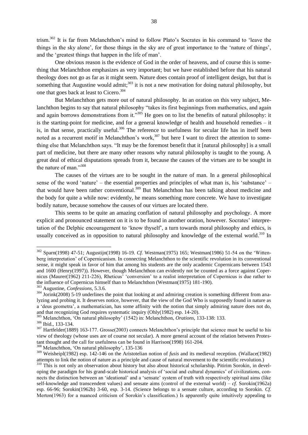trism.<sup>302</sup> It is far from Melanchthon's mind to follow Plato's Socrates in his command to 'leave the things in the sky alone', for those things in the sky are of great importance to the 'nature of things', and the 'greatest things that happen in the life of man'.

One obvious reason is the evidence of God in the order of heavens, and of course this is something that Melanchthon emphasizes as very important; but we have established before that his natural theology does not go as far as it might seem. Nature does contain proof of intelligent design, but that is something that Augustine would admit;<sup>303</sup> it is not a new motivation for doing natural philosophy, but one that goes back at least to Cicero.<sup>304</sup>

But Melanchthon gets more out of natural philosophy. In an oration on this very subject, Melanchthon begins to say that natural philosophy "takes its first beginnings from mathematics, and again and again borrows demonstrations from it.<sup>3305</sup> He goes on to list the benefits of natural philosophy: it is the starting-point for medicine, and for a general knowledge of health and household remedies – it is, in that sense, practically useful.<sup>306</sup> The reference to usefulness for secular life has in itself been noted as a recurrent motif in Melanchthon's work,<sup>307</sup> but here I want to direct the attention to something else that Melanchthon says. "It may be the foremost benefit that it [natural philosophy] is a small part of medicine, but there are many other reasons why natural philosophy is taught to the young. A great deal of ethical disputations spreads from it, because the causes of the virtues are to be sought in the nature of man." $308$ 

The causes of the virtues are to be sought in the nature of man. In a general philosophical sense of the word 'nature' – the essential properties and principles of what man is, his 'substance' – that would have been rather conventional.<sup>309</sup> But Melanchthon has been talking about medicine and the body for quite a while now: evidently, he means something more concrete. We have to investigate bodily nature, because somehow the causes of our virtues are located there.

This seems to be quite an amazing conflation of natural philosophy and psychology. A more explicit and pronounced statement on it is to be found in another oration, however. Socrates' interpretation of the Delphic encouragement to 'know thyself', a turn towards moral philosophy and ethics, is usually conceived as in opposition to natural philosophy and knowledge of the external world.<sup>310</sup> In

<sup>302</sup> Sparn(1998) 47-51; Augustijn(1998) 16-19. *Cf.* Westman(1975) 165; Westman(1986) 51-54 on the ‗Wittenberg interpretation' of Copernicanism. In connecting Melanchthon to the scientific revolution in its conventional sense, it might speak in favor of him that among his students are the only academic Copernicans between 1543 and 1600 (Henry(1997)). However, though Melanchthon can evidently not be counted as a force against Copernicus (Maurer(1962) 211-226), Rheticus' ‗conversion' to a realist interpretation of Copernicus is due rather to the influence of Copernicus himself than to Melanchthon (Westman(1975) 181-190).

<sup>303</sup> Augustine, *Confessions*, 5.3.6.

<sup>&</sup>lt;sup>304</sup> Jorink(2008) 5-19 underlines the point that looking at and admiring creation is something different from analyzing and probing it. It deserves notice, however, that the view of the God Who is supposedly found in nature as a ‗deus geometra', a mathematician, has some affinity with the notion that simply admiring nature does not do, and that recognizing God requires systematic inquiry (Ohly(1982) esp. 14-20).

<sup>305</sup> Melanchthon, ‗On natural philosophy' (1542) in: Melanchthon, *Orations*, 133-138: 133.

<sup>306</sup> Ibid., 133-134.

<sup>&</sup>lt;sup>307</sup> Hartfelder(1889) 163-177. Grosse(2003) connects Melanchthon's principle that science must be useful to his view of theology (whose uses are of course not secular). A more general account of the relation between Protestant thought and the call for usefulness can be found in Harrison(1998) 161-204.

<sup>&</sup>lt;sup>308</sup> Melanchthon, 'On natural philosophy', 135-136

<sup>309</sup> Weisheipl(1982) esp. 142-146 on the Aristotelian notion of *fusis* and its medieval reception. (Wallace(1982) attempts to link the notion of nature as a principle and cause of natural movement to the scientific revolution.)

<sup>&</sup>lt;sup>310</sup> This is not only an observation about history but also about historical scholarship. Pitirim Sorokin, in developing the paradigm for his grand-scale historical analysis of ‗social and cultural dynamics' of civilizations, connects the distinction between an 'ideational' and a 'sensate' system of truth with respectively spiritual aims (like self-knowledge and transcendent values) and sensate aims (control of the external world) – *cf.* Sorokin(1962a) esp. 66-96; Sorokin(1962b) 3-60, esp. 3-14. (Science belongs to a sensate culture, according to Sorokin. *Cf.*  Merton(1963) for a nuanced criticism of Sorokin's classification.) Is apparently quite intuitively appealing to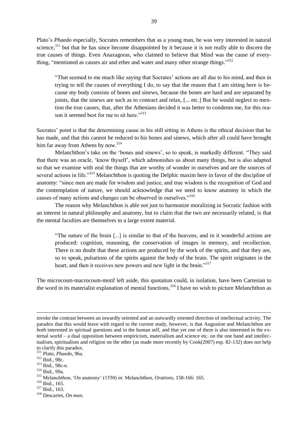Plato's *Phaedo* especially, Socrates remembers that as a young man, he was very interested in natural science, $311$  but that he has since become disappointed by it because it is not really able to discern the true causes of things. Even Anaxagoras, who claimed to believe that Mind was the cause of everything, "mentioned as causes air and ether and water and many other strange things."<sup>312</sup>

―That seemed to me much like saying that Socrates' actions are all due to his mind, and then in trying to tell the causes of everything I do, to say that the reason that I am sitting here is because my body consists of bones and sinews, because the bones are hard and are separated by joints, that the sinews are such as to contract and relax, [... etc.] But he would neglect to mention the true causes, that, after the Athenians decided it was better to condemn me, for this reason it seemed best for me to sit here.<sup>313</sup>

Socrates' point is that the determining cause in his still sitting in Athens is the ethical decision that he has made, and that this cannot be reduced to his bones and sinews, which after all could have brought him far away from Athens by now.<sup>314</sup>

Melanchthon's take on the 'bones and sinews', so to speak, is markedly different. "They said that there was an oracle, ‗know thyself', which admonishes us about many things, but is also adapted so that we examine with zeal the things that are worthy of wonder in ourselves and are the sources of several actions in life."<sup>315</sup> Melanchthon is quoting the Delphic maxim here in favor of the discipline of anatomy: "since men are made for wisdom and justice, and true wisdom is the recognition of God and the contemplation of nature, we should acknowledge that we need to know anatomy in which the causes of many actions and changes can be observed in ourselves."<sup>316</sup>

The reason why Melanchthon is able not just to harmonize moralizing in Socratic fashion with an interest in natural philosophy and anatomy, but to claim that the two are necessarily related, is that the mental faculties are themselves to a large extent material.

―The nature of the brain [...] is similar to that of the heavens, and in it wonderful actions are produced: cognition, reasoning, the conservation of images in memory, and recollection. There is no doubt that these actions are produced by the work of the spirits, and that they are, so to speak, pulsations of the spirits against the body of the brain. The spirit originates in the heart, and then it receives new powers and new light in the brain."<sup>317</sup>

The microcosm-macrocosm-motif left aside, this quotation could, in isolation, have been Cartesian to the word in its materialist explanation of mental functions.<sup>318</sup> I have no wish to picture Melanchthon as

invoke the contrast between an inwardly oriented and an outwardly oriented direction of intellectual activity. The paradox that this would leave with regard to the current study, however, is that Augustine and Melanchthon are *both* interested in spiritual questions and in the human self, and that yet one of them is also interested in the external world – a dual opposition between empiricism, materialism and science etc. on the one hand and intellectualism, spiritualism and religion on the other (as made more recently by Cook(2007) esp. 82-132) does not help to clarify this paradox.

<sup>311</sup> Plato, *Phaedo*, 96a.

<sup>312</sup> Ibid., 98c.

<sup>313</sup> Ibid., 98c-e.

<sup>314</sup> Ibid., 99a.

<sup>315</sup> Melanchthon, ‗On anatomy' (1550) in: Melanchthon, *Orations*, 158-166: 165.

<sup>316</sup> Ibid., 165.

<sup>317</sup> Ibid., 163.

<sup>318</sup> Descartes, *On man*.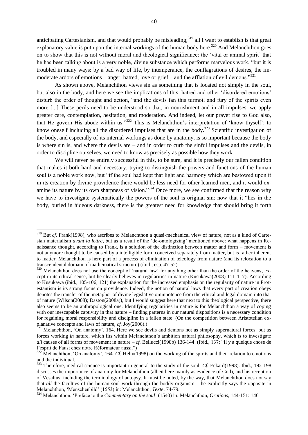anticipating Cartesianism, and that would probably be misleading;<sup>319</sup> all I want to establish is that great explanatory value is put upon the internal workings of the human body here.<sup>320</sup> And Melanchthon goes on to show that this is not without moral and theological significance: the ‗vital or animal spirit' that he has been talking about is a very noble, divine substance which performs marvelous work, "but it is troubled in many ways: by a bad way of life, by intemperance, the conflagrations of desires, the immoderate ardors of emotions – anger, hatred, love or grief – and the afflation of evil demons.<sup>321</sup>

As shown above, Melanchthon views sin as something that is located not simply in the soul, but also in the body, and here we see the implications of this: hatred and other ‗disordered emotions' disturb the order of thought and action, "and the devils fan this turmoil and fury of the spirits even more [...] These perils need to be understood so that, in nourishment and in all impulses, we apply greater care, contemplation, hesitation, and moderation. And indeed, let our prayer rise to God also, that He govern His abode within us.<sup>322</sup> This is Melanchthon's interpretation of 'know thyself': to know oneself including all the disordered impulses that are in the body.<sup>323</sup> Scientific investigation of the body, and especially of its internal workings as done by anatomy, is so important because the body is where sin is, and where the devils are – and in order to curb the sinful impulses and the devils, in order to discipline ourselves, we need to know as precisely as possible how they work.

We will never be entirely successful in this, to be sure, and it is precisely our fallen condition that makes it both hard and necessary: trying to distinguish the powers and functions of the human soul is a noble work now, but "if the soul had kept that light and harmony which are bestowed upon it in its creation by divine providence there would be less need for other learned men, and it would examine its nature by its own sharpness of vision.<sup>324</sup> Once more, we see confirmed that the reason why we have to investigate systematically the powers of the soul is original sin: now that it "lies in the body, buried in hideous darkness, there is the greatest need for knowledge that should bring it forth

<sup>&</sup>lt;sup>319</sup> But *cf.* Frank(1998), who ascribes to Melanchthon a quasi-mechanical view of nature, not as a kind of Cartesian materialism *avant la lettre*, but as a result of the ‗de-ontologizing' mentioned above: what happens in Renaissance thought, according to Frank, is a solution of the distinction between matter and form – movement is not anymore thought to be caused by a intelligible form conceived separately from matter, but is rather inherent to matter. Melanchthon is here part of a process of elimination of teleology from nature (and its relocation to a transcendental domain of mathematical structure) (ibid., esp. 47-52).

<sup>&</sup>lt;sup>320</sup> Melanchthon does not use the concept of 'natural law' for anything other than the order of the heavens, except in its ethical sense, but he clearly believes in regularities in nature (Kusukawa(2008) 111-117). According to Kusukawa (ibid., 105-106, 121) the explanation for the increased emphasis on the regularity of nature in Protestantism is its strong focus on providence. Indeed, the notion of natural laws that every part of creation obeys denotes the transfer of the metaphor of divine legislative omnipotence from the ethical and legal domain into that of nature (Wilson(2008); Daston(2008a)), but I would suggest here that next to this theological perspective, there also seems to be an anthropological one. Identifying regularities in nature is for Melanchthon a way of coping with our inescapable captivity in that nature – finding patterns in our natural dispositions is a necessary condition for regaining moral responsibility and discipline in a fallen state. (On the competition between Aristotelian explanative concepts and laws of nature, *cf.* Joy(2006).)

 $321$  Melanchthon, 'On anatomy', 164. Here we see devils and demons not as simply supernatural forces, but as forces working *in* nature, which fits within Melanchthon's ambition natural philosophy, which is to investigate *all* causes of all forms of movement in nature – *cf.* Bellucci(1998b) 136-144. (Ibid., 137: "Il y a quelque chose de l'esprit de Faust chez notre Réformateur aussi.")

<sup>&</sup>lt;sup>322</sup> Melanchthon, 'On anatomy', 164. *Cf.* Helm(1998) on the working of the spirits and their relation to emotions and the individual.

<sup>&</sup>lt;sup>323</sup> Therefore, medical science is important in general to the study of the soul. *Cf.* Eckard(1998). Ibid., 192-198 discusses the importance of anatomy for Melanchthon (albeit here mainly as evidence of God), and his reception of Vesalius, including the terminology of autopsy. It must be noted, by the way, that Melanchthon does not say that *all* the faculties of the human soul work through the bodily organism – he explicitly says the opposite in Melanchthon, 'Menschenbild' (1553) in: Melanchthon, *Texte*, 74-79.

<sup>324</sup> Melanchthon, ‗Preface to the *Commentary on the soul*' (1540) in: Melanchthon, *Orations*, 144-151: 146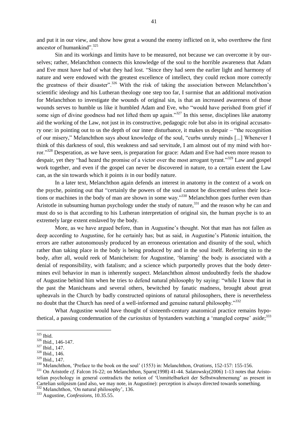and put it in our view, and show how great a wound the enemy inflicted on it, who overthrew the first ancestor of humankind". $325$ 

Sin and its workings and limits have to be measured, not because we can overcome it by ourselves; rather, Melanchthon connects this knowledge of the soul to the horrible awareness that Adam and Eve must have had of what they had lost. "Since they had seen the earlier light and harmony of nature and were endowed with the greatest excellence of intellect, they could reckon more correctly the greatness of their disaster".<sup>326</sup> With the risk of taking the association between Melanchthon's scientific ideology and his Lutheran theology one step too far, I surmise that an additional motivation for Melanchthon to investigate the wounds of original sin, is that an increased awareness of those wounds serves to humble us like it humbled Adam and Eve, who "would have perished from grief if some sign of divine goodness had not lifted them up again.<sup>327</sup> In this sense, disciplines like anatomy aid the working of the Law, not just in its constructive, pedagogic role but also in its original accusatory one: in pointing out to us the depth of our inner disturbance, it makes us despair – "the recognition" of our misery," Melanchthon says about knowledge of the soul, "curbs unruly minds [...] Whenever I think of this darkness of soul, this weakness and sad servitude, I am almost out of my mind with horror."<sup>328</sup> Desperation, as we have seen, is preparation for grace: Adam and Eve had even more reason to despair, yet they "had heard the promise of a victor over the most arrogant tyrant."<sup>329</sup> Law and gospel work together, and even if the gospel can never be discovered in nature, to a certain extent the Law can, as the sin towards which it points *is* in our bodily nature.

In a later text, Melanchthon again defends an interest in anatomy in the context of a work on the psyche, pointing out that "certainly the powers of the soul cannot be discerned unless their locations or machines in the body of man are shown in some way.<sup>330</sup> Melanchthon goes further even than Aristotle in subsuming human psychology under the study of nature,  $331$  and the reason why he can and must do so is that according to his Lutheran interpretation of original sin, the human psyche is to an extremely large extent enslaved by the body.

More, as we have argued before, than in Augustine's thought. Not that man has not fallen as deep according to Augustine, for he certainly has; but as said, in Augustine's Platonic intuition, the errors are rather autonomously produced by an erroneous orientation and disunity of the soul, which rather than taking place in the body is being produced by and in the soul itself. Referring sin to the body, after all, would reek of Manicheism: for Augustine, 'blaming' the body is associated with a denial of responsibility, with fatalism; and a science which purportedly proves that the body determines evil behavior in man is inherently suspect. Melanchthon almost undoubtedly feels the shadow of Augustine behind him when he tries to defend natural philosophy by saying: "while I know that in the past the Manicheans and several others, bewitched by fanatic madness, brought about great upheavals in the Church by badly constructed opinions of natural philosophers, there is nevertheless no doubt that the Church has need of a well-informed and genuine natural philosophy."<sup>332</sup>

What Augustine would have thought of sixteenth-century anatomical practice remains hypothetical, a passing condemnation of the *curiositas* of bystanders watching a 'mangled corpse' aside;<sup>333</sup>

 $\overline{\phantom{a}}$ 

<sup>331</sup> On Aristotle *cf*. Falcon 16-22; on Melanchthon, Sparn(1998) 41-44. Salatowsky(2006) 1-13 notes that Aristotelian psychology in general contradicts the notion of ‗Unmittelbarkeit der Selbstwahrnemung' as present in Cartelian solipsism (and also, we may note, in Augustine): perception is always directed towards something. <sup>332</sup> Melanchthon, 'On natural philosophy', 136.

<sup>325</sup> Ibid.

<sup>326</sup> Ibid., 146-147.

<sup>327</sup> Ibid., 147.

<sup>328</sup> Ibid., 146.

<sup>329</sup> Ibid., 147.

<sup>330</sup> Melanchthon, ‗Preface to the book on the soul' (1553) in: Melanchthon, *Orations*, 152-157: 155-156.

<sup>333</sup> Augustine, *Confessions*, 10.35.55.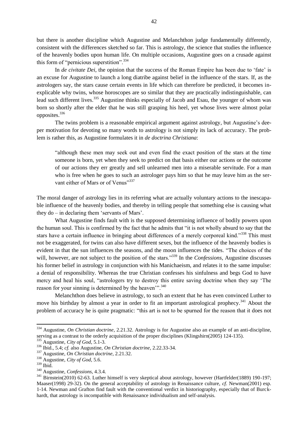but there is another discipline which Augustine and Melanchthon judge fundamentally differently, consistent with the differences sketched so far. This is astrology, the science that studies the influence of the heavenly bodies upon human life. On multiple occasions, Augustine goes on a crusade against this form of "pernicious superstition".  $334$ 

In *de civitate Dei*, the opinion that the success of the Roman Empire has been due to 'fate' is an excuse for Augustine to launch a long diatribe against belief in the influence of the stars. If, as the astrologers say, the stars cause certain events in life which can therefore be predicted, it becomes inexplicable why twins, whose horoscopes are so similar that they are practically indistinguishable, can lead such different lives.<sup>335</sup> Augustine thinks especially of Jacob and Esau, the younger of whom was born so shortly after the elder that he was still grasping his heel, yet whose lives were almost polar opposites.<sup>336</sup>

The twins problem is a reasonable empirical argument against astrology, but Augustine's deeper motivation for devoting so many words to astrology is not simply its lack of accuracy. The problem is rather this, as Augustine formulates it in *de doctrina Christiana*:

―although these men may seek out and even find the exact position of the stars at the time someone is born, yet when they seek to predict on that basis either our actions or the outcome of our actions they err greatly and sell unlearned men into a miserable servitude. For a man who is free when he goes to such an astrologer pays him so that he may leave him as the servant either of Mars or of Venus"337

The moral danger of astrology lies in its referring what are actually voluntary actions to the inescapable influence of the heavenly bodies, and thereby in telling people that something else is causing what they  $do - in declaring them 'servants of Mars'.$ 

What Augustine finds fault with is the supposed determining influence of bodily powers upon the human soul. This is confirmed by the fact that he admits that "it is not wholly absurd to say that the stars have a certain influence in bringing about differences of a merely corporeal kind."<sup>338</sup> This must not be exaggerated, for twins can also have different sexes, but the influence of the heavenly bodies is evident in that the sun influences the seasons, and the moon influences the tides. "The choices of the will, however, are not subject to the position of the stars."<sup>339</sup> In the *Confessions*, Augustine discusses his former belief in astrology in conjunction with his Manichaeism, and relates it to the same impulse: a denial of responsibility. Whereas the true Christian confesses his sinfulness and begs God to have mercy and heal his soul, "astrologers try to destroy this entire saving doctrine when they say 'The reason for your sinning is determined by the heaven'".<sup>340</sup>

Melanchthon does believe in astrology, to such an extent that he has even convinced Luther to move his birthday by almost a year in order to fit an important astrological prophecy.<sup>341</sup> About the problem of accuracy he is quite pragmatic: "this art is not to be spurned for the reason that it does not

<sup>334</sup> Augustine, *On Christian doctrine*, 2.21.32. Astrology is for Augustine also an example of an anti-discipline, serving as a contrast to the orderly acquisition of the proper disciplines (Klingshirn(2005) 124-135).

<sup>335</sup> Augustine, *City of God*, 5.1-3.

<sup>336</sup> Ibid., 5.4; *cf.* also Augustine, *On Christian doctrine*, 2.22.33-34.

<sup>337</sup> Augustine, *On Christian doctrine*, 2.21.32.

<sup>338</sup> Augustine, *City of God*, 5.6.

<sup>339</sup> Ibid.

<sup>340</sup> Augustine, *Confessions*, 4.3.4.

<sup>341</sup> Birnstein(2010) 62-63. Luther himself is very skeptical about astrology, however (Hartfelder(1889) 190-197; Maaser(1998) 29-32). On the general acceptability of astrology in Renaissance culture, *cf.* Newman(2001) esp. 1-14. Newman and Grafton find fault with the conventional verdict in historiography, especially that of Burckhardt, that astrology is incompatible with Renaissance individualism and self-analysis.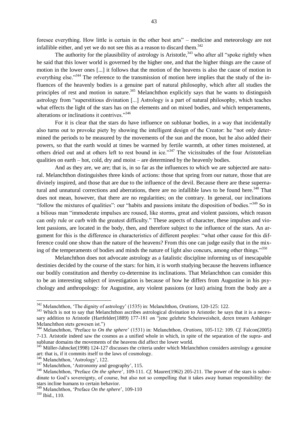foresee everything. How little is certain in the other best arts" – medicine and meteorology are not infallible either, and yet we do not see this as a reason to discard them.<sup>342</sup>

The authority for the plausibility of astrology is Aristotle,  $343$  who after all "spoke rightly when he said that this lower world is governed by the higher one, and that the higher things are the cause of motion in the lower ones [...] it follows that the motion of the heavens is also the cause of motion in everything else.<sup>344</sup> The reference to the transmission of motion here implies that the study of the influences of the heavenly bodies is a genuine part of natural philosophy, which after all studies the principles of rest and motion in nature.<sup>345</sup> Melanchthon explicitly says that he wants to distinguish astrology from "superstitious divination [...] Astrology is a part of natural philosophy, which teaches what effects the light of the stars has on the elements and on mixed bodies, and which temperaments, alterations or inclinations it contrives."<sup>346</sup>

For it is clear that the stars do have influence on sublunar bodies, in a way that incidentally also turns out to provoke piety by showing the intelligent design of the Creator: he "not only determined the periods to be measured by the movements of the sun and the moon, but he also added their powers, so that the earth would at times be warmed by fertile warmth, at other times moistened, at others dried out and at others left to rest bound in ice.<sup>347</sup> The vicissitudes of the four Aristotelian qualities on earth – hot, cold, dry and moist – are determined by the heavenly bodies.

And as they are, we are; that is, in so far as the influences to which we are subjected are natural. Melanchthon distinguishes three kinds of actions: those that spring from our nature, those that are divinely inspired, and those that are due to the influence of the devil. Because there are these supernatural and unnatural corrections and aberrations, there are no infallible laws to be found here.<sup>348</sup> That does not mean, however, that there are no regularities; on the contrary. In general, our inclinations "follow the mixtures of qualities": our "habits and passions imitate the disposition of bodies."<sup>349</sup> So in a bilious man "immoderate impulses are roused, like storms, great and violent passions, which reason can only rule or curb with the greatest difficulty." These aspects of character, these impulses and violent passions, are located in the body, then, and therefore subject to the influence of the stars. An argument for this is the difference in characteristics of different peoples: "what other cause for this difference could one show than the nature of the heavens? From this one can judge easily that in the mixing of the temperaments of bodies and minds the nature of light also concurs, among other things.<sup>350</sup>

Melanchthon does not advocate astrology as a fatalistic discipline informing us of inescapable destinies decided by the course of the stars: for him, it is worth studying because the heavens influence our bodily constitution and thereby co-determine its inclinations. That Melanchthon can consider this to be an interesting subject of investigation is because of how he differs from Augustine in his psychology and anthropology: for Augustine, any violent passions (or lust) arising from the body are a

l

<sup>342</sup> Melanchthon, ‗The dignity of astrology' (1535) in: Melanchthon, *Orations*, 120-125: 122.

<sup>&</sup>lt;sup>343</sup> Which is not to say that Melanchthon ascribes astrological divination to Aristotle: he says that it is a necessary addition to Aristotle (Hartfelder(1889) 177-181 on "jene gelehrte Scheinweisheit, deren treuen Anhänger Melanchthon stets gewesen ist.")

<sup>344</sup> Melanchthon, ‗Preface to *On the sphere*' (1531) in: Melanchthon, *Orations*, 105-112: 109. *Cf.* Falcon(2005) 7-13. Aristotle indeed saw the cosmos as a unified whole in which, in spite of the separation of the supra- and sublunar domains the movements of the heavens did affect the lower world.

<sup>&</sup>lt;sup>345</sup> Müller-Jahncke(1998) 124-127 discusses the criteria under which Melanchthon considers astrology a genuine art: that is, if it commits itself to the laws of cosmology.

 $\frac{346}{346}$  Melanchthon, 'Astrology', 122.

 $347$  Melanchthon, 'Astronomy and geography', 115.

<sup>&</sup>lt;sup>348</sup> Melanchthon, 'Preface *On the sphere*', 109-111. *Cf.* Maurer(1962) 205-211. The power of the stars is subordinate to God's sovereignty, of course, but also not so compelling that it takes away human responsibility: the stars incline humans to certain behavior.

<sup>&</sup>lt;sup>349</sup> Melanchthon, 'Preface *On the sphere'*, 109-110

<sup>350</sup> Ibid., 110.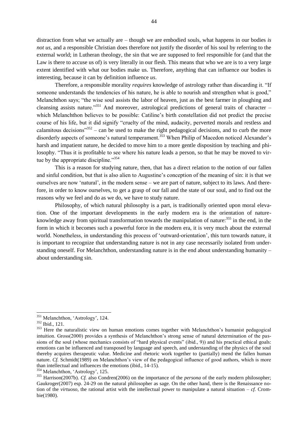distraction from what we actually are – though we are embodied souls, what happens in our bodies *is not us*, and a responsible Christian does therefore not justify the disorder of his soul by referring to the external world; in Lutheran theology, the sin that we are supposed to feel responsible for (and that the Law is there to accuse us of) is very literally in our flesh. This means that who we are is to a very large extent identified with what our bodies make us. Therefore, anything that can influence our bodies is interesting, because it can by definition influence *us*.

Therefore, a responsible morality *requires* knowledge of astrology rather than discarding it. "If someone understands the tendencies of his nature, he is able to nourish and strengthen what is good," Melanchthon says; "the wise soul assists the labor of heaven, just as the best farmer in ploughing and cleansing assists nature."<sup>351</sup> And moreover, astrological predictions of general traits of character – which Melanchthon believes to be possible: Catiline's birth constellation did not predict the precise course of his life, but it did signify "cruelty of the mind, audacity, perverted morals and restless and calamitous decisions<sup> $352$ </sup> – can be used to make the right pedagogical decisions, and to curb the more disorderly aspects of someone's natural temperament.<sup>353</sup> When Philip of Macedon noticed Alexander's harsh and impatient nature, he decided to move him to a more gentle disposition by teaching and philosophy. "Thus it is profitable to see where his nature leads a person, so that he may be moved to virtue by the appropriate discipline."<sup>354</sup>

This is a reason for studying nature, then, that has a direct relation to the notion of our fallen and sinful condition, but that is also alien to Augustine's conception of the meaning of sin: it is that we ourselves are now 'natural', in the modern sense – we are part of nature, subject to its laws. And therefore, in order to know ourselves, to get a grasp of our fall and the state of our soul, and to find out the reasons why we feel and do as we do, we have to study nature.

Philosophy, of which natural philosophy is a part, is traditionally oriented upon moral elevation. One of the important developments in the early modern era is the orientation of natureknowledge away from spiritual transformation towards the manipulation of nature:<sup>355</sup> in the end, in the form in which it becomes such a powerful force in the modern era, it is very much about the external world. Nonetheless, in understanding this process of 'outward-orientation', this turn towards nature, it is important to recognize that understanding nature is not in any case necessarily isolated from understanding oneself. For Melanchthon, understanding nature is in the end about understanding humanity – about understanding sin.

<sup>&</sup>lt;sup>351</sup> Melanchthon, 'Astrology', 124.

<sup>352</sup> Ibid., 121.

<sup>&</sup>lt;sup>353</sup> Here the naturalistic view on human emotions comes together with Melanchthon's humanist pedagogical intuition. Gross(2000) provides a synthesis of Melanchthon's strong sense of natural determination of the passions of the soul (whose mechanics consists of "hard physical events" (ibid., 9)) and his practical ethical goals: emotions can be influenced and transposed by language and speech, and understanding of the physics of the soul thereby acquires therapeutic value. Medicine and rhetoric work together to (partially) mend the fallen human nature. *Cf.* Schmidt(1989) on Melanchthon's view of the pedagogical influence of good authors, which is more than intellectual and influences the emotions (ibid., 14-15).

<sup>&</sup>lt;sup>354</sup> Melanchthon, 'Astrology', 125.

<sup>355</sup> Harrison(2007b). *Cf.* also Condren(2006) on the importance of the *persona* of the early modern philosopher; Gaukroger(2007) esp. 24-29 on the natural philosopher as sage. On the other hand, there is the Renaissance notion of the *virtuoso*, the rational artist with the intellectual power to manipulate a natural situation – *cf.* Crombie(1980).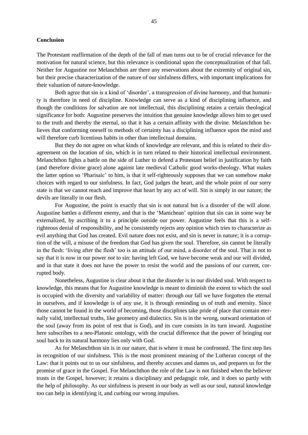#### **Conclusion**

The Protestant reaffirmation of the depth of the fall of man turns out to be of crucial relevance for the motivation for natural science, but this relevance is conditional upon the conceptualization of that fall. Neither for Augustine nor Melanchthon are there any reservations about the extremity of original sin, but their precise characterization of the nature of our sinfulness differs, with important implications for their valuation of nature-knowledge.

Both agree that sin is a kind of 'disorder', a transgression of divine harmony, and that humanity is therefore in need of discipline. Knowledge can serve as a kind of disciplining influence, and though the conditions for salvation are not intellectual, this disciplining retains a certain theological significance for both: Augustine preserves the intuition that genuine knowledge allows him to get used to the truth and thereby the eternal, so that it has a certain affinity with the divine. Melanchthon believes that conforming oneself to methods of certainty has a disciplining influence upon the mind and will therefore curb licentious habits in other than intellectual domains.

But they do not agree on what kinds of knowledge are relevant, and this is related to their disagreement on the location of sin, which is in turn related to their historical intellectual environment. Melanchthon fights a battle on the side of Luther to defend a Protestant belief in justification by faith (and therefore divine grace) alone against late medieval Catholic good works-theology. What makes the latter option so ‗Pharisaic' to him, is that it self-righteously supposes that we can somehow make choices with regard to our sinfulness. In fact, God judges the heart, and the whole point of our sorry state is that we cannot reach and improve that heart by any act of will. Sin is simply in our nature; the devils are literally in our flesh.

For Augustine, the point is exactly that sin is not natural but is a disorder of the will alone. Augustine battles a different enemy, and that is the ‗Manichean' opinion that sin can in some way be externalized, by ascribing it to a principle outside our power. Augustine feels that this is a selfrighteous denial of responsibility, and he consistently rejects any opinion which tries to characterize as evil anything that God has created. Evil nature does not exist, and sin is never in nature; it is a corruption of the will, a misuse of the freedom that God has given the soul. Therefore, sin cannot be literally in the flesh: ‗living after the flesh' too is an attitude of our mind, a disorder of the soul. That is not to say that it is now in our power *not* to sin: having left God, we have become weak and our will divided, and in that state it does not have the power to resist the world and the passions of our current, corrupted body.

Nonetheless, Augustine is clear about it that the disorder is in our divided soul. With respect to knowledge, this means that for Augustine knowledge is meant to diminish the extent to which the soul is occupied with the diversity and variability of matter: through our fall we have forgotten the eternal in ourselves, and if knowledge is of any use, it is through reminding us of truth and eternity. Since those cannot be found in the world of becoming, those disciplines take pride of place that contain eternally valid, intellectual truths, like geometry and dialectics. Sin is in the wrong, outward orientation of the soul (away from its point of rest that is God), and its cure consists in its turn inward. Augustine here subscribes to a neo-Platonic ontology, with the crucial difference that the power of bringing our soul back to its natural harmony lies only with God.

As for Melanchthon sin is in our nature, that is where it must be confronted. The first step lies in recognition of our sinfulness. This is the most prominent meaning of the Lutheran concept of the Law: that it points out to us our sinfulness, and thereby accuses and damns us, and prepares us for the promise of grace in the Gospel. For Melanchthon the role of the Law is not finished when the believer trusts in the Gospel, however; it retains a disciplinary and pedagogic role, and it does so partly with the help of philosophy. As our sinfulness is present in our body as well as our soul, natural knowledge too can help in identifying it, and curbing our wrong impulses.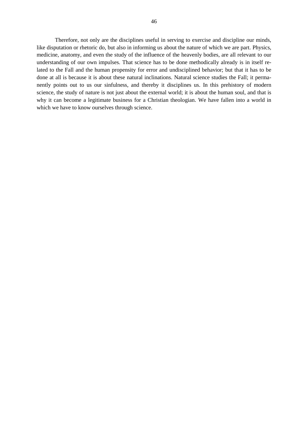Therefore, not only are the disciplines useful in serving to exercise and discipline our minds, like disputation or rhetoric do, but also in informing us about the nature of which we are part. Physics, medicine, anatomy, and even the study of the influence of the heavenly bodies, are all relevant to our understanding of our own impulses. That science has to be done methodically already is in itself related to the Fall and the human propensity for error and undisciplined behavior; but that it has to be done at all is because it is about these natural inclinations. Natural science studies the Fall; it permanently points out to us our sinfulness, and thereby it disciplines us. In this prehistory of modern science, the study of nature is not just about the external world; it is about the human soul, and that is why it can become a legitimate business for a Christian theologian. We have fallen into a world in which we have to know ourselves through science.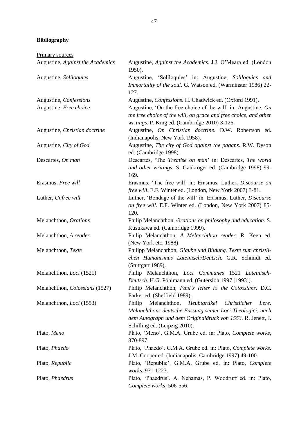### **Bibliography**

Primary sources

| Augustine, Against the Academics | Augustine, Against the Academics. J.J. O'Meara ed. (London<br>1950).                                                                                                                                                          |
|----------------------------------|-------------------------------------------------------------------------------------------------------------------------------------------------------------------------------------------------------------------------------|
| Augustine, Soliloquies           | Augustine, 'Soliloquies' in: Augustine, Soliloquies and<br>Immortality of the soul. G. Watson ed. (Warminster 1986) 22-<br>127.                                                                                               |
| Augustine, Confessions           | Augustine, Confessions. H. Chadwick ed. (Oxford 1991).                                                                                                                                                                        |
| Augustine, Free choice           | Augustine, 'On the free choice of the will' in: Augustine, On<br>the free choice of the will, on grace and free choice, and other<br>writings. P. King ed. (Cambridge 2010) 3-126.                                            |
| Augustine, Christian doctrine    | Augustine, On Christian doctrine. D.W. Robertson ed.<br>(Indianapolis, New York 1958).                                                                                                                                        |
| Augustine, City of God           | Augustine, The city of God against the pagans. R.W. Dyson<br>ed. (Cambridge 1998).                                                                                                                                            |
| Descartes, On man                | Descartes, 'The Treatise on man' in: Descartes, The world<br>and other writings. S. Gaukroger ed. (Cambridge 1998) 99-<br>169.                                                                                                |
| Erasmus, Free will               | Erasmus, 'The free will' in: Erasmus, Luther, Discourse on<br>free will. E.F. Winter ed. (London, New York 2007) 3-81.                                                                                                        |
| Luther, Unfree will              | Luther, 'Bondage of the will' in: Erasmus, Luther, Discourse<br>on free will. E.F. Winter ed. (London, New York 2007) 85-<br>120.                                                                                             |
| Melanchthon, Orations            | Philip Melanchthon, Orations on philosophy and education. S.<br>Kusukawa ed. (Cambridge 1999).                                                                                                                                |
| Melanchthon, A reader            | Philip Melanchthon, A Melanchthon reader. R. Keen ed.<br>(New York etc. 1988)                                                                                                                                                 |
| Melanchthon, Texte               | Philipp Melanchthon, Glaube und Bildung. Texte zum christli-<br>chen Humanismus Lateinisch/Deutsch. G.R. Schmidt ed.<br>(Stuttgart 1989).                                                                                     |
| Melanchthon, Loci (1521)         | Philip Melanchthon, Loci Communes 1521 Lateinisch-<br>Deutsch. H.G. Pöhlmann ed. (Gütersloh 1997 [1993]).                                                                                                                     |
| Melanchthon, Colossians (1527)   | Philip Melanchthon, Paul's letter to the Colossians. D.C.<br>Parker ed. (Sheffield 1989).                                                                                                                                     |
| Melanchthon, Loci (1553)         | Philip<br>Melanchthon,<br>Heubtartikel<br>Christlicher<br>Lere.<br>Melanchthons deutsche Fassung seiner Loci Theologici, nach<br>dem Autograph und dem Originaldruck von 1553. R. Jenett, J.<br>Schilling ed. (Leipzig 2010). |
| Plato, Meno                      | Plato, 'Meno'. G.M.A. Grube ed. in: Plato, Complete works,<br>870-897.                                                                                                                                                        |
| Plato, Phaedo                    | Plato, 'Phaedo'. G.M.A. Grube ed. in: Plato, Complete works.<br>J.M. Cooper ed. (Indianapolis, Cambridge 1997) 49-100.                                                                                                        |
| Plato, Republic                  | Plato, 'Republic'. G.M.A. Grube ed. in: Plato, Complete<br>works, 971-1223.                                                                                                                                                   |
| Plato, Phaedrus                  | Plato, 'Phaedrus'. A. Nehamas, P. Woodruff ed. in: Plato,<br>Complete works, 506-556.                                                                                                                                         |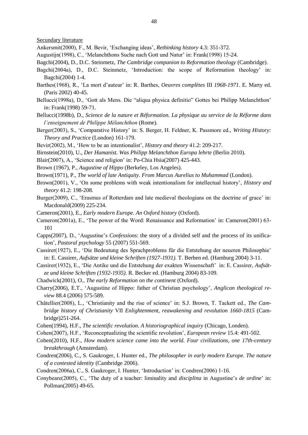Secundary literature

- Ankersmit(2000), F., M. Bevir, ‗Exchanging ideas', *Rethinking history* 4.3: 351-372.
- Augustijn(1998), C., ‗Melanchthons Suche nach Gott und Natur' in: Frank(1998) 15-24.
- Bagchi(2004), D., D.C. Steinmetz, *The Cambridge companion to Reformation theology* (Cambridge).
- Bagchi(2004a), D., D.C. Steinmetz, 'Introduction: the scope of Reformation theology' in: Bagchi(2004) 1-4.
- Barthes(1968), R., ‗La mort d'auteur' in: R. Barthes, *Oeuvres complètes* III *1968-1971*. E. Marty ed. (Paris 2002) 40-45.
- Bellucci(1998a), D., 'Gott als Mens. Die "aliqua physica definitio" Gottes bei Philipp Melanchthon' in: Frank(1998) 59-71.
- Bellucci(1998b), D., *Science de la nature et Réformation. La physique au service de la Réforme dans l'enseignement de Philippe Mélanchthon* (Rome).
- Berger(2003), S., ‗Comparative History' in: S. Berger, H. Feldner, K. Passmore ed., *Writing History: Theory and Practice* (London) 161-179.
- Bevir(2002), M., ‗How to be an intentionalist', *History and theory* 41.2: 209-217.
- Birnstein(2010), U., *Der Humanist. Was Philipp Melanchthon Europa lehrte* (Berlin 2010).
- Blair(2007), A., ‗Science and religion' in: Po-Chia Hsia(2007) 425-443.
- Brown (1967), P., *Augustine of Hippo* (Berkeley, Los Angeles).
- Brown(1971), P., *The world of late Antiquity. From Marcus Aurelius to Muhammad* (London).
- Brown(2001), V., ‗On some problems with weak intentionalism for intellectual history', *History and theory* 41.2: 198-208.
- Burger(2009), C., 'Erasmus of Rotterdam and late medieval theologians on the doctrine of grace' in: Macdonald(2009) 225-234.
- Cameron(2001), E., *Early modern Europe. An Oxford history* (Oxford).
- Cameron(2001a), E., 'The power of the Word: Renaissance and Reformation' in: Cameron(2001) 63-101
- Capps(2007), D., ‗Augustine's *Confessions*: the story of a divided self and the process of its unification', *Pastoral psychology* 55 (2007) 551-569.
- Cassirer(1927), E., ‗Die Bedeutung des Sprachproblems für die Entstehung der neueren Philosophie' in: E. Cassirer, *Aufsätze und kleine Schriften (1927-1931).* T. Berben ed. (Hamburg 2004) 3-11.
- Cassirer(1932), E., ‗Die Antike und die Entstehung der exakten Wissenschaft' in: E. Cassirer, *Aufsätze und kleine Schriften (1932-1935).* R. Becker ed. (Hamburg 2004) 83-109.
- Chadwick(2001), O., *The early Reformation on the continent* (Oxford).
- Charry(2006), E.T., ‗Augustine of Hippo: father of Christian psychology', *Anglican theological review* 88.4 (2006) 575-589.
- Châtellier(2008), L., ‗Christianity and the rise of science' in: S.J. Brown, T. Tackett ed., *The Cambridge history of Christianity* VII *Enlightenment, reawakening and revolution 1660-1815* (Cambridge)251-264.
- Cohen(1994), H.F., *The scientific revolution. A historiographical inquiry* (Chicago, Londen).
- Cohen(2007), H.F., ‗Reconceptualizing the scientific revolution', *European review* 15.4: 491-502.
- Cohen(2010), H.F., *How modern science came into the world. Four civilizations, one 17th-century breakthrough* (Amsterdam).
- Condren(2006), C., S. Gaukroger, I. Hunter ed., *The philosopher in early modern Europe. The nature of a contested identity* (Cambridge 2006).
- Condren(2006a), C., S. Gaukroger, I. Hunter, ‗Introduction' in: Condren(2006) 1-16.
- Conybeare(2005), C., ‗The duty of a teacher: liminality and *disciplina* in Augustine's *de ordine*' in: Pollman(2005) 49-65.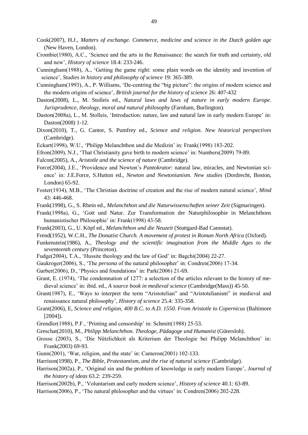Cook(2007), H.J., *Matters of exchange. Commerce, medicine and science in the Dutch golden age*  (New Haven, London).

- Crombie(1980), A.C., ‗Science and the arts in the Renaissance: the search for truth and certainty, old and new', *History of science* 18.4: 233-246.
- Cunningham(1988), A., ‗Getting the game right: some plain words on the identity and invention of science', *Studies in history and philosophy of science* 19: 365-389.
- Cunningham(1993), A., P. Williams, 'De-centring the "big picture": the origins of modern science and the modern origins of science', *British journal for the history of science* 26: 407-432
- Daston(2008), L., M. Stolleis ed., *Natural laws and laws of nature in early modern Europe. Jurisprudence, theology, moral and natural philosophy* (Farnham, Burlington).
- Daston(2008a), L., M. Stolleis, 'Introduction: nature, law and natural law in early modern Europe' in: Daston(2008) 1-12.
- Dixon(2010), T., G. Cantor, S. Pumfrey ed., *Science and religion. New historical perspectives*  (Cambridge).
- Eckart(1998), W.U., ‗Philipp Melanchthon und die Medizin' in: Frank(1998) 183-202.
- Efron(2009), N.J., ‗That Christianity gave birth to modern science' in: Numbers(2009) 79-89.
- Falcon(2005), A., *Aristotle and the science of nature* (Cambridge).
- Force(2004), J.E., ‗Providence and Newton's *Pantokrator*: natural law, miracles, and Newtonian science' in: J.E.Force, S.Hutton ed., *Newton and Newtonianism. New studies* (Dordrecht, Boston, London) 65-92.
- Foster(1934), M.B., 'The Christian doctrine of creation and the rise of modern natural science', *Mind* 43: 446-468.
- Frank(1998), G., S. Rhein ed., *Melanchthon und die Naturwissenschaften seiner Zeit* (Sigmaringen).
- Frank(1998a), G., ‗Gott und Natur. Zur Transformation der Naturphilosophie in Melanchthons humanistischer Philosophie' in: Frank(1998) 43-58.
- Frank(2003), G., U. Köpf ed., *Melanchthon und die Neuzeit* (Stuttgard-Bad Cannstat).
- Frend(1952), W.C.H., *The Donatist Church. A movement of protest in Roman North Africa* (Oxford).
- Funkenstein(1986), A., *Theology and the scientific imagination from the Middle Ages to the seventeenth century* (Princeton).
- Fudge(2004), T.A., ‗Hussite theology and the law of God' in: Bagchi(2004) 22-27.
- Gaukroger(2006), S., ‗The *persona* of the natural philosopher' in: Condren(2006) 17-34.
- Garber(2006), D., 'Physics and foundations' in: Park(2006) 21-69.
- Grant, E. (1974), 'The condemnation of 1277: a selection of the articles relevant to the history of medieval science' in: ibid. ed., *A source book in medieval science* (Cambridge(Mass)) 45-50.
- Grant(1987), E., 'Ways to interpret the term "Aristotelian" and "Aristotelianism" in medieval and renaissance natural philosophy', *History of science* 25.4: 335-358.
- Grant(2006), E, *Science and religion, 400 B.C. to A.D. 1550. From Aristotle to Copernicus* (Baltimore [2004]).
- Grendler(1988), P.F., 'Printing and censorship' in: Schmitt(1988) 25-53.
- Greschat(2010), M., *Philipp Melanchthon. Theologe, Pädagoge und Humanist* (Gütersloh).
- Grosse (2003), S., ‗Die Nützlichkeit als Kriterium der Theologie bei Philipp Melanchthon' in: Frank(2003) 69-93.
- Gunn(2001), ‗War, religion, and the state' in: Cameron(2001) 102-133.
- Harrison(1998), P., *The Bible, Protestantism, and the rise of natural science* (Cambridge).
- Harrison(2002a), P., ‗Original sin and the problem of knowledge in early modern Europe', *Journal of the history of ideas* 63.2: 239-259.
- Harrison(2002b), P., ‗Voluntarism and early modern science', *History of science* 40.1: 63-89.
- Harrison(2006), P., 'The natural philosopher and the virtues' in: Condren(2006) 202-228.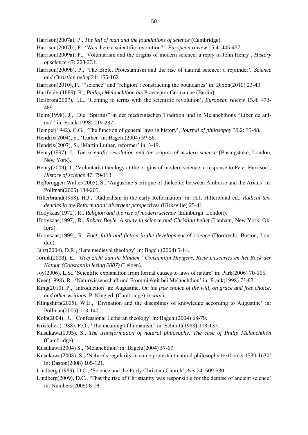Harrison(2007a), P., *The fall of man and the foundations of science* (Cambridge).

- Harrison(2007b), P., ‗Was there a scientific revolution?', *European review* 15.4: 445-457.
- Harrison(2009a), P., ‗Voluntarism and the origins of modern science: a reply to John Henry', *History of science* 47: 223-231.
- Harrison(2009b), P., ‗The Bible, Protestantism and the rise of natural science: a rejoinder', *Science and Christian belief* 21: 155-162.
- Harrison(2010), P., "science" and "religion": constructing the boundaries' in: Dixon(2010) 23-49.
- Hartfelder(1889), K., *Philipp Melanchthon als* Praeceptor Germaniae (Berlin).
- Heilbron(2007), J.L., ‗Coming to terms with the scientific revolution', *European review* 15.4: 473- 489.
- Helm(1998), J., 'Die "Spiritus" in der medizinischen Tradition und in Melanchthons "Liber de anima"' in: Frank(1998) 219-237.
- Hempel(1942), C.G., ‗The function of general laws in history', *Journal of philosophy* 39.2: 35-48.
- Hendrix(2004), S., ‗Luther' in: Bagchi(2004) 39-56.
- Hendrix(2007), S., 'Martin Luther, reformer' in: 3-19.
- Henry(1997), J., *The scientific revolution and the origins of modern science* (Basingstoke, London, New York).
- Henry(2009), J., 'Voluntarist theology at the origins of modern science: a response to Peter Harrison', *History of science* 47: 79-113.
- Heβbrüggen-Walter(2005), S., ‗Augustine's critique of dialectic: between Ambrose and the Arians' in: Pollman(2005) 184-205.
- Hillerbrand(1988), H.J., ‗Radicalism in the early Reformation' in: H.J. Hillerbrand ed., *Radical tendencies in the Reformation: divergent perspectives* (Kirksville) 25-41.
- Hooykaas(1972), R., *Religion and the rise of modern science* (Edinburgh, London).
- Hooykaas(1997), R., *Robert Boyle. A study in science and Christian belief* (Lanham, New York, Oxford).
- Hooykaas(1999), R., *Fact, faith and fiction in the development of science* (Dordrecht, Boston, London).
- Janz(2004), D.R., ‗Late medieval theology' in: Bagchi(2004) 5-14.
- Jorink(2008), E., *'Geef zicht aan de blinden.' Constantijn Huygens, René Descartes en het Boek der Natuur (Constantijn lezing 2007)* (Leiden).
- Joy(2006), L.S., ‗Scientific explanation from formal causes to laws of nature' in: Park(2006) 70-105.
- Keen(1998), R., ‗Naturwissenschaft und Frömmigkeit bei Melanchthon' in: Frank(1998) 73-83.
- King(2010), P., 'Introduction' in: Augustine, *On the free choice of the will, on grace and free choice*, *and other writings.* P. King ed. (Cambridge) ix-xxxii.
- Klingshirn(2005), W.E., 'Divination and the disciplines of knowledge according to Augustine' in: Pollman(2005) 113-140.
- Kolb(2004), R., ‗Confessional Lutheran theology' in: Bagchi(2004) 68-79.
- Kristeller (1988), P.O., 'The meaning of humanism' in: Schmitt(1988) 113-137.
- Kusukawa(1995), S., *The transformation of natural philosophy. The case of Philip Melanchthon*  (Cambridge).
- Kusukawa(2004) S., ‗Melanchthon' in: Bagchi(2004) 57-67.
- Kusukawa(2008), S., ‗Nature's regularity in some protestant natural philosophy textbooks 1530-1630' in: Daston(2008) 105-121.
- Lindberg (1983), D.C., ‗Science and the Early Christian Church', *Isis* 74: 509-530.
- Lindberg(2009), D.C., 'That the rise of Christianity was responsible for the demise of ancient science' in: Numbers(2009) 8-18.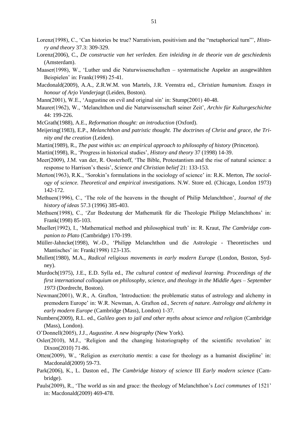- Lorenz(1998), C., 'Can histories be true? Narrativism, positivism and the "metaphorical turn"', *History and theory* 37.3: 309-329.
- Lorenz(2006), C., *De constructie van het verleden. Een inleiding in de theorie van de geschiedenis*  (Amsterdam).
- Maaser(1998), W., ‗Luther und die Naturwissenschaften systematische Aspekte an ausgewählten Beispielen' in: Frank(1998) 25-41.
- Macdonald(2009), A.A., Z.R.W.M. von Martels, J.R. Veenstra ed., *Christian humanism. Essays in honour of Arjo Vanderjagt* (Leiden, Boston).
- Mann(2001), W.E., 'Augustine on evil and original sin' in: Stump(2001) 40-48.
- Maurer(1962), W., ‗Melanchthon und die Naturwissenschaft seiner Zeit', *Archiv für Kulturgeschichte*  44: 199-226.
- McGrath(1988), A.E., *Reformation thought: an introduction* (Oxford).
- Meijering(1983), E.P., *Melanchthon and patristic thought. The doctrines of Christ and grace, the Trinity and the creation* (Leiden).
- Martin(1989), R., *The past within us: an empirical approach to philosophy of history (Princeton)*.
- Martin(1998), R., ‗Progress in historical studies', *History and theory* 37 (1998) 14-39.
- Meer(2009), J.M. van der, R. Oosterhoff, 'The Bible, Protestantism and the rise of natural science: a response to Harrison's thesis', *Science and Christian belief* 21: 133-153.
- Merton(1963), R.K., 'Sorokin's formulations in the sociology of science' in: R.K. Merton, *The sociology of science. Theoretical and empirical investigations.* N.W. Store ed. (Chicago, London 1973) 142-172.
- Methuen(1996), C., ‗The role of the heavens in the thought of Philip Melanchthon', *Journal of the history of ideas* 57.3 (1996) 385-403.
- Methuen(1998), C., ‗Zur Bedeutung der Mathematik für die Theologie Philipp Melanchthons' in: Frank(1998) 85-103.
- Mueller(1992), I., 'Mathematical method and philosophical truth' in: R. Kraut, *The Cambridge companion to Plato* (Cambridge) 170-199.
- Müller-Jahncke(1998), W.-D., ‗Philipp Melanchthon und die Astrologie Theoretisches und Mantisches' in: Frank(1998) 123-135.
- Mullett(1980), M.A., *Radical religious movements in early modern Europe* (London, Boston, Sydney).
- Murdoch(1975), J.E., E.D. Sylla ed., *The cultural context of medieval learning. Proceedings of the first international colloquium on philosophy, science, and theology in the Middle Ages – September 1973* (Dordrecht, Boston).
- Newman(2001), W.R., A. Grafton, 'Introduction: the problematic status of astrology and alchemy in premodern Europe' in: W.R. Newman, A. Grafton ed., *Secrets of nature. Astrology and alchemy in early modern Europe* (Cambridge (Mass), London) 1-37.
- Numbers(2009), R.L. ed., *Galileo goes to jail and other myths about science and religion* (Cambridge (Mass), London).
- O'Donnell(2005), J.J., *Augustine. A new biography* (New York).
- Osler( $2010$ ), M.J., 'Religion and the changing historiography of the scientific revolution' in: Dixon(2010) 71-86.
- Otten(2009), W., ‗Religion as *exercitatio mentis*: a case for theology as a humanist discipline' in: Macdonald(2009) 59-73.
- Park(2006), K., L. Daston ed., *The Cambridge history of science* III *Early modern science* (Cambridge).
- Pauls(2009), R., ‗The world as sin and grace: the theology of Melanchthon's *Loci communes* of 1521' in: Macdonald(2009) 469-478.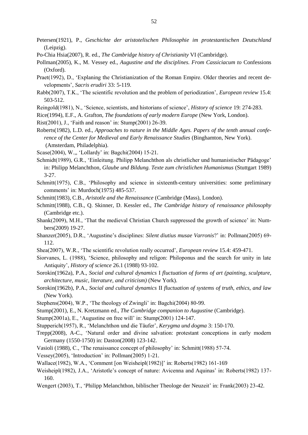- Petersen(1921), P., *Geschichte der aristotelischen Philosophie im protestantischen Deutschland*  (Leipzig).
- Po-Chia Hsia(2007), R. ed., *The Cambridge history of Christianity* VI (Cambridge).
- Pollman(2005), K., M. Vessey ed., *Augustine and the disciplines. From Cassiciacum to* Confessions (Oxford).
- Praet(1992), D., 'Explaning the Christianization of the Roman Empire. Older theories and recent developments', *Sacris erudiri* 33: 5-119.
- Rabb(2007), T.K., ‗The scientific revolution and the problem of periodization', *European review* 15.4: 503-512.
- Reingold(1981), N., ‗Science, scientists, and historians of science', *History of science* 19: 274-283.
- Rice(1994), E.F., A. Grafton, *The foundations of early modern Europe* (New York, London).
- Rist(2001), J., ‗Faith and reason' in: Stump(2001) 26-39.
- Roberts(1982), L.D. ed., *Approaches to nature in the Middle Ages. Papers of the tenth annual conference of the Center for Medieval and Early Renaissance Studies (Binghamton, New York).* (Amsterdam, Philadelphia).
- Scase(2004), W.,, ‗Lollardy' in: Bagchi(2004) 15-21.
- Schmidt(1989), G.R., ‗Einleitung. Philipp Melanchthon als christlicher und humanistischer Pädagoge' in: Philipp Melanchthon, *Glaube und Bildung. Texte zum christlichen Humanismus* (Stuttgart 1989) 3-27.
- Schmitt(1975), C.B., 'Philosophy and science in sixteenth-century universities: some preliminary comments' in: Murdoch(1975) 485-537.
- Schmitt(1983), C.B., *Aristotle and the Renaissance* (Cambridge (Mass), London).
- Schmitt(1988), C.B., Q. Skinner, D. Kessler ed., *The Cambridge history of renaissance philosophy*  (Cambridge etc.).
- Shank(2009), M.H., 'That the medieval Christian Church suppressed the growth of science' in: Numbers(2009) 19-27.
- Shanzer(2005), D.R., ‗Augustine's disciplines: *Silent diutius musae Varronis*?' in: Pollman(2005) 69- 112.
- Shea(2007), W.R., ‗The scientific revolution really occurred', *European review* 15.4: 459-471.
- Siorvanes, L. (1988), 'Science, philosophy and religon: Philoponus and the search for unity in late Antiquity', *History of science* 26.1 (1988) 93-102.
- Sorokin(1962a), P.A., *Social and cultural dynamics* I *fluctuation of forms of art (painting, sculpture, architecture, music, literature, and criticism)* (New York).
- Sorokin(1962b), P.A., *Social and cultural dynamics* II *fluctuation of systems of truth, ethics, and law*  (New York).
- Stephens(2004), W.P., 'The theology of Zwingli' in: Bagchi(2004) 80-99.
- Stump(2001), E., N. Kretzmann ed., *The Cambridge companion to Augustine* (Cambridge).
- Stump(2001a), E., ‗Augustine on free will' in: Stump(2001) 124-147.
- Stupperich(1957), R., ‗Melanchthon und die Täufer', *Kerygma und dogma* 3: 150-170.
- Trepp(2008), A-C., 'Natural order and divine salvation: protestant conceptions in early modern Germany (1550-1750) in: Daston(2008) 123-142.
- Vasioli (1988), C., ‗The renaissance concept of philosophy' in: Schmitt(1988) 57-74.
- Vessey(2005), 'Introduction' in: Pollman(2005) 1-21.
- Wallace(1982), W.A., ‗Comment [on Weisheipl(1982)]' in: Roberts(1982) 161-169
- Weisheipl(1982), J.A., ‗Aristotle's concept of nature: Avicenna and Aquinas' in: Roberts(1982) 137- 160.
- Wengert (2003), T., 'Philipp Melanchthon, biblischer Theologe der Neuzeit' in: Frank(2003) 23-42.